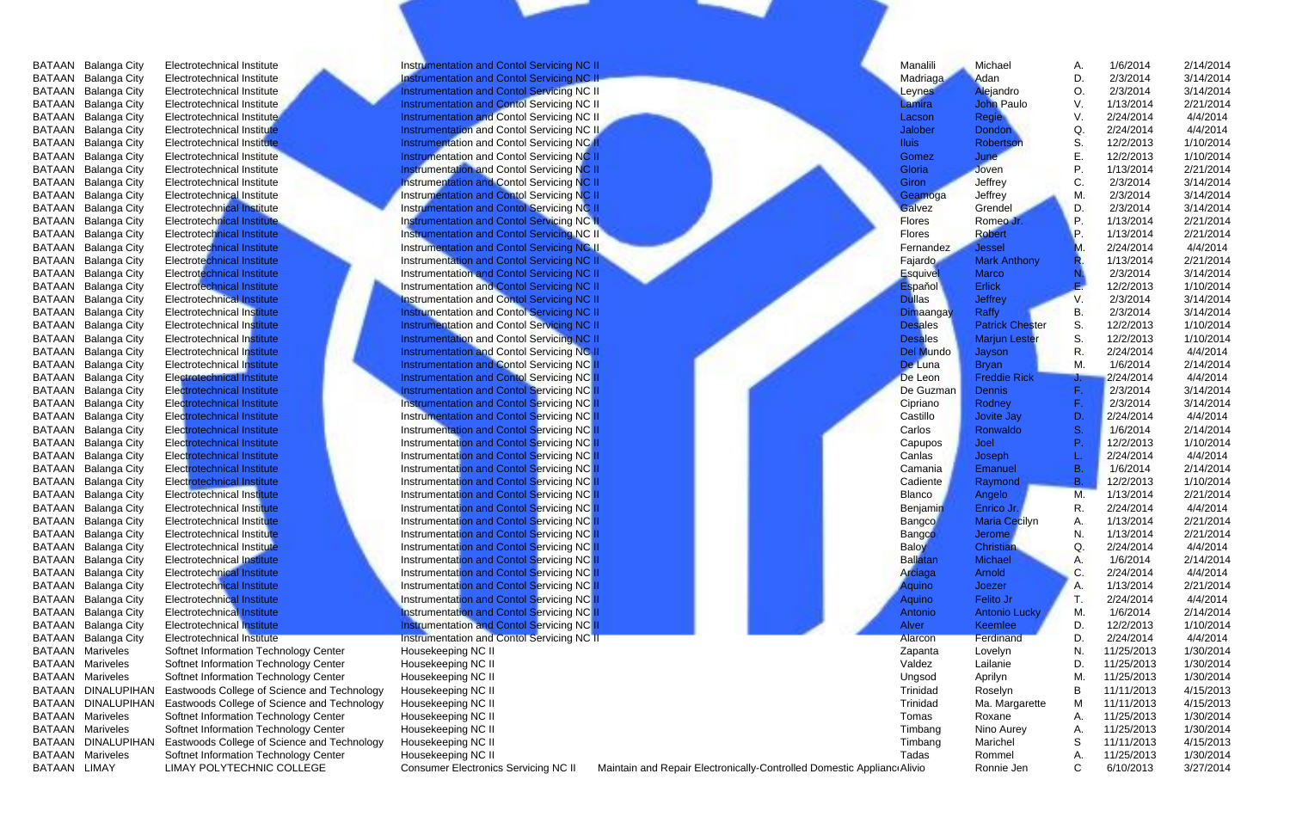| BATAAN       | Balanga City            | Electrotechnical Institute                  | Instrumentation and Contol Servicing NC II                                               |                                                                        | Manalili        | Michael                | Α.        | 1/6/2014   | 2/14/2014 |
|--------------|-------------------------|---------------------------------------------|------------------------------------------------------------------------------------------|------------------------------------------------------------------------|-----------------|------------------------|-----------|------------|-----------|
| BATAAN       | Balanga City            | Electrotechnical Institute                  | Instrumentation and Contol Servicing NC II                                               |                                                                        | Madriaga        | Adan                   | D.        | 2/3/2014   | 3/14/2014 |
| BATAAN       | Balanga City            | Electrotechnical Institute                  | Instrumentation and Contol Servicing NC II                                               |                                                                        | Leynes          | Alejandro              | О.        | 2/3/2014   | 3/14/2014 |
|              | BATAAN Balanga City     | Electrotechnical Institute                  | Instrumentation and Contol Servicing NC II                                               |                                                                        | Lamira          | John Paulo             | V.        | 1/13/2014  | 2/21/2014 |
|              | BATAAN Balanga City     | Electrotechnical Institute                  | Instrumentation and Contol Servicing NC II                                               |                                                                        | Lacson          | Regie                  | V.        | 2/24/2014  | 4/4/2014  |
|              | BATAAN Balanga City     | Electrotechnical Institute                  | Instrumentation and Contol Servicing NC II                                               |                                                                        | Jalober         | Dondon                 | Q.        | 2/24/2014  | 4/4/2014  |
|              | BATAAN Balanga City     | Electrotechnical Institute                  | Instrumentation and Contol Servicing NC II                                               |                                                                        | <b>Iluis</b>    | Robertson              | S.        | 12/2/2013  | 1/10/2014 |
| BATAAN       | Balanga City            | Electrotechnical Institute                  | Instrumentation and Contol Servicing NC II                                               |                                                                        | Gomez           | June                   | E.        | 12/2/2013  | 1/10/2014 |
| BATAAN       | Balanga City            | Electrotechnical Institute                  | Instrumentation and Contol Servicing NC II                                               |                                                                        | Gloria          | Joven                  |           | 1/13/2014  | 2/21/2014 |
| BATAAN       | Balanga City            | Electrotechnical Institute                  | Instrumentation and Contol Servicing NC II                                               |                                                                        | Giron           | Jeffrey                | C.        | 2/3/2014   | 3/14/2014 |
|              | BATAAN Balanga City     | Electrotechnical Institute                  | Instrumentation and Contol Servicing NC II                                               |                                                                        | Geamoga         | Jeffrey                | M.        | 2/3/2014   | 3/14/2014 |
|              | BATAAN Balanga City     | Electrotechnical Institute                  | Instrumentation and Contol Servicing NC II                                               |                                                                        | Galvez          | Grendel                | D.        | 2/3/2014   | 3/14/2014 |
|              | BATAAN Balanga City     | Electrotechnical Institute                  | Instrumentation and Contol Servicing NC II                                               |                                                                        | <b>Flores</b>   | Romeo Jr.              | Р.        | 1/13/2014  | 2/21/2014 |
|              | BATAAN Balanga City     | Electrotechnical Institute                  | Instrumentation and Contol Servicing NC II                                               |                                                                        | <b>Flores</b>   | Robert                 | Р.        | 1/13/2014  | 2/21/2014 |
|              | BATAAN Balanga City     | Electrotechnical Institute                  | Instrumentation and Contol Servicing NC II                                               |                                                                        | Fernandez       | Jessel                 | M.        | 2/24/2014  | 4/4/2014  |
| BATAAN       | Balanga City            | Electrotechnical Institute                  | Instrumentation and Contol Servicing NC II                                               |                                                                        | Fajardo         | Mark Anthony           | R.        | 1/13/2014  | 2/21/2014 |
| BATAAN       | Balanga City            | Electrotechnical Institute                  | Instrumentation and Contol Servicing NC II                                               |                                                                        | Esquivel        | Marco                  | N.        | 2/3/2014   | 3/14/2014 |
| BATAAN       | Balanga City            | Electrotechnical Institute                  | Instrumentation and Contol Servicing NC II                                               |                                                                        | Espa ol         | Erlick                 | Е.        | 12/2/2013  | 1/10/2014 |
| BATAAN       | Balanga City            | Electrotechnical Institute                  | Instrumentation and Contol Servicing NC II                                               |                                                                        | Dullas          | Jeffrey                | V.        | 2/3/2014   | 3/14/2014 |
| BATAAN       | Balanga City            | Electrotechnical Institute                  | Instrumentation and Contol Servicing NC II                                               |                                                                        | Dimaangay       | Raffy                  | В.        | 2/3/2014   | 3/14/2014 |
|              | BATAAN Balanga City     | Electrotechnical Institute                  | Instrumentation and Contol Servicing NC II                                               |                                                                        | <b>Desales</b>  | <b>Patrick Chester</b> | S.        | 12/2/2013  | 1/10/2014 |
|              | BATAAN Balanga City     | Electrotechnical Institute                  | Instrumentation and Contol Servicing NC II                                               |                                                                        | <b>Desales</b>  | Marjun Lester          | S.        | 12/2/2013  | 1/10/2014 |
|              | BATAAN Balanga City     | Electrotechnical Institute                  | Instrumentation and Contol Servicing NC II                                               |                                                                        | Del Mundo       | Jayson                 | R.        | 2/24/2014  | 4/4/2014  |
|              | BATAAN Balanga City     | Electrotechnical Institute                  | Instrumentation and Contol Servicing NC II                                               |                                                                        | De Luna         | Bryan                  | M.        | 1/6/2014   | 2/14/2014 |
| BATAAN       |                         | Electrotechnical Institute                  | Instrumentation and Contol Servicing NC II                                               |                                                                        | De Leon         | <b>Freddie Rick</b>    |           | 2/24/2014  | 4/4/2014  |
|              | Balanga City            |                                             |                                                                                          |                                                                        | De Guzman       | Dennis                 |           | 2/3/2014   | 3/14/2014 |
| BATAAN       | Balanga City            | Electrotechnical Institute                  | Instrumentation and Contol Servicing NC II                                               |                                                                        |                 |                        | F.        | 2/3/2014   |           |
| BATAAN       | Balanga City            | Electrotechnical Institute                  | Instrumentation and Contol Servicing NC II<br>Instrumentation and Contol Servicing NC II |                                                                        | Cipriano        | Rodney                 |           |            | 3/14/2014 |
| BATAAN       | Balanga City            | Electrotechnical Institute                  |                                                                                          |                                                                        | Castillo        | Jovite Jay             | D.        | 2/24/2014  | 4/4/2014  |
|              | BATAAN Balanga City     | Electrotechnical Institute                  | Instrumentation and Contol Servicing NC II                                               |                                                                        | Carlos          | Ronwaldo               | S.        | 1/6/2014   | 2/14/2014 |
|              | BATAAN Balanga City     | Electrotechnical Institute                  | Instrumentation and Contol Servicing NC II                                               |                                                                        | Capupos         | Joel                   | Р.        | 12/2/2013  | 1/10/2014 |
|              | BATAAN Balanga City     | Electrotechnical Institute                  | Instrumentation and Contol Servicing NC II                                               |                                                                        | Canlas          | Joseph                 |           | 2/24/2014  | 4/4/2014  |
|              | BATAAN Balanga City     | Electrotechnical Institute                  | Instrumentation and Contol Servicing NC II                                               |                                                                        | Camania         | Emanuel                | <b>B.</b> | 1/6/2014   | 2/14/2014 |
|              | BATAAN Balanga City     | Electrotechnical Institute                  | Instrumentation and Contol Servicing NC II                                               |                                                                        | Cadiente        | Raymond                | В.        | 12/2/2013  | 1/10/2014 |
| BATAAN       | Balanga City            | Electrotechnical Institute                  | Instrumentation and Contol Servicing NC II                                               |                                                                        | Blanco          | Angelo                 | M.        | 1/13/2014  | 2/21/2014 |
| BATAAN       | Balanga City            | Electrotechnical Institute                  | Instrumentation and Contol Servicing NC II                                               |                                                                        | Benjamin        | Enrico Jr.             | R.        | 2/24/2014  | 4/4/2014  |
| BATAAN       | Balanga City            | Electrotechnical Institute                  | Instrumentation and Contol Servicing NC II                                               |                                                                        | Bangco          | Maria Cecilyn          | Α.        | 1/13/2014  | 2/21/2014 |
|              | BATAAN Balanga City     | Electrotechnical Institute                  | Instrumentation and Contol Servicing NC II                                               |                                                                        | Bangco          | Jerome                 | N.        | 1/13/2014  | 2/21/2014 |
|              | BATAAN Balanga City     | Electrotechnical Institute                  | Instrumentation and Contol Servicing NC II                                               |                                                                        | Baloy           | Christian              | Q.        | 2/24/2014  | 4/4/2014  |
|              | BATAAN Balanga City     | Electrotechnical Institute                  | Instrumentation and Contol Servicing NC II                                               |                                                                        | <b>Ballatan</b> | Michael                | Α.        | 1/6/2014   | 2/14/2014 |
|              | BATAAN Balanga City     | Electrotechnical Institute                  | Instrumentation and Contol Servicing NC II                                               |                                                                        | Arciaga         | Arnold                 | C.        | 2/24/2014  | 4/4/2014  |
| BATAAN       | Balanga City            | Electrotechnical Institute                  | Instrumentation and Contol Servicing NC II                                               |                                                                        | Aquino          | Joezer                 |           | 1/13/2014  | 2/21/2014 |
| BATAAN       | Balanga City            | Electrotechnical Institute                  | Instrumentation and Contol Servicing NC II                                               |                                                                        | Aquino          | Felito Jr              |           | 2/24/2014  | 4/4/2014  |
| BATAAN       | Balanga City            | Electrotechnical Institute                  | Instrumentation and Contol Servicing NC II                                               |                                                                        | Antonio         | Antonio Lucky          | M.        | 1/6/2014   | 2/14/2014 |
|              | BATAAN Balanga City     | Electrotechnical Institute                  | Instrumentation and Contol Servicing NC II                                               |                                                                        | Alver           | Keemlee                | D.        | 12/2/2013  | 1/10/2014 |
|              | BATAAN Balanga City     | Electrotechnical Institute                  | Instrumentation and Contol Servicing NC II                                               |                                                                        | Alarcon         | Ferdinand              | D.        | 2/24/2014  | 4/4/2014  |
|              | <b>BATAAN Mariveles</b> | Softnet Information Technology Center       | Housekeeping NC II                                                                       |                                                                        | Zapanta         | Lovelyn                | N.        | 11/25/2013 | 1/30/2014 |
|              | <b>BATAAN Mariveles</b> | Softnet Information Technology Center       | Housekeeping NC II                                                                       |                                                                        | Valdez          | Lailanie               | D.        | 11/25/2013 | 1/30/2014 |
|              | <b>BATAAN Mariveles</b> | Softnet Information Technology Center       | Housekeeping NC II                                                                       |                                                                        | Ungsod          | Aprilyn                | M.        | 11/25/2013 | 1/30/2014 |
|              | BATAAN DINALUPIHAN      | Eastwoods College of Science and Technology | Housekeeping NC II                                                                       |                                                                        | Trinidad        | Roselyn                | в         | 11/11/2013 | 4/15/2013 |
|              | BATAAN DINALUPIHAN      | Eastwoods College of Science and Technology | Housekeeping NC II                                                                       |                                                                        | Trinidad        | Ma. Margarette         | M         | 11/11/2013 | 4/15/2013 |
|              | <b>BATAAN Mariveles</b> | Softnet Information Technology Center       | Housekeeping NC II                                                                       |                                                                        | Tomas           | Roxane                 | Α.        | 11/25/2013 | 1/30/2014 |
|              | <b>BATAAN Mariveles</b> | Softnet Information Technology Center       | Housekeeping NC II                                                                       |                                                                        | Timbang         | Nino Aurey             | Α.        | 11/25/2013 | 1/30/2014 |
|              | BATAAN DINALUPIHAN      | Eastwoods College of Science and Technology | Housekeeping NC II                                                                       |                                                                        | Timbang         | Marichel               | S         | 11/11/2013 | 4/15/2013 |
|              | <b>BATAAN Mariveles</b> | Softnet Information Technology Center       | Housekeeping NC II                                                                       |                                                                        | Tadas           | Rommel                 | A.        | 11/25/2013 | 1/30/2014 |
| BATAAN LIMAY |                         | LIMAY POLYTECHNIC COLLEGE                   | <b>Consumer Electronics Servicing NC II</b>                                              | Maintain and Repair Electronically-Controlled Domestic Applianc Alivio |                 | Ronnie Jen             | C.        | 6/10/2013  | 3/27/2014 |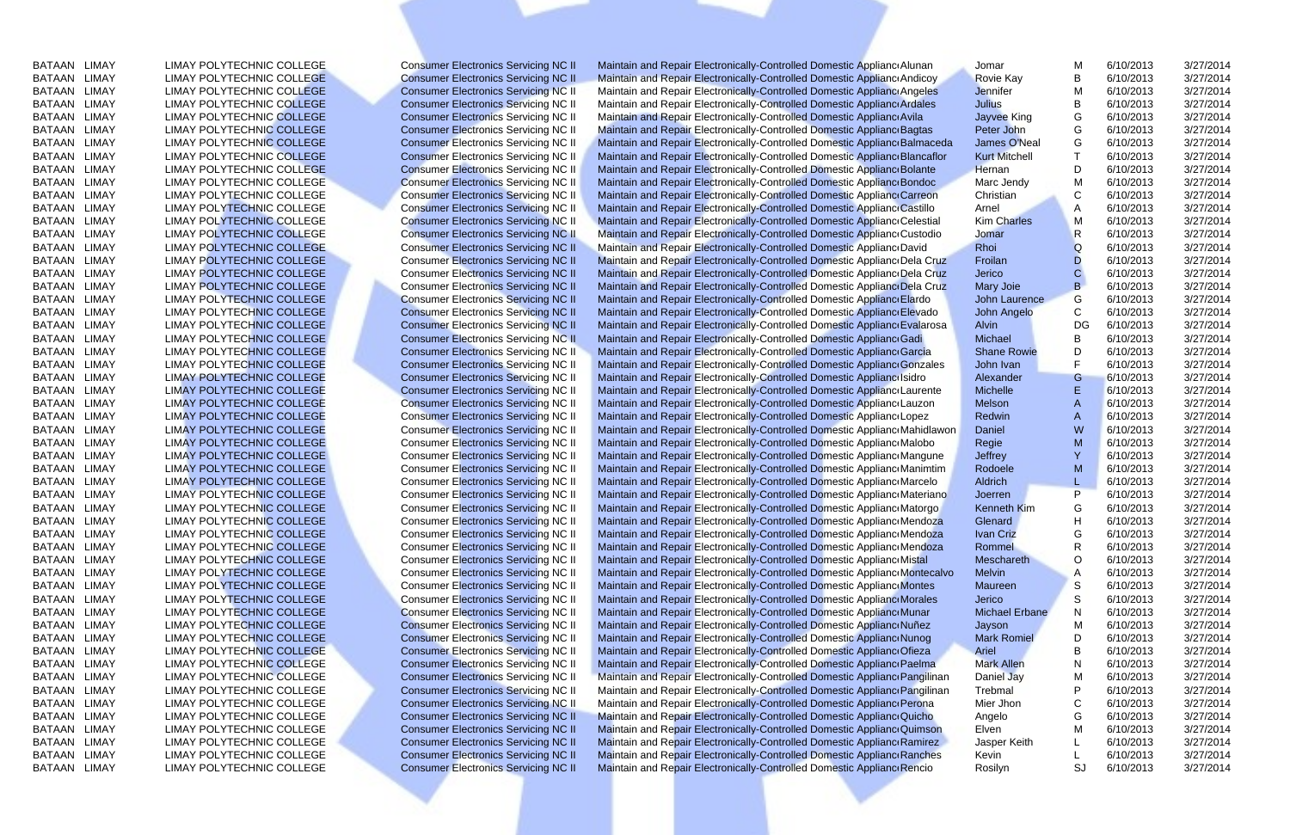| BATAAN        | LIMAY        | <b>LIMAY POLYTECHNIC COLLEGE</b> |
|---------------|--------------|----------------------------------|
| <b>BATAAN</b> | <b>LIMAY</b> | LIMAY POLYTECHNIC COLLEGE        |
| <b>BATAAN</b> | <b>LIMAY</b> | LIMAY POLYTECHNIC COLLEGE        |
| <b>BATAAN</b> | <b>LIMAY</b> | <b>LIMAY POLYTECHNIC COLLEGE</b> |
| <b>BATAAN</b> | <b>LIMAY</b> | <b>LIMAY POLYTECHNIC COLLEGE</b> |
| <b>BATAAN</b> | <b>LIMAY</b> | <b>LIMAY POLYTECHNIC COLLEGE</b> |
| <b>BATAAN</b> | <b>LIMAY</b> | <b>LIMAY POLYTECHNIC COLLEGE</b> |
| <b>BATAAN</b> | <b>LIMAY</b> | LIMAY POLYTECHNIC COLLEGE        |
| <b>BATAAN</b> | LIMAY        | <b>LIMAY POLYTECHNIC COLLEGE</b> |
| <b>BATAAN</b> | LIMAY        | LIMAY POLYTECHNIC COLLEGE        |
| <b>BATAAN</b> | LIMAY        | LIMAY POLYTECHNIC COLLEGE        |
| <b>BATAAN</b> | LIMAY        | <b>LIMAY POLYTECHNIC COLLEGE</b> |
| <b>BATAAN</b> | <b>LIMAY</b> | <b>LIMAY POLYTECHNIC COLLEGE</b> |
| <b>BATAAN</b> | <b>LIMAY</b> | <b>LIMAY POLYTECHNIC COLLEGE</b> |
| <b>BATAAN</b> | <b>LIMAY</b> | <b>LIMAY POLYTECHNIC COLLEGE</b> |
| <b>BATAAN</b> | <b>LIMAY</b> | <b>LIMAY POLYTECHNIC COLLEGE</b> |
| <b>BATAAN</b> | <b>LIMAY</b> | <b>LIMAY POLYTECHNIC COLLEGE</b> |
| <b>BATAAN</b> | <b>LIMAY</b> | <b>LIMAY POLYTECHNIC COLLEGE</b> |
| <b>BATAAN</b> | <b>LIMAY</b> | <b>LIMAY POLYTECHNIC COLLEGE</b> |
| <b>BATAAN</b> | <b>LIMAY</b> | <b>LIMAY POLYTECHNIC COLLEGE</b> |
| <b>BATAAN</b> | <b>LIMAY</b> | <b>LIMAY POLYTECHNIC COLLEGE</b> |
| <b>BATAAN</b> | <b>LIMAY</b> | <b>LIMAY POLYTECHNIC COLLEGE</b> |
| <b>BATAAN</b> | <b>LIMAY</b> | <b>LIMAY POLYTECHNIC COLLEGE</b> |
| <b>BATAAN</b> | <b>LIMAY</b> | <b>LIMAY POLYTECHNIC COLLEGE</b> |
| <b>BATAAN</b> | <b>LIMAY</b> | <b>LIMAY POLYTECHNIC COLLEGE</b> |
| <b>BATAAN</b> | <b>LIMAY</b> | <b>LIMAY POLYTECHNIC COLLEGE</b> |
| <b>BATAAN</b> | <b>LIMAY</b> | <b>LIMAY POLYTECHNIC COLLEGE</b> |
| <b>BATAAN</b> | <b>LIMAY</b> | <b>LIMAY POLYTECHNIC COLLEGE</b> |
| <b>BATAAN</b> | <b>LIMAY</b> | <b>LIMAY POLYTECHNIC COLLEGE</b> |
| <b>BATAAN</b> | <b>LIMAY</b> | <b>LIMAY POLYTECHNIC COLLEGE</b> |
| <b>BATAAN</b> | <b>LIMAY</b> | <b>LIMAY POLYTECHNIC COLLEGE</b> |
| <b>BATAAN</b> | <b>LIMAY</b> | LIMAY POLYTECHNIC COLLEGE        |
| <b>BATAAN</b> | <b>LIMAY</b> | <b>LIMAY POLYTECHNIC COLLEGE</b> |
| <b>BATAAN</b> | <b>LIMAY</b> | <b>LIMAY POLYTECHNIC COLLEGE</b> |
| <b>BATAAN</b> | <b>LIMAY</b> | <b>LIMAY POLYTECHNIC COLLEGE</b> |
| <b>BATAAN</b> | <b>LIMAY</b> | <b>LIMAY POLYTECHNIC COLLEGE</b> |
| BATAAN LIMAY  |              | <b>LIMAY POLYTECHNIC COLLEGE</b> |
| <b>BATAAN</b> | <b>LIMAY</b> | <b>LIMAY POLYTECHNIC COLLEGE</b> |
| <b>BATAAN</b> | <b>LIMAY</b> | <b>LIMAY POLYTECHNIC COLLEGE</b> |
| <b>BATAAN</b> | <b>LIMAY</b> | <b>LIMAY POLYTECHNIC COLLEGE</b> |
| <b>BATAAN</b> | <b>LIMAY</b> | <b>LIMAY POLYTECHNIC COLLEGE</b> |
| <b>BATAAN</b> | <b>LIMAY</b> | <b>LIMAY POLYTECHNIC COLLEGE</b> |
| <b>BATAAN</b> | <b>LIMAY</b> | <b>LIMAY POLYTECHNIC COLLEGE</b> |
| <b>BATAAN</b> | <b>LIMAY</b> | <b>LIMAY POLYTECHNIC COLLEGE</b> |
| <b>BATAAN</b> | <b>LIMAY</b> | <b>LIMAY POLYTECHNIC COLLEGE</b> |
| <b>BATAAN</b> | <b>LIMAY</b> | <b>LIMAY POLYTECHNIC COLLEGE</b> |
| <b>BATAAN</b> | <b>LIMAY</b> | <b>LIMAY POLYTECHNIC COLLEGE</b> |
| <b>BATAAN</b> | <b>LIMAY</b> | <b>LIMAY POLYTECHNIC COLLEGE</b> |
| <b>BATAAN</b> | <b>LIMAY</b> | <b>LIMAY POLYTECHNIC COLLEGE</b> |
| <b>BATAAN</b> | <b>LIMAY</b> | <b>LIMAY POLYTECHNIC COLLEGE</b> |
| <b>BATAAN</b> | <b>LIMAY</b> | LIMAY POLYTECHNIC COLLEGE        |
|               |              | LIMAY POLYTECHNIC COLLEGE        |
| <b>BATAAN</b> | <b>LIMAY</b> |                                  |
| <b>BATAAN</b> | <b>LIMAY</b> | LIMAY POLYTECHNIC COLLEGE        |
| <b>BATAAN</b> | <b>LIMAY</b> | LIMAY POLYTECHNIC COLLEGE        |
| <b>BATAAN</b> | <b>LIMAY</b> | LIMAY POLYTECHNIC COLLEGE        |

BATAAN LIMAY LIMAY POLYTECHNIC COLLEGE Consumer Electronics Servicing NC II Maintain and Repair Electronically-Controlled Domestic Applianc Alunan Jomar M 6/10/2013 3/27/2014<br>BATAAN LIMAY LIMAY POLYTECHNIC COLLEGE Consumer BATAAN LIMAY LIMAY POLYTECHNIC COLLEGE Consumer Electronics Servicing NC II Maintain and Repair Electronically-Controlled Domestic Appliance Alunan Jomar M 6/10/2013 3/27/2014<br>BATAAN LIMAY LIMAY POLYTECHNIC COLLEGE Consume EXTAAN LIMAY AND LIMAY POLYTECHNIC COLLEGE Consumer Electronics Servicing NC II Maintain and Repair Electronically-Controlled Domestic Appliance Alunan Jomar M 6/10/2013 3/27/2014<br>BATAAN LIMAY LIMAY POLYTECHNIC COLLEGE Con EXECTRIC COLLEGE CONSULT CONSULT CONSULT CONSULT CONSULT CONSULT CONSULT CONSULT CONSULT CONSULT CONSULT CONSULT CONSULT CONSULT CONSULT CONSULT CONSULT CONSULT CONSULT CONSULT CONSULT CONSULT CONSULT CONSULT CONSULT CONSU 1991 BATAAN LIMAY POLYTECHNIC COLLEGE Consumer Electronics Servicing NC II Maintain and Repair Electronically-Controlled Domestic Appliance Andicoy Novie Kay B 6/10/2013 3/27/2014<br>
BATAAN LIMAY ANNAN LIMAY POLYTECHNIC COLL EMAY EUMAY POLYTECHNIC COLLEGE Consumer Electronics Servicing NC II Maintain and Repair Electronically-Controlled Domestic Appliance Andicoy Rovie Kay B 6/10/2013 3/27/2014<br>
BATAAN LIMAY POLYTECHNIC COLLEGE Consumer Electr EMAY ELIMAY POLYTECHNIC COLLEGE Consumer Electronics Servicing NC II Maintain and Repair Electronically-Controlled Domestic Appliance Appliance Appliance Martial and Repair Electronically-Controlled Domestic Appliance Appl EMAY EUMAY POLYTECHNIC COLLEGE Consumer Electronics Servicing NC II Maintain and Repair Electronically-Controlled Domestic Appliance Articles<br>
BATAAN LIMAY ANDEVITECHNIC COLLEGE Consumer Electronics Servicing NC II Maintai EMAY EUMAY POLYTECHNIC COLLEGE Consumer Electronics Servicing NC II Maintain and Repair Electronically-Controlled Domestic Appliance Avila<br>
BATAAN LIMAY AND EUMAY POLYTECHNIC COLLEGE Consumer Electronics Servicing NC II Ma EMAY EUMAY POLYTECHNIC COLLEGE Consumer Electronics Servicing NC II Maintain and Repair Electronically-Controlled Domestic Appliance Bagtas Peter John Casset (Appliance Marc And The Consumer Electronics Servicing NC II Mai EMAY EUMAY POLYTECHNIC COLLEGE Consumer Electronics Servicing NC II Maintain and Repair Electronically-Controlled Domestic Appliance Balmaceda<br>
BATAAN LIMAY ANDEVITECHNIC COLLEGE Consumer Electronics Servicing NC II Mainta EMAY EMAY POLYTECHNIC COLLEGE Consumer Electronics Servicing NC II Maintain and Repair Electronically-Controlled Domestic Appliance Bancaflor Kurt Mitchell T 6/10/2013 3/27/2014<br>
BATAAN LIMAY POLYTECHNIC COLLEGE Consumer E EMAN LIMAY POLYTECHNIC COLLEGE Consumer Electronics Servicing NC II Maintain and Repair Electronically-Controlled Domestic Appliance Bolante Memini and Repair Electronically-Controlled Domestic Appliance Bolante Memini and EMAY EMAY POLYTECHNIC COLLEGE Consumer Electronics Servicing NC II Maintain and Repair Electronically-Controlled Domestic Appliance Dandoc Marc Jendy Maintain Consumer Electronics Servicing NC II Maintain and Repair Electr EMAY EMAY POLYTECHNIC COLLEGE Consumer Electronics Servicing NC II Maintain and Repair Electronically-Controlled Domestic Appliance Careon Christian<br>
BATAAN LIMAY POLYTECHNIC COLLEGE Consumer Electronics Servicing NC II Ma EMAY EMAY POLYTECHNIC COLLEGE Consumer Electronics Servicing NC II Maintain and Repair Electronically-Controlled Domestic Applianc Castillo Armel<br>
BATAAN LIMAY POLYTECHNIC COLLEGE Consumer Electronics Servicing NC II Maint EMAY EMAY POLYTECHNIC COLLEGE Consumer Electronics Servicing NC II Maintain and Repair Electronically-Controlled Domestic Appliance Collective Consumer Servicing NC II Maintain and Repair Electronically-Controlled Domestic EMAN LIMAY POLYTECHNIC COLLEGE Consumer Electronics Servicing NC II Maintain and Repair Electronically-Controlled Domestic Appliance Dustric Custodio John LIMAY LIMAY POLYTECHNIC COLLEGE Consumer Electronics Servicing NC I EMAN LIMAY POLYTECHNIC COLLEGE Consumer Electronics Servicing NC II Maintain and Repair Electronically-Controlled Domestic Appliance David Rhoi<br>
BATAAN LIMAY ANDEVITECHNIC COLLEGE Consumer Electronics Servicing NC II Maint EMAY LIMAY POLYTECHNIC COLLEGE Consumer Electronics Servicing NC II Maintain and Repair Electronically-Controlled Domestic Appliance Dela Cruz Frollan and Repair And LIMAY POLYTECHNIC COLLEGE Consumer Electronics Servicing EMAY EUMAY POLYTECHNIC COLLEGE Consumer Electronics Servicing NC II Maintain and Repair Electronically-Controlled Domestic Appliance Dela Cruz Jerico CONSULTECHNIC COLLEGE Consumer Electronics Servicing NC II Maintain and EXTAAN LIMAY POLYTECHNIC COLLEGE Consumer Electronics Servicing NC II Maintain and Repair Electronically-Controlled Domestic Appliance Dela Cruz Mary Joie B 6/10/2013 3/27/2014<br>
BATAAN LIMAY POLYTECHNIC COLLEGE Consumer El EMAY EUMAY POLYTECHNIC COLLEGE Consumer Electronics Servicing NC II Maintain and Repair Electronically-Controlled Domestic Appliance Electronically Consumer Electronically Consumer Electronically Controlled Domestic Applia EMAY EUMAY POLYTECHNIC COLLEGE Consumer Electronics Servicing NC II Maintain and Repair Electronically-Controlled Domestic Appliance Evado John Angelo C 6/10/2013 3/27/2014<br>
BATAAN LIMAY POLYTECHNIC COLLEGE Consumer Electr EMAY POLYTECHNIC COLLEGE Consumer Electronics Servicing NC II Maintain and Repair Electronically-Controlled Domestic Appliance Evalatosa<br>
BATAAN LIMAY POLYTECHNIC COLLEGE Consumer Electronics Servicing NC II Maintain and R EMAY POLYTECHNIC COLLEGE Consumer Electronics Servicing NC II Maintain and Repair Electronically-Controlled Domestic Appliance Gadi<br>
BATAAN LIMAY POLYTECHNIC COLLEGE Consumer Electronics Servicing NC II Maintain and Repair EMAY POLYTECHNIC COLLEGE Consumer Electronics Servicing NC II Maintain and Repair Electronically-Controlled Domestic Appliance García Shane Rowie Development Consumer Electronics Servicing NC II Maintain and Repair Electro EMAY POLYTECHNIC COLLEGE Consumer Electronics Servicing NC II Maintain and Repair Electronically-Controlled Domestic Appliance Gonzales John Ivan F 6/10/2013 3/27/2014<br>
BATAAN LIMAY POLYTECHNIC COLLEGE Consumer Electronics EMAY POLYTECHNIC COLLEGE Consumer Electronics Servicing NC II Maintain and Repair Electronically-Controlled Domestic Appliance Limater and Michael Energy (Alexander Consumer Electronics Servicing NC II Maintain and Repair EMAY ELIMAY POLYTECHNIC COLLEGE Consumer Electronics Servicing NC II Maintain and Repair Electronically-Controlled Domestic Appliance Laurente<br>
BATAAN LIMAY ANDEVITECHNIC COLLEGE Consumer Electronics Servicing NC II Mainta EMAY POLYTECHNIC COLLEGE Consumer Electronics Servicing NC II Maintain and Repair Electronically-Controlled Domestic Appliance Lauzon<br>
BATAAN LIMAY AND LIMAY POLYTECHNIC COLLEGE Consumer Electronics Servicing NC II Maintai EMAY POLYTECHNIC COLLEGE Consumer Electronics Servicing NC II Maintain and Repair Electronically-Controlled Domestic Appliance Maintain Depez<br>
BATAAN LIMAY POLYTECHNIC COLLEGE Consumer Electronics Servicing NC II Maintain EMAY POLYTECHNIC COLLEGE Consumer Electronics Servicing NC II Maintain and Repair Electronically-Controlled Domestic Appliance Manidlawon<br>
BATAAN LIMAY POLYTECHNIC COLLEGE Consumer Electronics Servicing NC II Maintain and EMAY POLYTECHNIC COLLEGE Consumer Electronics Servicing NC II Maintain and Repair Electronically-Controlled Domestic Appliance Markow Regie Mathemateur (MAY POLYTECHNIC COLLEGE Consumer Electronics Servicing NC II Maintain EMAY ELIMAY POLYTECHNIC COLLEGE Consumer Electronics Servicing NC II Maintain and Repair Electronically-Controlled Domestic Appliance Margune Teffrey (AND 1997/2014<br>
BATAAN LIMAY POLYTECHNIC COLLEGE Consumer Electronics Se EMAY EMAY POLYTECHNIC COLLEGE Consumer Electronics Servicing NC II Maintain and Repair Electronically-Controlled Domestic Appliance Manimim Rodoele M6/10/2013 3/27/2014<br>
BATAAN LIMAY POLYTECHNIC COLLEGE Consumer Electronic EMAN LIMAY POLYTECHNIC COLLEGE Consumer Electronics Servicing NC II Maintain and Repair Electronically-Controlled Domestic Appliance Marcelor and State of the GAMAN LIMAY POLYTECHNIC COLLEGE Consumer Electronics Servicing EMAN LIMAY POLYTECHNIC COLLEGE Consumer Electronics Servicing NC II Maintain and Repair Electronically-Controlled Domestic Appliance Materiano Meteriano Meteriano Meteriano (Appliance Materially Consumer Electronically Con EMAY LIMAY POLYTECHNIC COLLEGE Consumer Electronics Servicing NC II Maintain and Repair Electronically-Controlled Domestic Appliance Matorgo Kenneth Kim CONSULTATION LIMAY POLYTECHNIC COLLEGE Consumer Electronics Servicing EMAN LIMAY POLYTECHNIC COLLEGE Consumer Electronics Servicing NC II Maintain and Repair Electronically-Controlled Domestic Appliance Mendoza<br>
BATAAN LIMAY POLYTECHNIC COLLEGE Consumer Electronics Servicing NC II Maintain a EMAY EMAY POLYTECHNIC COLLEGE Consumer Electronics Servicing NC II Maintain and Repair Electronically-Controlled Domestic Appliance Mendoza<br>
BATAAN LIMAY POLYTECHNIC COLLEGE Consumer Electronics Servicing NC II Maintain an EMAY EMAY POLYTECHNIC COLLEGE Consumer Electronics Servicing NC II Maintain and Repair Electronically-Controlled Domestic Appliance Mendoza<br>
BATAAN LIMAY POLYTECHNIC COLLEGE Consumer Electronics Servicing NC II Maintain an EMAN LIMAY POLYTECHNIC COLLEGE Consumer Electronics Servicing NC II Maintain and Repair Electronically-Controlled Domestic Appliance Mustal<br>
BATAAN LIMAY POLYTECHNIC COLLEGE Consumer Electronics Servicing NC II Maintain an EMAN LIMAY POLYTECHNIC COLLEGE Consumer Electronics Servicing NC II Maintain and Repair Electronically-Controlled Domestic Applianc Montecalvo Melvin A 6/10/2013 3/27/2014<br>
BATAAN LIMAY POLYTECHNIC COLLEGE Consumer Electro EMAY EMAY POLYTECHNIC COLLEGE Consumer Electronics Servicing NC II Maintain and Repair Electronically-Controlled Domestic Appliance Montes<br>
BATAAN LIMAY AND POLYTECHNIC COLLEGE Consumer Electronics Servicing NC II Maintain EMAY EUMAY POLYTECHNIC COLLEGE Consumer Electronics Servicing NC II Maintain and Repair Electronically-Controlled Domestic Appliance Morales Jerico Servicing NC INSTANT LIMAY POLYTECHNIC COLLEGE Consumer Electronics Servic EMAY ELIMAY POLYTECHNIC COLLEGE Consumer Electronics Servicing NC II Maintain and Repair Electronically-Controlled Domestic Appliance Munar Michael Erbane N 6/10/2013 3/27/2014<br>
BATAAN LIMAY POLYTECHNIC COLLEGE Consumer El EXTAAN LIMAY POLYTECHNIC COLLEGE Consumer Electronics Servicing NC II Maintain and Repair Electronically-Controlled Domestic Appliance Nunex Mayon<br>
BATAAN LIMAY POLYTECHNIC COLLEGE Consumer Electronics Servicing NC II Main EMAY EUMAY POLYTECHNIC COLLEGE Consumer Electronics Servicing NC II Maintain and Repair Electronically-Controlled Domestic Applianc Nunog Mark Romiel Development Consumer Electronics Servicing NC II Maintain and Repair Ele EMAY EUMAY POLYTECHNIC COLLEGE Consumer Electronics Servicing NC II Maintain and Repair Electronically-Controlled Domestic Applianc Ofieza<br>
BATAAN LIMAY AND EUMAY POLYTECHNIC COLLEGE Consumer Electronics Servicing NC II Ma EMAY ELIMAY POLYTECHNIC COLLEGE Consumer Electronics Servicing NC II Maintain and Repair Electronically-Controlled Domestic Appliance Paelina Mark Allen<br>
BATAAN LIMAY ANDEVITECHNIC COLLEGE Consumer Electronics Servicing NC EMAY ELIMAY POLYTECHNIC COLLEGE Consumer Electronics Servicing NC II Maintain and Repair Electronically-Controlled Domestic Appliance Panglilinan<br>
BATAAN LIMAY ANNELYTECHNIC COLLEGE Consumer Electronics Servicing NC II Mai EMAY ELIMAY POLYTECHNIC COLLEGE Consumer Electronics Servicing NC II Maintain and Repair Electronically-Controlled Domestic Appliance Panglilinan Trebhall P 6/10/2013 3/27/2014<br>
BATAAN LIMAY POLYTECHNIC COLLEGE Consumer El EMAY EMAY POLYTECHNIC COLLEGE Consumer Electronics Servicing NC II Maintain and Repair Electronically-Controlled Domestic Appliance Perional Miracle Meridian (Consumer Electronics Servicing NC II Maintain and Repair Electr EXTAAN LIMAY LIMAY POLYTECHNIC COLLEGE Consumer Electronics Servicing NC II Maintain and Repair Electronically-Controlled Domestic Applianc Quicho<br>
BATAAN LIMAY POLYTECHNIC COLLEGE Consumer Electronics Servicing NC II Main

| Jomar                 | М            | 6/10/2013 | 3/27/2014 |
|-----------------------|--------------|-----------|-----------|
| Rovie Kay             | B            | 6/10/2013 | 3/27/2014 |
| <b>Jennifer</b>       | М            | 6/10/2013 | 3/27/2014 |
| <b>Julius</b>         | B            | 6/10/2013 | 3/27/2014 |
| <b>Jayvee King</b>    | G            | 6/10/2013 | 3/27/2014 |
| Peter John            | G            | 6/10/2013 | 3/27/2014 |
| James O'Neal          | G            | 6/10/2013 | 3/27/2014 |
| <b>Kurt Mitchell</b>  | Τ            | 6/10/2013 | 3/27/2014 |
| Hernan                | D            | 6/10/2013 | 3/27/2014 |
| Marc Jendy            | M            | 6/10/2013 | 3/27/2014 |
| Christian             | C            | 6/10/2013 | 3/27/2014 |
| Arnel                 | A            | 6/10/2013 | 3/27/2014 |
| <b>Kim Charles</b>    | M            | 6/10/2013 | 3/27/2014 |
| Jomar                 | $\mathsf{R}$ | 6/10/2013 | 3/27/2014 |
| Rhoi                  | Q            | 6/10/2013 | 3/27/2014 |
| Froilan               | D            | 6/10/2013 | 3/27/2014 |
| Jerico                | Ċ            | 6/10/2013 | 3/27/2014 |
| Mary Joie             | B            | 6/10/2013 | 3/27/2014 |
| <b>John Laurence</b>  | G            | 6/10/2013 | 3/27/2014 |
|                       | Ċ            |           | 3/27/2014 |
| <b>John Angelo</b>    |              | 6/10/2013 |           |
| <b>Alvin</b>          | DG           | 6/10/2013 | 3/27/2014 |
| <b>Michael</b>        | В            | 6/10/2013 | 3/27/2014 |
| <b>Shane Rowie</b>    | D            | 6/10/2013 | 3/27/2014 |
| John Ivan             | F            | 6/10/2013 | 3/27/2014 |
| Alexander             | G            | 6/10/2013 | 3/27/2014 |
| <b>Michelle</b>       | E            | 6/10/2013 | 3/27/2014 |
| <b>Melson</b>         | A            | 6/10/2013 | 3/27/2014 |
| <b>Redwin</b>         | A            | 6/10/2013 | 3/27/2014 |
| <b>Daniel</b>         | W            | 6/10/2013 | 3/27/2014 |
| Regie                 | M            | 6/10/2013 | 3/27/2014 |
| <b>Jeffrey</b>        | Y            | 6/10/2013 | 3/27/2014 |
| Rodoele               | M            | 6/10/2013 | 3/27/2014 |
| <b>Aldrich</b>        | L            | 6/10/2013 | 3/27/2014 |
| Joerren               | P            | 6/10/2013 | 3/27/2014 |
| <b>Kenneth Kim</b>    | G            | 6/10/2013 | 3/27/2014 |
| Glenard               | Н            | 6/10/2013 | 3/27/2014 |
| <b>Ivan Criz</b>      | G            | 6/10/2013 | 3/27/2014 |
| Rommel                | R            | 6/10/2013 | 3/27/2014 |
| Meschareth            | O            | 6/10/2013 | 3/27/2014 |
| <b>Melvin</b>         | A            | 6/10/2013 | 3/27/2014 |
| <b>Maureen</b>        | S            | 6/10/2013 | 3/27/2014 |
| Jerico                | S            | 6/10/2013 | 3/27/2014 |
| <b>Michael Erbane</b> | N            | 6/10/2013 | 3/27/2014 |
| Jayson                | M            | 6/10/2013 | 3/27/2014 |
| <b>Mark Romiel</b>    | D            | 6/10/2013 | 3/27/2014 |
| <b>Ariel</b>          | B            | 6/10/2013 | 3/27/2014 |
| <b>Mark Allen</b>     | N            | 6/10/2013 | 3/27/2014 |
| Daniel Jay            | M            | 6/10/2013 | 3/27/2014 |
| Trebmal               | P            | 6/10/2013 | 3/27/2014 |
| Mier Jhon             | С            | 6/10/2013 | 3/27/2014 |
| Angelo                | G            | 6/10/2013 | 3/27/2014 |
| Elven                 | M            | 6/10/2013 | 3/27/2014 |
|                       |              |           |           |
| Jasper Keith          | Г            | 6/10/2013 | 3/27/2014 |
| Kevin                 | L            | 6/10/2013 | 3/27/2014 |
| Rosilyn               | SJ           | 6/10/2013 | 3/27/2014 |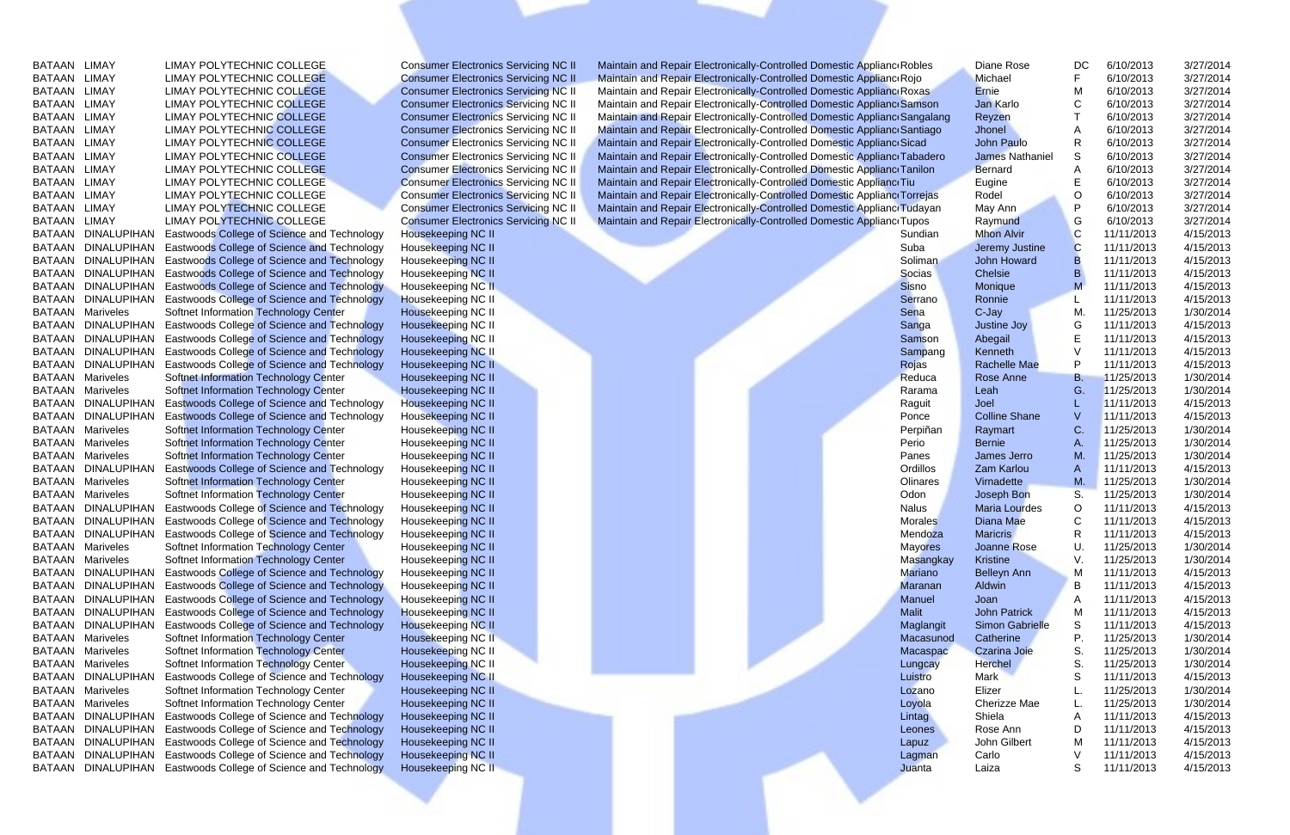BATAAN LIMAY<br>BATAAN LIMAY LIMAY POLYTECHNIC COLLEGE Consumer Electronics Servicing NC II Maintain and Repair Electronically-Controlled Domestic Applianc Robles Diane Rose DC 6/10/2013 3/27/2014<br>BATAAN LIMAY LIMAY POLYTECHN EXTAAN LIMAY LIMAY POLYTECHNIC COLLEGE Consumer Electronics Servicing NC II Maintain and Repair Electronically-Controlled Domestic Applianc Robles Diane Rose DC 6/10/2013 3/27/2014<br>BATAAN LIMAY LIMAY POLYTECHNIC COLLEGE Co EXTAAN LIMAY AND LIMAY POLYTECHNIC COLLEGE Consumer Electronics Servicing NC II Maintain and Repair Electronically-Controlled Domestic Applianc Robles Diane Rose DC 6/10/2013 3/27/2014<br>BATAAN LIMAY AND LIMAY POLYTECHNIC CO EXECTRIC COLLEGE CONSULT CONSULT CONSULT CONSULT CONSULT CONSULT CONSULT CONSULT CONSULT CONSULT CONSULT CONSULT CONSULT CONSULT CONSULT CONSULT CONSULT CONSULT CONSULT CONSULT CONSULT CONSULT CONSULT CONSULT CONSULT CONSU 1999 BATAAN LIMAY POLYTECHNIC COLLEGE Consumer Electronics Servicing NC II Maintain and Repair Electronically-Controlled Domestic Applianc Roje<br>BATAAN LIMAY LIMAY POLYTECHNIC COLLEGE Consumer Electronics Servicing NC II Ma EMAY EUMAY POLYTECHNIC COLLEGE Consumer Electronics Servicing NC II Maintain and Repair Electronically-Controlled Domestic Appliance Repair Polyton (MAY POLYTECHNIC COLLEGE Consumer Electronics Servicing NC II Maintain and EMAY EUMAY POLYTECHNIC COLLEGE Consumer Electronics Servicing NC II Maintain and Repair Electronically-Controlled Domestic Appliance Royals Errie Mathemate (Appliance Servicing NC II Maintain and Repair Electronically-Cont EMAY ELIMAY POLYTECHNIC COLLEGE Consumer Electronics Servicing NC II Maintain and Repair Electronically-Controlled Domestic Appliance Samson Jam Karlo Consumer Electronics Servicing NC II Maintain and Repair Electronically EMAY EUMAY POLYTECHNIC COLLEGE Consumer Electronics Servicing NC II Maintain and Repair Electronically-Controlled Domestic Appliance Sangalang Reyzen COLLEGE Consumer Electronics Servicing NC II Maintain and Repair Electro EMAY EUMAY POLYTECHNIC COLLEGE Consumer Electronics Servicing NC II Maintain and Repair Electronically-Controlled Domestic Appliance Standard Consumer Electronically-Controlled Domestic Appliance School and Repair Electron EMAY EMAY POLYTECHNIC COLLEGE Consumer Electronics Servicing NC II Maintain and Repair Electronically-Controlled Domestic Appliance Tabadero James Nathaniel States 6/10/2013 3/27/2014<br>
BATAAN LIMAY POLYTECHNIC COLLEGE Cons EMAY EMAY POLYTECHNIC COLLEGE Consumer Electronics Servicing NC II Maintain and Repair Electronically-Controlled Domestic Appliance Tabadero James Nathaniel States 1999<br>
BATAAN LIMAY ANNELYTECHNIC COLLEGE Consumer Electron EXTAAN LIMAY POLYTECHNIC COLLEGE Consumer Electronics Servicing NC II Maintain and Repair Electronically-Controlled Domestic Appliance Tanilon Bernard A 6/10/2013 3/27/2014<br>
BATAAN LIMAY POLYTECHNIC COLLEGE Consumer Electr

| BATAAN LIMAY |                         | LIMAY POLYTECHNIC COLLEGE                                      | <b>Consumer Electronics Servicing NC II</b> | Maintain and Repair Electronically-Controlled Domestic Applianc Robles    |                | Diane Rose             | DC           | 6/10/2013  | 3/27/2014 |
|--------------|-------------------------|----------------------------------------------------------------|---------------------------------------------|---------------------------------------------------------------------------|----------------|------------------------|--------------|------------|-----------|
| BATAAN LIMAY |                         | LIMAY POLYTECHNIC COLLEGE                                      | <b>Consumer Electronics Servicing NC II</b> | Maintain and Repair Electronically-Controlled Domestic Applianc Rojo      |                | Michael                |              | 6/10/2013  | 3/27/2014 |
| BATAAN LIMAY |                         | LIMAY POLYTECHNIC COLLEGE                                      | <b>Consumer Electronics Servicing NC II</b> | Maintain and Repair Electronically-Controlled Domestic Applianc Roxas     |                | <b>Ernie</b>           | M            | 6/10/2013  | 3/27/2014 |
| BATAAN LIMAY |                         | LIMAY POLYTECHNIC COLLEGE                                      | <b>Consumer Electronics Servicing NC II</b> | Maintain and Repair Electronically-Controlled Domestic Applianc Samson    |                | Jan Karlo              |              | 6/10/2013  | 3/27/2014 |
| BATAAN LIMAY |                         | <b>LIMAY POLYTECHNIC COLLEGE</b>                               | <b>Consumer Electronics Servicing NC II</b> | Maintain and Repair Electronically-Controlled Domestic Applianc Sangalang |                | Reyzen                 |              | 6/10/2013  | 3/27/2014 |
| BATAAN LIMAY |                         | LIMAY POLYTECHNIC COLLEGE                                      | <b>Consumer Electronics Servicing NC II</b> | Maintain and Repair Electronically-Controlled Domestic Applianc Santiago  |                | Jhonel                 |              | 6/10/2013  | 3/27/2014 |
| BATAAN LIMAY |                         | LIMAY POLYTECHNIC COLLEGE                                      | <b>Consumer Electronics Servicing NC II</b> | Maintain and Repair Electronically-Controlled Domestic Applianc Sicad     |                | <b>John Paulo</b>      | R            | 6/10/2013  | 3/27/2014 |
| BATAAN LIMAY |                         | LIMAY POLYTECHNIC COLLEGE                                      | <b>Consumer Electronics Servicing NC II</b> | Maintain and Repair Electronically-Controlled Domestic Applianc Tabadero  |                | <b>James Nathaniel</b> | S            | 6/10/2013  | 3/27/2014 |
| BATAAN LIMAY |                         | LIMAY POLYTECHNIC COLLEGE                                      | <b>Consumer Electronics Servicing NC II</b> | Maintain and Repair Electronically-Controlled Domestic Applianc Tanilon   |                | <b>Bernard</b>         |              | 6/10/2013  | 3/27/2014 |
| BATAAN LIMAY |                         | LIMAY POLYTECHNIC COLLEGE                                      | <b>Consumer Electronics Servicing NC II</b> | Maintain and Repair Electronically-Controlled Domestic Applianc Tiu       |                | Eugine                 | E            | 6/10/2013  | 3/27/2014 |
| BATAAN LIMAY |                         | LIMAY POLYTECHNIC COLLEGE                                      | <b>Consumer Electronics Servicing NC II</b> | Maintain and Repair Electronically-Controlled Domestic Applianc Torrejas  |                | Rodel                  | O            | 6/10/2013  | 3/27/2014 |
| BATAAN LIMAY |                         | LIMAY POLYTECHNIC COLLEGE                                      | <b>Consumer Electronics Servicing NC II</b> | Maintain and Repair Electronically-Controlled Domestic Applianc Tudayan   |                | May Ann                | P            | 6/10/2013  | 3/27/2014 |
| BATAAN LIMAY |                         | <b>LIMAY POLYTECHNIC COLLEGE</b>                               | <b>Consumer Electronics Servicing NC II</b> | Maintain and Repair Electronically-Controlled Domestic Applianc Tupos     |                | Raymund                | G            | 6/10/2013  | 3/27/2014 |
| BATAAN       | <b>DINALUPIHAN</b>      | Eastwoods College of Science and Technology                    | Housekeeping NC II                          |                                                                           | Sundian        | <b>Mhon Alvir</b>      | С            | 11/11/2013 | 4/15/2013 |
| BATAAN       | DINALUPIHAN             | <b>Eastwoods College of Science and Technology</b>             | Housekeeping NC II                          |                                                                           | Suba           | Jeremy Justine         |              | 11/11/2013 | 4/15/2013 |
|              |                         | BATAAN DINALUPIHAN Eastwoods College of Science and Technology | Housekeeping NC II                          |                                                                           | Soliman        | John Howard            |              | 11/11/2013 | 4/15/2013 |
|              |                         | BATAAN DINALUPIHAN Eastwoods College of Science and Technology | Housekeeping NC II                          |                                                                           | <b>Socias</b>  | Chelsie                |              | 11/11/2013 | 4/15/2013 |
|              |                         | BATAAN DINALUPIHAN Eastwoods College of Science and Technology | Housekeeping NC II                          |                                                                           | Sisno          | Monique                |              | 11/11/2013 | 4/15/2013 |
|              | BATAAN DINALUPIHAN      | <b>Eastwoods College of Science and Technology</b>             | Housekeeping NC II                          |                                                                           | Serrano        | Ronnie                 |              | 11/11/2013 | 4/15/2013 |
| BATAAN       | Mariveles               | Softnet Information Technology Center                          | Housekeeping NC II                          |                                                                           | Sena           | C-Jay                  | M.           | 11/25/2013 | 1/30/2014 |
| BATAAN       | DINALUPIHAN             | <b>Eastwoods College of Science and Technology</b>             | Housekeeping NC II                          |                                                                           | Sanga          | Justine Joy            | G            | 11/11/2013 | 4/15/2013 |
| BATAAN       | DINALUPIHAN             | <b>Eastwoods College of Science and Technology</b>             | Housekeeping NC II                          |                                                                           | Samson         | Abegail                |              | 11/11/2013 | 4/15/2013 |
|              |                         | BATAAN DINALUPIHAN Eastwoods College of Science and Technology | Housekeeping NC II                          |                                                                           | Sampang        | Kenneth                |              | 11/11/2013 | 4/15/2013 |
|              | BATAAN DINALUPIHAN      | <b>Eastwoods College of Science and Technology</b>             | Housekeeping NC II                          |                                                                           | Rojas          | <b>Rachelle Mae</b>    | P            | 11/11/2013 | 4/15/2013 |
|              | BATAAN Mariveles        | Softnet Information Technology Center                          | Housekeeping NC II                          |                                                                           | Reduca         | Rose Anne              | Β.           | 11/25/2013 | 1/30/2014 |
|              | <b>BATAAN Mariveles</b> | Softnet Information Technology Center                          | Housekeeping NC II                          |                                                                           | Rarama         | Leah                   | G.           | 11/25/2013 | 1/30/2014 |
|              | BATAAN DINALUPIHAN      | Eastwoods College of Science and Technology                    | Housekeeping NC II                          |                                                                           | Raguit         | Joel                   |              | 11/11/2013 | 4/15/2013 |
|              | BATAAN DINALUPIHAN      | <b>Eastwoods College of Science and Technology</b>             | Housekeeping NC II                          |                                                                           | Ponce          | <b>Colline Shane</b>   |              | 11/11/2013 | 4/15/2013 |
| BATAAN       | Mariveles               | Softnet Information Technology Center                          | Housekeeping NC II                          |                                                                           | Perpiñan       | Raymart                | C.           | 11/25/2013 | 1/30/2014 |
| BATAAN       | Mariveles               | Softnet Information Technology Center                          | Housekeeping NC II                          |                                                                           | Perio          | <b>Bernie</b>          |              | 11/25/2013 | 1/30/2014 |
|              | <b>BATAAN Mariveles</b> | Softnet Information Technology Center                          | Housekeeping NC II                          |                                                                           | Panes          | James Jerro            | M.           | 11/25/2013 | 1/30/2014 |
|              | BATAAN DINALUPIHAN      | Eastwoods College of Science and Technology                    | Housekeeping NC II                          |                                                                           | Ordillos       | Zam Karlou             |              | 11/11/2013 | 4/15/2013 |
|              | <b>BATAAN Mariveles</b> | Softnet Information Technology Center                          | Housekeeping NC II                          |                                                                           | Olinares       | Virnadette             | M.           | 11/25/2013 | 1/30/2014 |
|              | <b>BATAAN Mariveles</b> | Softnet Information Technology Center                          | Housekeeping NC II                          |                                                                           | Odon           | Joseph Bon             | S.           | 11/25/2013 | 1/30/2014 |
|              | BATAAN DINALUPIHAN      | Eastwoods College of Science and Technology                    | Housekeeping NC II                          |                                                                           | <b>Nalus</b>   | <b>Maria Lourdes</b>   | O            | 11/11/2013 | 4/15/2013 |
|              |                         | BATAAN DINALUPIHAN Eastwoods College of Science and Technology | Housekeeping NC II                          |                                                                           | <b>Morales</b> | Diana Mae              | $\mathsf{C}$ | 11/11/2013 | 4/15/2013 |
|              | BATAAN DINALUPIHAN      | <b>Eastwoods College of Science and Technology</b>             | Housekeeping NC II                          |                                                                           | Mendoza        | <b>Maricris</b>        |              | 11/11/2013 | 4/15/2013 |
|              | <b>BATAAN Mariveles</b> | Softnet Information Technology Center                          | Housekeeping NC II                          |                                                                           | <b>Mayores</b> | Joanne Rose            | U.           | 11/25/2013 | 1/30/2014 |
|              | <b>BATAAN Mariveles</b> | Softnet Information Technology Center                          | Housekeeping NC II                          |                                                                           | Masangkay      | <b>Kristine</b>        | V.           | 11/25/2013 | 1/30/2014 |
|              | BATAAN DINALUPIHAN      | Eastwoods College of Science and Technology                    | Housekeeping NC II                          |                                                                           | <b>Mariano</b> | Belleyn Ann            | M            | 11/11/2013 | 4/15/2013 |
|              | BATAAN DINALUPIHAN      | Eastwoods College of Science and Technology                    | Housekeeping NC II                          |                                                                           | <b>Maranan</b> | Aldwin                 | B            | 11/11/2013 | 4/15/2013 |
|              |                         | BATAAN DINALUPIHAN Eastwoods College of Science and Technology | <b>Housekeeping NC II</b>                   |                                                                           | Manuel         | Joan                   | A            | 11/11/2013 | 4/15/2013 |
|              | BATAAN DINALUPIHAN      | <b>Eastwoods College of Science and Technology</b>             | <b>Housekeeping NC II</b>                   |                                                                           | <b>Malit</b>   | <b>John Patrick</b>    | м            | 11/11/2013 | 4/15/2013 |
|              | BATAAN DINALUPIHAN      | Eastwoods College of Science and Technology                    | <b>Housekeeping NC II</b>                   |                                                                           | Maglangit      | <b>Simon Gabrielle</b> | S            | 11/11/2013 | 4/15/2013 |
|              | <b>BATAAN Mariveles</b> | Softnet Information Technology Center                          | Housekeeping NC II                          |                                                                           | Macasunod      | Catherine              | Р.           | 11/25/2013 | 1/30/2014 |
|              | <b>BATAAN Mariveles</b> | Softnet Information Technology Center                          | Housekeeping NC II                          |                                                                           | Macaspac       | <b>Czarina Joie</b>    | S.           | 11/25/2013 | 1/30/2014 |
|              | <b>BATAAN Mariveles</b> | Softnet Information Technology Center                          | Housekeeping NC II                          |                                                                           | Lungcay        | <b>Herchel</b>         | S.           | 11/25/2013 | 1/30/2014 |
|              | BATAAN DINALUPIHAN      | Eastwoods College of Science and Technology                    | Housekeeping NC II                          |                                                                           | Luistro        | Mark                   |              | 11/11/2013 | 4/15/2013 |
|              | <b>BATAAN Mariveles</b> | Softnet Information Technology Center                          | Housekeeping NC II                          |                                                                           | Lozano         | Elizer                 |              | 11/25/2013 | 1/30/2014 |
|              | <b>BATAAN Mariveles</b> | Softnet Information Technology Center                          | Housekeeping NC II                          |                                                                           | Loyola         | Cherizze Mae           |              | 11/25/2013 | 1/30/2014 |
|              | BATAAN DINALUPIHAN      | Eastwoods College of Science and Technology                    | Housekeeping NC II                          |                                                                           | Lintag         | Shiela                 |              | 11/11/2013 | 4/15/2013 |
|              |                         | BATAAN DINALUPIHAN Eastwoods College of Science and Technology | Housekeeping NC II                          |                                                                           | Leones         | Rose Ann               | D            | 11/11/2013 | 4/15/2013 |
|              |                         | BATAAN DINALUPIHAN Eastwoods College of Science and Technology | Housekeeping NC II                          |                                                                           | Lapuz          | John Gilbert           | M            | 11/11/2013 | 4/15/2013 |
|              |                         | BATAAN DINALUPIHAN Eastwoods College of Science and Technology | Housekeeping NC II                          |                                                                           | Lagman         | Carlo                  |              | 11/11/2013 | 4/15/2013 |
|              |                         | BATAAN DINALUPIHAN Eastwoods College of Science and Technology | Housekeeping NC II                          |                                                                           | Juanta         | Laiza                  | S            | 11/11/2013 | 4/15/2013 |
|              |                         |                                                                |                                             |                                                                           |                |                        |              |            |           |
|              |                         |                                                                |                                             |                                                                           |                |                        |              |            |           |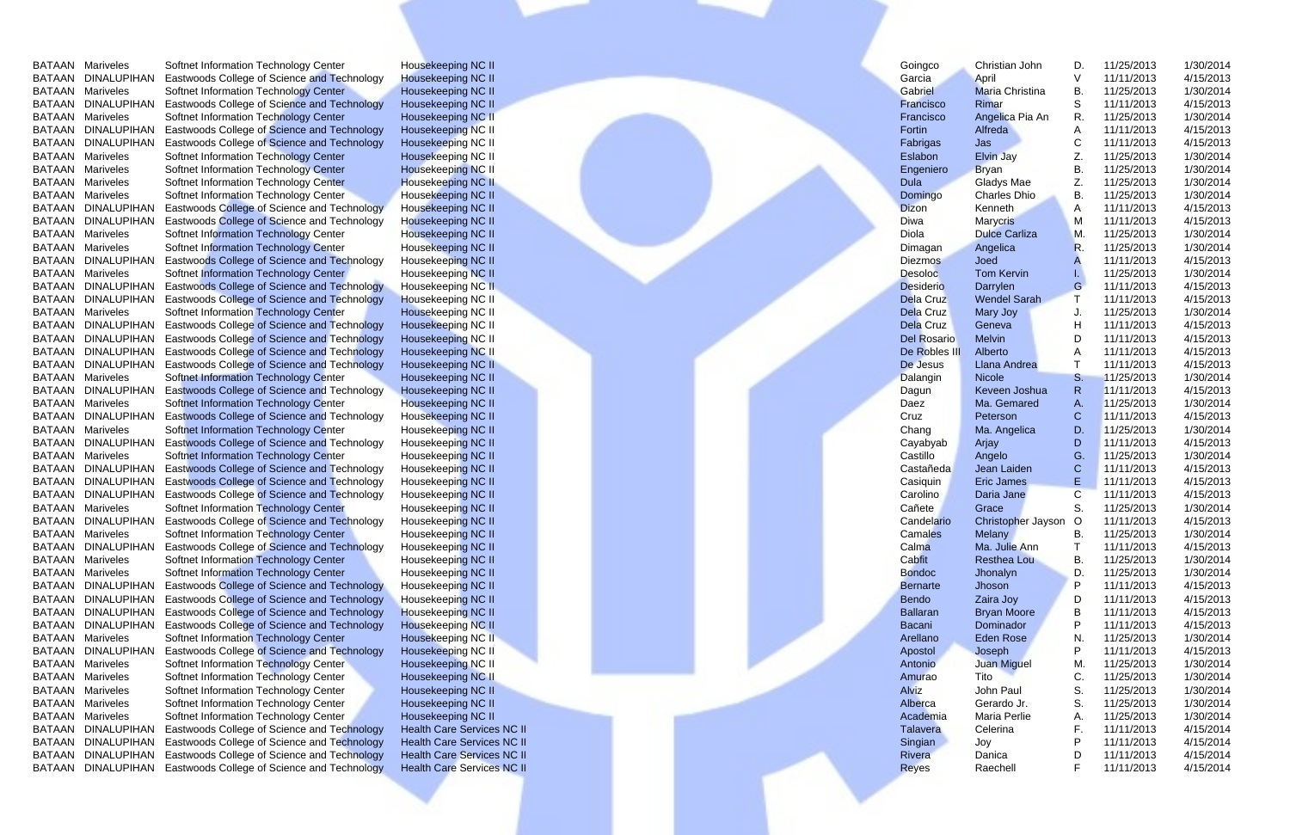|        | <b>BATAAN Mariveles</b><br>BATAAN DINALUPIHAN | Softnet Information Technology Center<br>Eastwoods College of Science and Technology | Housekeeping NC II                              |  | Goingco            | Christian John                  | D.      | 11/25/2013<br>11/11/2013 | 1/30/2014<br>4/15/2013 |  |
|--------|-----------------------------------------------|--------------------------------------------------------------------------------------|-------------------------------------------------|--|--------------------|---------------------------------|---------|--------------------------|------------------------|--|
|        | <b>BATAAN Mariveles</b>                       | Softnet Information Technology Center                                                | <b>Housekeeping NC II</b><br>Housekeeping NC II |  | Garcia<br>Gabriel  | April<br><b>Maria Christina</b> | В.      | 11/25/2013               | 1/30/2014              |  |
|        | BATAAN DINALUPIHAN                            | Eastwoods College of Science and Technology                                          | Housekeeping NC II                              |  | Francisco          | Rimar                           | S       | 11/11/2013               | 4/15/2013              |  |
|        | <b>BATAAN Mariveles</b>                       | Softnet Information Technology Center                                                | Housekeeping NC II                              |  | Francisco          | Angelica Pia An                 | R.      | 11/25/2013               | 1/30/2014              |  |
|        | BATAAN DINALUPIHAN                            | Eastwoods College of Science and Technology                                          | Housekeeping NC II                              |  | Fortin             | Alfreda                         |         | 11/11/2013               | 4/15/2013              |  |
|        | BATAAN DINALUPIHAN                            | Eastwoods College of Science and Technology                                          | Housekeeping NC II                              |  | Fabrigas           | Jas                             |         | 11/11/2013               | 4/15/2013              |  |
|        | <b>BATAAN Mariveles</b>                       | Softnet Information Technology Center                                                | Housekeeping NC II                              |  | Eslabon            | <b>Elvin Jay</b>                |         | 11/25/2013               | 1/30/2014              |  |
| BATAAN | Mariveles                                     | Softnet Information Technology Center                                                | Housekeeping NC II                              |  | Engeniero          | <b>Bryan</b>                    | В.      | 11/25/2013               | 1/30/2014              |  |
| BATAAN | Mariveles                                     | Softnet Information Technology Center                                                | <b>Housekeeping NC II</b>                       |  | <b>Dula</b>        | Gladys Mae                      |         | 11/25/2013               | 1/30/2014              |  |
| BATAAN | Mariveles                                     | Softnet Information Technology Center                                                | Housekeeping NC II                              |  | Domingo            | Charles Dhio                    | В.      | 11/25/2013               | 1/30/2014              |  |
| BATAAN | DINALUPIHAN                                   | Eastwoods College of Science and Technology                                          | Housekeeping NC II                              |  | <b>Dizon</b>       | Kenneth                         | A       | 11/11/2013               | 4/15/2013              |  |
|        | BATAAN DINALUPIHAN                            | Eastwoods College of Science and Technology                                          | Housekeeping NC II                              |  | Diwa               | <b>Marycris</b>                 | M       | 11/11/2013               | 4/15/2013              |  |
| BATAAN | Mariveles                                     | Softnet Information Technology Center                                                | <b>Housekeeping NC II</b>                       |  | Diola              | <b>Dulce Carliza</b>            | М       | 11/25/2013               | 1/30/2014              |  |
| BATAAN | Mariveles                                     | Softnet Information Technology Center                                                | Housekeeping NC II                              |  | Dimagan            | Angelica                        |         | 11/25/2013               | 1/30/2014              |  |
| BATAAN | <b>DINALUPIHAN</b>                            | Eastwoods College of Science and Technology                                          | Housekeeping NC II                              |  | <b>Diezmos</b>     | Joed                            |         | 11/11/2013               | 4/15/2013              |  |
| BATAAN | Mariveles                                     | Softnet Information Technology Center                                                | Housekeeping NC II                              |  | <b>Desoloc</b>     | <b>Tom Kervin</b>               |         | 11/25/2013               | 1/30/2014              |  |
| BATAAN | <b>DINALUPIHAN</b>                            | <b>Eastwoods College of Science and Technology</b>                                   | Housekeeping NC II                              |  | <b>Desiderio</b>   | Darrylen                        | G       | 11/11/2013               | 4/15/2013              |  |
| BATAAN | <b>DINALUPIHAN</b>                            | <b>Eastwoods College of Science and Technology</b>                                   | Housekeeping NC II                              |  | <b>Dela Cruz</b>   | <b>Wendel Sarah</b>             |         | 11/11/2013               | 4/15/2013              |  |
| BATAAN | Mariveles                                     | Softnet Information Technology Center                                                | Housekeeping NC II                              |  | <b>Dela Cruz</b>   | Mary Joy                        |         | 11/25/2013               | 1/30/2014              |  |
| BATAAN | <b>DINALUPIHAN</b>                            | Eastwoods College of Science and Technology                                          | Housekeeping NC II                              |  | Dela Cruz          | Geneva                          |         | 11/11/2013               | 4/15/2013              |  |
|        | BATAAN DINALUPIHAN                            | <b>Eastwoods College of Science and Technology</b>                                   | Housekeeping NC II                              |  | <b>Del Rosario</b> | Melvin                          |         | 11/11/2013               | 4/15/2013              |  |
|        | BATAAN DINALUPIHAN                            | <b>Eastwoods College of Science and Technology</b>                                   | Housekeeping NC II                              |  | De Robles III      | Alberto                         |         | 11/11/2013               | 4/15/2013              |  |
|        | BATAAN DINALUPIHAN                            | Eastwoods College of Science and Technology                                          | Housekeeping NC II                              |  | De Jesus           | Llana Andrea                    |         | 11/11/2013               | 4/15/2013              |  |
| BATAAN | Mariveles                                     | <b>Softnet Information Technology Center</b>                                         | Housekeeping NC II                              |  | Dalangin           | Nicole                          | S.      | 11/25/2013               | 1/30/2014              |  |
| BATAAN | DINALUPIHAN                                   | Eastwoods College of Science and Technology                                          | <b>Housekeeping NC II</b>                       |  | Dagun              | Keveen Joshua                   |         | 11/11/2013               | 4/15/2013              |  |
| BATAAN | Mariveles                                     | Softnet Information Technology Center                                                | Housekeeping NC II                              |  | Daez               | Ma. Gemared                     | А.      | 11/25/2013               | 1/30/2014              |  |
| BATAAN | DINALUPIHAN                                   | <b>Eastwoods College of Science and Technology</b>                                   | Housekeeping NC II                              |  | Cruz               | Peterson                        |         | 11/11/2013               | 4/15/2013              |  |
| BATAAN | Mariveles                                     | <b>Softnet Information Technology Center</b>                                         | Housekeeping NC II                              |  | Chang              | Ma. Angelica                    | D.      | 11/25/2013               | 1/30/2014              |  |
|        | BATAAN DINALUPIHAN                            | <b>Eastwoods College of Science and Technology</b>                                   | Housekeeping NC II                              |  | Cayabyab           | Arjay                           | D       | 11/11/2013               | 4/15/2013              |  |
|        | <b>BATAAN Mariveles</b>                       | <b>Softnet Information Technology Center</b>                                         | Housekeeping NC II                              |  | Castillo           | Angelo                          | G       | 11/25/2013               | 1/30/2014              |  |
|        | BATAAN DINALUPIHAN                            | <b>Eastwoods College of Science and Technology</b>                                   | Housekeeping NC II                              |  | Castañeda          | Jean Laiden                     | С       | 11/11/2013               | 4/15/2013              |  |
|        |                                               | BATAAN DINALUPIHAN Eastwoods College of Science and Technology                       | Housekeeping NC II                              |  | Casiquin           | <b>Eric James</b>               | E.      | 11/11/2013               | 4/15/2013              |  |
|        | BATAAN DINALUPIHAN                            | Eastwoods College of Science and Technology                                          | Housekeeping NC II                              |  | Carolino           | Daria Jane                      | С       | 11/11/2013               | 4/15/2013              |  |
|        | <b>BATAAN Mariveles</b>                       | Softnet Information Technology Center                                                | Housekeeping NC II                              |  | Cañete             | Grace                           | S.      | 11/25/2013               | 1/30/2014              |  |
|        | BATAAN DINALUPIHAN                            | Eastwoods College of Science and Technology                                          | Housekeeping NC II                              |  | Candelario         | Christopher Jayson              | $\circ$ | 11/11/2013               | 4/15/2013              |  |
|        | <b>BATAAN Mariveles</b>                       | Softnet Information Technology Center                                                | Housekeeping NC II                              |  | Camales            | <b>Melany</b>                   | В.      | 11/25/2013               | 1/30/2014              |  |
|        | BATAAN DINALUPIHAN                            | Eastwoods College of Science and Technology                                          | Housekeeping NC II                              |  | Calma              | Ma. Julie Ann                   |         | 11/11/2013               | 4/15/2013              |  |
|        | <b>BATAAN Mariveles</b>                       | Softnet Information Technology Center                                                | Housekeeping NC II                              |  | Cabfit             | <b>Resthea Lou</b>              | В.      | 11/25/2013               | 1/30/2014              |  |
|        | <b>BATAAN Mariveles</b>                       | Softnet Information Technology Center                                                | Housekeeping NC II                              |  | <b>Bondoc</b>      | Jhonalyn                        | D.      | 11/25/2013               | 1/30/2014              |  |
|        | BATAAN DINALUPIHAN                            | <b>Eastwoods College of Science and Technology</b>                                   | Housekeeping NC II                              |  | <b>Bernarte</b>    | Jhoson                          | P       | 11/11/2013               | 4/15/2013              |  |
|        | BATAAN DINALUPIHAN                            | <b>Eastwoods College of Science and Technology</b>                                   | Housekeeping NC II                              |  | <b>Bendo</b>       | Zaira Joy                       | D       | 11/11/2013               | 4/15/2013              |  |
|        | BATAAN DINALUPIHAN                            | Eastwoods College of Science and Technology                                          | <b>Housekeeping NC II</b>                       |  | <b>Ballaran</b>    | <b>Bryan Moore</b>              |         | 11/11/2013               | 4/15/2013              |  |
|        | BATAAN DINALUPIHAN                            | Eastwoods College of Science and Technology                                          | <b>Housekeeping NC II</b>                       |  | Bacani             | Dominador                       |         | 11/11/2013               | 4/15/2013              |  |
|        | <b>BATAAN Mariveles</b>                       | Softnet Information Technology Center                                                | Housekeeping NC II                              |  | Arellano           | Eden Rose                       | N.      | 11/25/2013               | 1/30/2014              |  |
|        | BATAAN DINALUPIHAN                            | <b>Eastwoods College of Science and Technology</b>                                   | Housekeeping NC II                              |  | Apostol            | Joseph                          |         | 11/11/2013               | 4/15/2013              |  |
|        | <b>BATAAN Mariveles</b>                       | Softnet Information Technology Center                                                | <b>Housekeeping NC II</b>                       |  | Antonio            | Juan Miguel                     | M.      | 11/25/2013               | 1/30/2014              |  |
|        | <b>BATAAN Mariveles</b>                       | Softnet Information Technology Center                                                | Housekeeping NC II                              |  | Amurao             | Tito                            | С       | 11/25/2013               | 1/30/2014              |  |
|        | <b>BATAAN Mariveles</b>                       | Softnet Information Technology Center                                                | Housekeeping NC II                              |  | <b>Alviz</b>       | John Paul                       | S.      | 11/25/2013               | 1/30/2014              |  |
| BATAAN | Mariveles                                     | Softnet Information Technology Center                                                | Housekeeping NC II                              |  | Alberca            | Gerardo Jr.                     | S.      | 11/25/2013               | 1/30/2014              |  |
| BATAAN | Mariveles                                     | Softnet Information Technology Center                                                | Housekeeping NC II                              |  | Academia           | Maria Perlie                    |         | 11/25/2013               | 1/30/2014              |  |
| BATAAN | DINALUPIHAN                                   | Eastwoods College of Science and Technology                                          | <b>Health Care Services NC II</b>               |  | <b>Talavera</b>    | Celerina                        |         | 11/11/2013               | 4/15/2014              |  |
| BATAAN |                                               | DINALUPIHAN Eastwoods College of Science and Technology                              | <b>Health Care Services NC II</b>               |  | Singian            | Joy                             |         | 11/11/2013               | 4/15/2014              |  |
|        |                                               | BATAAN DINALUPIHAN Eastwoods College of Science and Technology                       | <b>Health Care Services NC II</b>               |  | Rivera             | Danica                          |         | 11/11/2013               | 4/15/2014              |  |
|        |                                               | BATAAN DINALUPIHAN Eastwoods College of Science and Technology                       | <b>Health Care Services NC II</b>               |  | <b>Reyes</b>       | Raechell                        |         | 11/11/2013               | 4/15/2014              |  |
|        |                                               |                                                                                      |                                                 |  |                    |                                 |         |                          |                        |  |
|        |                                               |                                                                                      |                                                 |  |                    |                                 |         |                          |                        |  |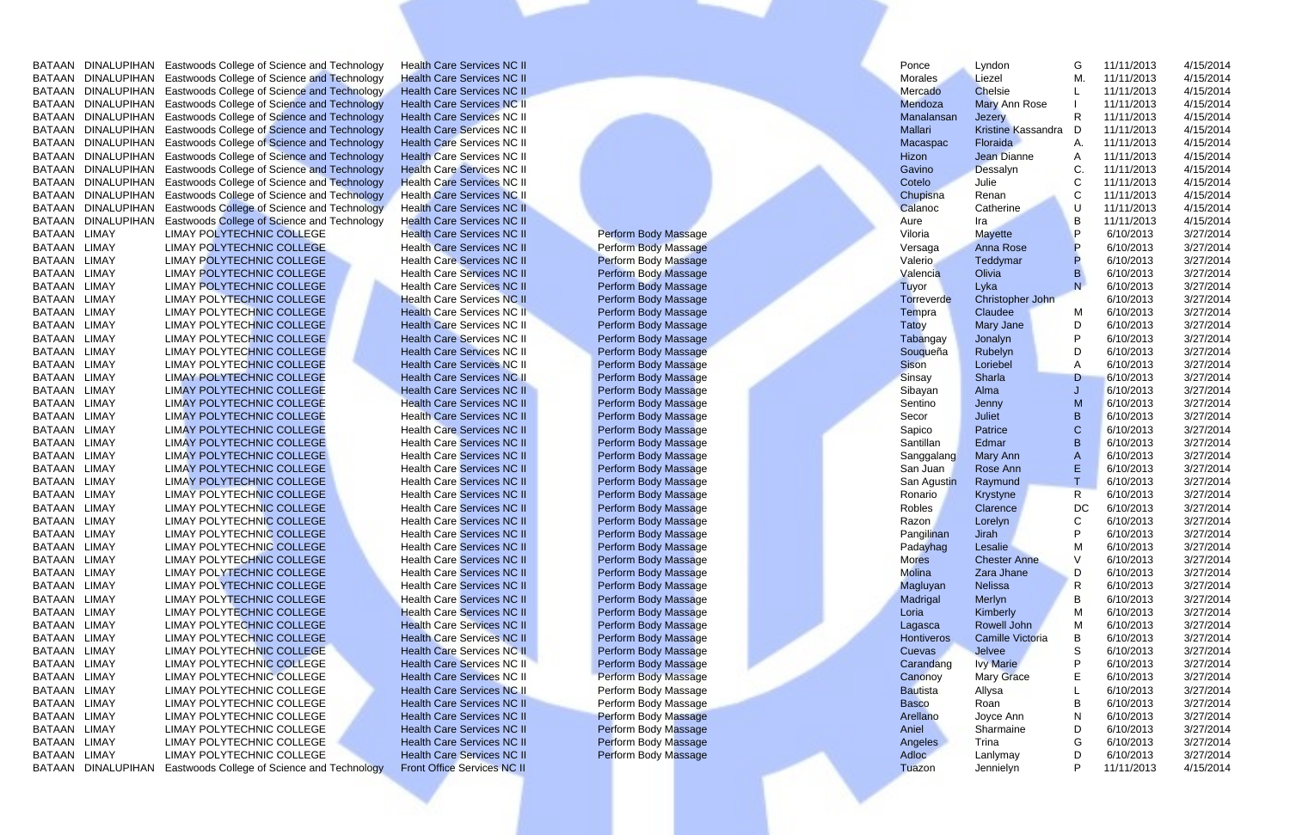BATAAN DINALUPIHAN Eastwoods College of Science and Technology Health Care Services NC II Ponce Lyndon G 11/11/2013 4/15/2014<br>BATAAN DINALUPIHAN Eastwoods College of Science and Technology Health Care Services NC II Morale BATAAN DINALUPIHAN Eastwoods College of Science and Technology Health Care Services NC II Morales Liezel M. 11/11/2013 4/15/2014 BATAAN DINALUPIHAN Eastwoods College of Science and Technology Health Care Services NC II Mercado Chelsie L 11/11/2013 4/15/2014 BATAAN DINALUPIHAN Eastwoods College of Science and Technology Health Care Services NC II Mendoza Mary Ann Rose I 11/11/2013 4/15/2014 BATAAN DINALUPIHAN Eastwoods College of Science and Technology Health Care Services NC II Manalansan Jezery R 11/11/2013 4/15/2014 EXTAAN DINALUPIHAN Eastwoods College of Science and Technology Health Care Services NC II Morales Liezel M. 11/11/2013 4/15/2014<br>
BATAAN DINALUPIHAN Eastwoods College of Science and Technology Health Care Services NC II Me EXTAAN DINALUPIHAN Eastwoods College of Science and Technology Health Care Services NC II Mercado Chelsie L. 11/11/2013 4/15/2014<br>
BATAAN DINALUPIHAN Eastwoods College of Science and Technology Health Care Services NC II M EXTAAN DINALUPIHAN Eastwoods College of Science and Technology Health Care Services NC II Manalansan Jezery Research Manalansa Jezery Research Manalansa Jezery Research Manalansa Jezery Research Manalansa Jezery Research M EXTAAN DINALUPIHAN Eastwoods College of Science and Technology Health Care Services NC II Malalansan Jezery R. 11/11/2013 4/15/2014<br>
BATAAN DINALUPIHAN Eastwoods College of Science and Technology Health Care Services NC II EXTAAN DINALUPIHAN Eastwoods College of Science and Technology Health Care Services NC II Macaspac Floraida A. 11/11/2013 4/15/2014<br>
BATAAN DINALUPIHAN Eastwoods College of Science and Technology Health Care Services NC II EXTAAN DINALUPIHAN Eastwoods College of Science and Technology Health Care Services NC II Hizon and Technology Health Care Services NC II Hizon and Technology Health Care Services NC II Hizon and Technology Health Care Ser EXTAAN DINALUPIHAN Eastwoods College of Science and Technology Health Care Services NC II Care and Technology Health Care Services NC II<br>
BATAAN DINALUPIHAN Eastwoods College of Science and Technology Health Care Services EXTAAN DINALUPIHAN Eastwoods College of Science and Technology Health Care Services NC II<br>
BATAAN DINALUPIHAN Eastwoods College of Science and Technology Health Care Services NC II<br>
BATAAN DINALUPIHAN Eastwoods College of EXTAAN DINALUPIHAN Eastwoods College of Science and Technology Health Care Services NC II<br>
BATAAN DINALUPIHAN Eastwoods College of Science and Technology Health Care Services NC II BATAAN DINALUPIHAN Eastwoods College of S EXTAAN DINALUPIHAN Eastwoods College of Science and Technology Health Care Services NC II<br>
BATAAN DINALUPIHAN Eastwoods College of Science and Technology Health Care Services NC II<br>
BATAAN LIMAY POLYTECHNIC COLLEGE Health EXTAAN DINALUPIHAN Eastwoods College of Science and Technology Health Care Services NC II<br>
BATAAN LIMAY POLYTECHNIC COLLEGE Health Care Services NC II Perform Body Massage MARIAN LIMAY POLYTECHNIC COLLEGE Health Care Servi EXTAAN LIMAY POLYTECHNIC COLLEGE Health Care Services NC II Perform Body Massage Manual College of Science and Technology Health Care Services NC II Perform Body Massage Health Care Services NC II Perform Body Massage Vale EXTAAN LIMAY LIMAY POLYTECHNIC COLLEGE Health Care Services NC II Perform Body Massage Warra Mayette Perform Body Massage Mana Rose Perform Body Massage Mana Rose Perform Body Massage Health Care Services NC II Perform Bod EMAN LIMAY POLYTECHNIC COLLEGE Health Care Services NC II Perform Body Massage Warrant LIMAY POLYTECHNIC COLLEGE Health Care Services NC II Perform Body Massage Versaga Anna Rose P 6/10/2013 3/27/2014<br>
BATAAN LIMAY POLYTEC EMAN LIMAY POLYTECHNIC COLLEGE Health Care Services NC II Perform Body Massage Valerio Teddymar P 6/10/2013 3/27/2014<br>
BATAAN LIMAY POLYTECHNIC COLLEGE Health Care Services NC II Perform Body Massage Valerio Teddymar B 6/1 EMAN LIMAY POLYTECHNIC COLLEGE Health Care Services NC II Perform Body Massage Martanan LIMAY POLYTECHNIC COLLEGE Health Care Services NC II Perform Body Massage Tato and the services NC II Perform Body Massage Tato and th EMAN LIMAY POLYTECHNIC COLLEGE Health Care Services NC II Perform Body Massage Tuyor Lyka New Services NC II Perform Body Massage Tuyor Lyka New Services NC II Perform Body Massage Tuyor Lyka New Services NC II Perform Bod EMAN LIMAY POLYTECHNIC COLLEGE Health Care Services NC II Perform Body Massage BATAAN LIMAY POLYTECHNIC COLLEGE Health Care Services NC II Perform Body Massage Torreverde Christopher John 6/10/2013 3/27/2014<br>
BATAAN LIMAY EMAN LIMAY POLYTECHNIC COLLEGE Health Care Services NC II Perform Body Massage TRAN LIMAY POLYTECHNIC COLLEGE Health Care Services NC II Perform Body Massage TRAN LIMAY POLYTECHNIC COLLEGE Health Care Services NC II Perfor EMAN LIMAY POLYTECHNIC COLLEGE Health Care Services NC II Perform Body Massage Tarty and Development and the services NC II Perform Body Massage Tarty and the Services NC II Perform Body Massage Tarty and the Services NC I EMAN LIMAY POLYTECHNIC COLLEGE Health Care Services NC II Perform Body Massage Tabangay Jonalyn EMAY POLYTECHNIC COLLEGE Health Care Services NC II Perform Body Massage Sibson Limated and Sources NC II Perform Body Massage EMAN LIMAY POLYTECHNIC COLLEGE Health Care Services NC II Perform Body Massage Services NC II Perform Body Massage Services NC II Perform Body Massage Services NC II Perform Body Massage Services NC II Perform Body Massage EMAN LIMAY POLYTECHNIC COLLEGE Health Care Services NC II Perform Body Massage Sision Collection Collection Collection Collection Collection Collection Collection Collection Collection Collection Collection Collection Coll EMAN LIMAY POLYTECHNIC COLLEGE Health Care Services NC II Perform Body Massage Sharta Collection Collection Collection Collection Collection Collection Collection Collection Collection Collection Collection Collection Coll EMAN LIMAY POLYTECHNIC COLLEGE Health Care Services NC II Perform Body Massage Santillan Care Services NC II Perform Body Massage Santillan Care Services NC II Perform Body Massage Santillan Care Services NC II Perform Bod BATAAN LIMAY LIMAY POLYTECHNIC COLLEGE Health Care Services NC II Perform Body Massage Services NC II Perform Body Massage Services NC II Perform Body Massage Services NC II Perform Body Massage Sanction (College Health EMAY LIMAY POLYTECHNIC COLLEGE Health Care Services NC II Perform Body Massage Sacro Juliet B 6/10/2013 3/27/2014<br>
BATAAN LIMAY POLYTECHNIC COLLEGE Health Care Services NC II Perform Body Massage San Juan B 6/10/2013 3/27/ EXTAAN LIMAY POLYTECHNIC COLLEGE Health Care Services NC II Perform Body Massage San Agustin Collection Collection Collection Collection Collection Collection Collection Collection Collection Collection Collection Collecti EXTAAN LIMAY POLYTECHNIC COLLEGE Health Care Services NC II Perform Body Massage Sam Juan and May Ann Band May America Services NC II Perform Body Massage Sam Juan Rose America No. 2012<br>
BATAAN LIMAY POLYTECHNIC COLLEGE He EMAY LIMAY POLYTECHNIC COLLEGE Health Care Services NC II Perform Body Massage SATAAN LIMAY Ann LIMAY POLYTECHNIC COLLEGE Health Care Services NC II Perform Body Massage SATAAN LIMAY POLYTECHNIC COLLEGE Health Care Service EXTAAN LIMAY ELIMAY POLYTECHNIC COLLEGE Health Care Services NC II Perform Body Massage States NC II Perform Body Massage States NC II Perform Body Massage States NC II Perform Body Massage States NC II Perform Body Massag EXTAAN LIMAY LIMAY POLYTECHNIC COLLEGE Health Care Services NC II Perform Body Massage SATAAN LIMAY POLYTECHNIC COLLEGE Health Care Services NC II Perform Body Massage SATAAN LIMAY POLYTECHNIC COLLEGE Health Care Services EMAN LIMAY POLYTECHNIC COLLEGE Health Care Services NC II Perform Body Massage RATAAN LIMAY POLYTECHNIC COLLEGE Health Care Services NC II Perform Body Massage RATAAN LIMAY POLYTECHNIC COLLEGE Health Care Services NC II Pe EMAN LIMAY POLYTECHNIC COLLEGE Health Care Services NC II Perform Body Massage RATAAN LIMAY POLYTECHNIC COLLEGE Health Care Services NC II Perform Body Massage RATAAN LIMAY POLYTECHNIC COLLEGE Health Care Services NC II Pe EXTAAN LIMAY EMAY POLYTECHNIC COLLEGE Health Care Services NC II Perform Body Massage Molina Jirah LIMAY POLYTECHNIC COLLEGE Health Care Services NC II Perform Body Massage Molina Jirah Jirah Jirah Jirah Jirah Jirah Jirah EXTAAN LIMAY EMAY POLYTECHNIC COLLEGE Health Care Services NC II Perform Body Massage Partaman Jirah Jirah Jirah Jirah Jirah Jirah Jirah Jirah Jirah Jirah Jirah Jirah Jirah Jirah Jirah Jirah Jirah Jirah Jirah Jirah Jirah J EXTAAN LIMAY LIMAY POLYTECHNIC COLLEGE Health Care Services NC II Perform Body Massage Math Care Services NC II<br>
BATAAN LIMAY POLYTECHNIC COLLEGE Health Care Services NC II Perform Body Massage Manuscular Merlyn Scalar Mer EMAN LIMAY POLYTECHNIC COLLEGE Health Care Services NC II Perform Body Massage Mores Chester Anne Versions (Version 2021/2014<br>
BATAAN LIMAY POLYTECHNIC COLLEGE Health Care Services NC II Perform Body Massage Mores Chester EXTAAN LIMAY ELIMAY POLYTECHNIC COLLEGE Health Care Services NC II Perform Body Massage Mole and Madrid Madrid Medicine College Health Care Services NC II Perform Body Massage Madrid Madrid Medicine Newslet Madrid Medicine EMAN LIMAY POLYTECHNIC COLLEGE Health Care Services NC II Perform Body Massage Magluyan Nelissa Reservices NC II Perform Body Massage Magluyan Nelissa Reservices NC II Perform Body Massage Hontiveros Camille Victoria B 6/1 EMAN LIMAY POLYTECHNIC COLLEGE Health Care Services NC II Perform Body Massage Madrigal Merlyn B 6/10/2013 3/27/2014<br>
BATAAN LIMAY POLYTECHNIC COLLEGE Health Care Services NC II Perform Body Massage Cuevas Cuevas Cuevas Cu EMAN LIMAY POLYTECHNIC COLLEGE Health Care Services NC II Perform Body Massage RATAAN LIMAY POLYTECHNIC COLLEGE Health Care Services NC II Perform Body Massage RATAAN LIMAY POLYTECHNIC COLLEGE Health Care Services NC II Pe BATAAN LIMAY LIMAY POLYTECHNIC COLLEGE Health Care Services NC II Perform Body Massage BATAAN LIMAY POLYTECHNIC COLLEGE Health Care Services NC II Perform Body Massage Canonoy in the Care of Canono Canono Canono Canono C BATAAN LIMAY LIMAY POLYTECHNIC COLLEGE Health Care Services NC II Perform Body Massage BATAAN LIMAY POLYTECHNIC COLLEGE Health Care Services NC II Perform Body Massage BATAAN LIMAY POLYTECHNIC COLLEGE Health Care Service EMAN LIMAY POLYTECHNIC COLLEGE Health Care Services NC II Perform Body Massage Cuevas Jewes Services NC II Perform Body Massage Cuevas Health Care Services NC II Perform Body Massage Cuevas and the collection of the extrac EXTAAN LIMAY ELIMAY POLYTECHNIC COLLEGE Health Care Services NC II Perform Body Massage BATAAN LIMAY POLYTECHNIC COLLEGE Health Care Services NC II Perform Body Massage BATAAN LIMAY POLYTECHNIC COLLEGE Health Care Services EXTAAN LIMAY LIMAY POLYTECHNIC COLLEGE Health Care Services NC II Perform Body Massage BATAAN LIMAY POLYTECHNIC COLLEGE Health Care Services NC II Perform Body Massage BATAAN LIMAY POLYTECHNIC COLLEGE Health Care Services EXTAAN LIMAY COLLEGE Health Care Services NC II Perform Body Massage BATAAN LIMAY Allysa LIMAY POLYTECHNIC COLLEGE Health Care Services NC II Perform Body Massage BATAAN LIMAY POLYTECHNIC COLLEGE Health Care Services NC II EXTAAN LIMAY LIMAY POLYTECHNIC COLLEGE Health Care Services NC II Perform Body Massage BATAAN LIMAY POLYTECHNIC COLLEGE Health Care Services NC II Perform Body Massage Arellano Joyce Ann Beacon Novel Arellano (NAV LIMAY PO EXTAAN LIMAY LIMAY POLYTECHNIC COLLEGE Health Care Services NC II Perform Body Massage Ariellano Joyce Ann N 6/10/2013 3/27/2014<br>
BATAAN LIMAY POLYTECHNIC COLLEGE Health Care Services NC II Perform Body Massage Ariellano J

| Lyndon                  | G  | 11/11/2013 | 4/15/2014 |
|-------------------------|----|------------|-----------|
| Liezel                  | М. | 11/11/2013 | 4/15/2014 |
| <b>Chelsie</b>          | L  | 11/11/2013 | 4/15/2014 |
| <b>Mary Ann Rose</b>    | L  | 11/11/2013 | 4/15/2014 |
| <b>Jezery</b>           | R  | 11/11/2013 | 4/15/2014 |
| Kristine Kassandra      | D  | 11/11/2013 | 4/15/2014 |
| Floraida                | A. | 11/11/2013 | 4/15/2014 |
| <b>Jean Dianne</b>      | A  | 11/11/2013 | 4/15/2014 |
| Dessalyn                | C. | 11/11/2013 | 4/15/2014 |
| Julie                   | Ċ  | 11/11/2013 | 4/15/2014 |
| Renan                   | Ć  | 11/11/2013 | 4/15/2014 |
| Catherine               | U  | 11/11/2013 | 4/15/2014 |
| Ira                     | B  | 11/11/2013 | 4/15/2014 |
| <b>Mayette</b>          | P  | 6/10/2013  | 3/27/2014 |
| <b>Anna Rose</b>        | P  | 6/10/2013  | 3/27/2014 |
| <b>Teddymar</b>         | P  | 6/10/2013  | 3/27/2014 |
| Olivia                  | B  | 6/10/2013  | 3/27/2014 |
| Lyka                    | Ñ  | 6/10/2013  | 3/27/2014 |
| Christopher John        |    | 6/10/2013  | 3/27/2014 |
| Claudee                 | M  | 6/10/2013  | 3/27/2014 |
|                         | D  | 6/10/2013  | 3/27/2014 |
| Mary Jane               | P  |            |           |
| Jonalyn                 |    | 6/10/2013  | 3/27/2014 |
| Rubelyn                 | D  | 6/10/2013  | 3/27/2014 |
| Loriebel                | A  | 6/10/2013  | 3/27/2014 |
| Sharla                  | D  | 6/10/2013  | 3/27/2014 |
| Alma                    | J  | 6/10/2013  | 3/27/2014 |
| Jenny                   | M  | 6/10/2013  | 3/27/2014 |
| <b>Juliet</b>           | В  | 6/10/2013  | 3/27/2014 |
| <b>Patrice</b>          | Ċ  | 6/10/2013  | 3/27/2014 |
| Edmar                   | B  | 6/10/2013  | 3/27/2014 |
| Mary Ann                | A  | 6/10/2013  | 3/27/2014 |
| Rose Ann                | Ë  | 6/10/2013  | 3/27/2014 |
| Raymund                 | T  | 6/10/2013  | 3/27/2014 |
| <b>Krystyne</b>         | R  | 6/10/2013  | 3/27/2014 |
| Clarence                | DC | 6/10/2013  | 3/27/2014 |
| Lorelyn                 | C  | 6/10/2013  | 3/27/2014 |
| <b>Jirah</b>            | P  | 6/10/2013  | 3/27/2014 |
| Lesalie                 | М  | 6/10/2013  | 3/27/2014 |
| <b>Chester Anne</b>     | V  | 6/10/2013  | 3/27/2014 |
| Zara Jhane              | D  | 6/10/2013  | 3/27/2014 |
| <b>Nelissa</b>          | R  | 6/10/2013  | 3/27/2014 |
| Merlyn                  | B  | 6/10/2013  | 3/27/2014 |
| Kimberly                | М  | 6/10/2013  | 3/27/2014 |
| Rowell John             | М  | 6/10/2013  | 3/27/2014 |
| <b>Camille Victoria</b> | В  | 6/10/2013  | 3/27/2014 |
| Jelvee                  | S  | 6/10/2013  | 3/27/2014 |
| <b>Ivy Marie</b>        | P  | 6/10/2013  | 3/27/2014 |
| <b>Mary Grace</b>       | Е  | 6/10/2013  | 3/27/2014 |
| Allysa                  | Г  | 6/10/2013  | 3/27/2014 |
| Roan                    | B  | 6/10/2013  | 3/27/2014 |
| Joyce Ann               | N  | 6/10/2013  | 3/27/2014 |
| Sharmaine               | D  | 6/10/2013  | 3/27/2014 |
| Trina                   | G  | 6/10/2013  | 3/27/2014 |
|                         |    |            |           |
| Lanlymay                | D  | 6/10/2013  | 3/27/2014 |
| Jennielyn               | P  | 11/11/2013 | 4/15/2014 |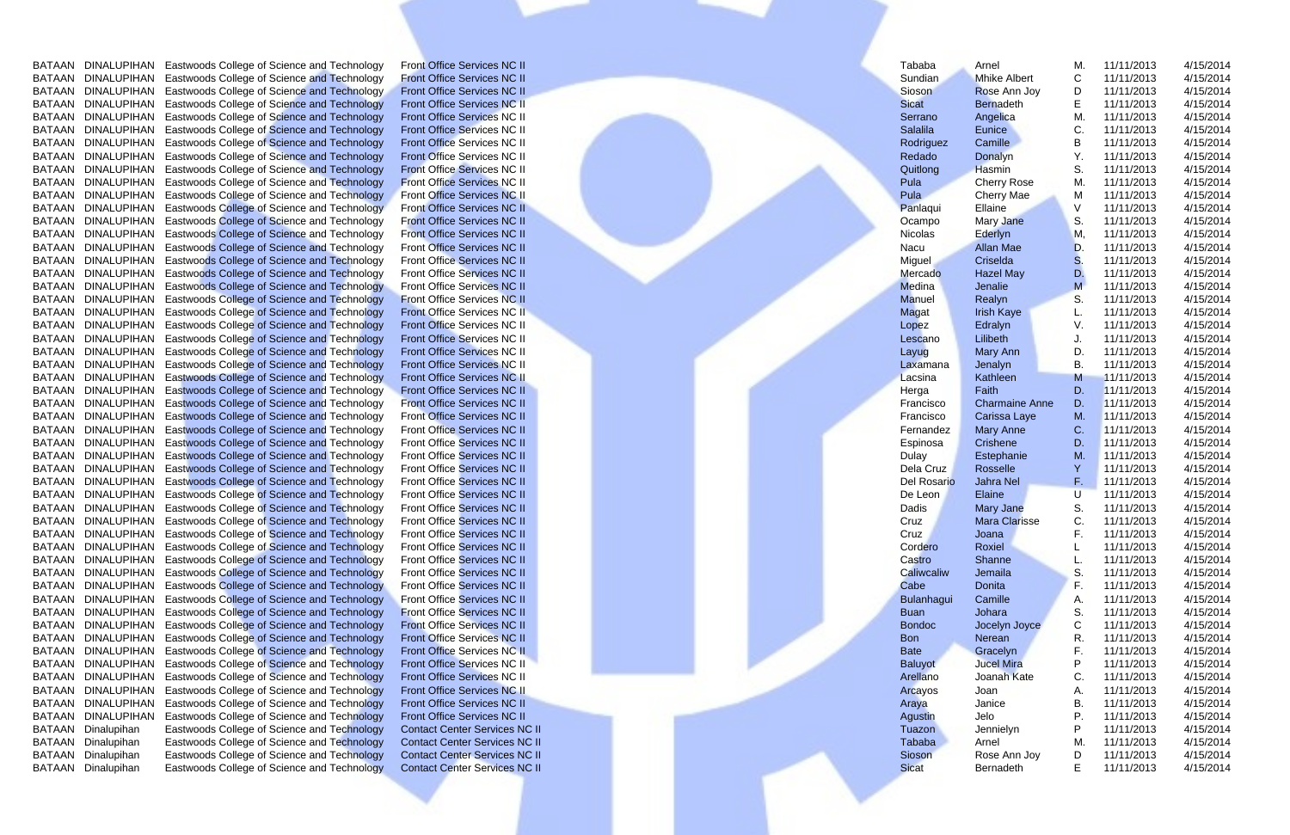|        |                    | BATAAN DINALUPIHAN Eastwoods College of Science and Technology | <b>Front Office Services NC II</b>   |  | Tababa            | Arnel                 | М. | 11/11/2013 | 4/15/2014 |  |
|--------|--------------------|----------------------------------------------------------------|--------------------------------------|--|-------------------|-----------------------|----|------------|-----------|--|
|        |                    | BATAAN DINALUPIHAN Eastwoods College of Science and Technology | <b>Front Office Services NC II</b>   |  | Sundian           | <b>Mhike Albert</b>   | С  | 11/11/2013 | 4/15/2014 |  |
| BATAAN |                    | DINALUPIHAN Eastwoods College of Science and Technology        | <b>Front Office Services NC II</b>   |  | Sioson            | Rose Ann Joy          | D  | 11/11/2013 | 4/15/2014 |  |
| BATAAN |                    | DINALUPIHAN Eastwoods College of Science and Technology        | <b>Front Office Services NC II</b>   |  | <b>Sicat</b>      | <b>Bernadeth</b>      |    | 11/11/2013 | 4/15/2014 |  |
|        |                    | BATAAN DINALUPIHAN Eastwoods College of Science and Technology | <b>Front Office Services NC II</b>   |  | Serrano           | Angelica              | M. | 11/11/2013 | 4/15/2014 |  |
|        |                    | BATAAN DINALUPIHAN Eastwoods College of Science and Technology | <b>Front Office Services NC II</b>   |  | <b>Salalila</b>   | Eunice                |    | 11/11/2013 | 4/15/2014 |  |
|        |                    | BATAAN DINALUPIHAN Eastwoods College of Science and Technology | <b>Front Office Services NC II</b>   |  | Rodriguez         | Camille               | В  | 11/11/2013 | 4/15/2014 |  |
|        |                    | BATAAN DINALUPIHAN Eastwoods College of Science and Technology | <b>Front Office Services NC II</b>   |  | Redado            | Donalyn               |    | 11/11/2013 | 4/15/2014 |  |
|        |                    | BATAAN DINALUPIHAN Eastwoods College of Science and Technology | <b>Front Office Services NC II</b>   |  | Quitlong          | Hasmin                | S. | 11/11/2013 | 4/15/2014 |  |
| BATAAN |                    | DINALUPIHAN Eastwoods College of Science and Technology        | <b>Front Office Services NC II</b>   |  | Pula              | <b>Cherry Rose</b>    | M. | 11/11/2013 | 4/15/2014 |  |
|        |                    | BATAAN DINALUPIHAN Eastwoods College of Science and Technology | <b>Front Office Services NC II</b>   |  | Pula              | Cherry Mae            | M  | 11/11/2013 | 4/15/2014 |  |
|        |                    | BATAAN DINALUPIHAN Eastwoods College of Science and Technology | Front Office Services NC II          |  | Panlaqui          | Ellaine               |    | 11/11/2013 | 4/15/2014 |  |
|        |                    | BATAAN DINALUPIHAN Eastwoods College of Science and Technology | <b>Front Office Services NC II</b>   |  | Ocampo            | Mary Jane             | S. | 11/11/2013 | 4/15/2014 |  |
|        |                    | BATAAN DINALUPIHAN Eastwoods College of Science and Technology | <b>Front Office Services NC II</b>   |  | Nicolas           | Ederlyn               | м  | 11/11/2013 | 4/15/2014 |  |
|        |                    | BATAAN DINALUPIHAN Eastwoods College of Science and Technology | <b>Front Office Services NC II</b>   |  | Nacu              | <b>Allan Mae</b>      | D  | 11/11/2013 | 4/15/2014 |  |
| BATAAN |                    | DINALUPIHAN Eastwoods College of Science and Technology        | <b>Front Office Services NC II</b>   |  | Miguel            | Criselda              | S  | 11/11/2013 | 4/15/2014 |  |
| BATAAN |                    | DINALUPIHAN Eastwoods College of Science and Technology        | <b>Front Office Services NC II</b>   |  | Mercado           | <b>Hazel May</b>      | D. | 11/11/2013 | 4/15/2014 |  |
| BATAAN |                    | DINALUPIHAN Eastwoods College of Science and Technology        | <b>Front Office Services NC II</b>   |  | Medina            | Jenalie               |    | 11/11/2013 | 4/15/2014 |  |
| BATAAN | DINALUPIHAN        | <b>Eastwoods College of Science and Technology</b>             | <b>Front Office Services NC II</b>   |  | Manuel            | Realyn                | S. | 11/11/2013 | 4/15/2014 |  |
| BATAAN |                    | DINALUPIHAN Eastwoods College of Science and Technology        | <b>Front Office Services NC II</b>   |  | Magat             | <b>Irish Kaye</b>     |    | 11/11/2013 | 4/15/2014 |  |
|        |                    | BATAAN DINALUPIHAN Eastwoods College of Science and Technology | <b>Front Office Services NC II</b>   |  | Lopez             | Edralyn               |    | 11/11/2013 | 4/15/2014 |  |
|        |                    | BATAAN DINALUPIHAN Eastwoods College of Science and Technology | <b>Front Office Services NC II</b>   |  | Lescano           | Lilibeth              |    | 11/11/2013 | 4/15/2014 |  |
|        |                    | BATAAN DINALUPIHAN Eastwoods College of Science and Technology | <b>Front Office Services NC II</b>   |  | Layug             | Mary Ann              | D. | 11/11/2013 | 4/15/2014 |  |
|        |                    | BATAAN DINALUPIHAN Eastwoods College of Science and Technology | <b>Front Office Services NC II</b>   |  | Laxamana          | Jenalyn               | В. | 11/11/2013 | 4/15/2014 |  |
| BATAAN |                    | DINALUPIHAN Eastwoods College of Science and Technology        | Front Office Services NC II          |  | Lacsina           | Kathleen              | М  | 11/11/2013 | 4/15/2014 |  |
| BATAAN |                    | DINALUPIHAN Eastwoods College of Science and Technology        | <b>Front Office Services NC II</b>   |  | Herga             | Faith                 | D. | 11/11/2013 | 4/15/2014 |  |
| BATAAN |                    | DINALUPIHAN Eastwoods College of Science and Technology        | <b>Front Office Services NC II</b>   |  | Francisco         | <b>Charmaine Anne</b> | D. | 11/11/2013 | 4/15/2014 |  |
| BATAAN |                    | DINALUPIHAN Eastwoods College of Science and Technology        | <b>Front Office Services NC II</b>   |  | Francisco         | Carissa Laye          | M. | 11/11/2013 | 4/15/2014 |  |
|        |                    | BATAAN DINALUPIHAN Eastwoods College of Science and Technology | <b>Front Office Services NC II</b>   |  | Fernandez         | <b>Mary Anne</b>      | C. | 11/11/2013 | 4/15/2014 |  |
|        |                    | BATAAN DINALUPIHAN Eastwoods College of Science and Technology | <b>Front Office Services NC II</b>   |  | Espinosa          | Crishene              | D. | 11/11/2013 | 4/15/2014 |  |
|        |                    | BATAAN DINALUPIHAN Eastwoods College of Science and Technology | Front Office Services NC II          |  | Dulay             | Estephanie            | M. | 11/11/2013 | 4/15/2014 |  |
|        |                    | BATAAN DINALUPIHAN Eastwoods College of Science and Technology | <b>Front Office Services NC II</b>   |  | Dela Cruz         | Rosselle              |    | 11/11/2013 | 4/15/2014 |  |
|        |                    | BATAAN DINALUPIHAN Eastwoods College of Science and Technology | <b>Front Office Services NC II</b>   |  | Del Rosario       | Jahra Nel             | F. | 11/11/2013 | 4/15/2014 |  |
|        |                    | BATAAN DINALUPIHAN Eastwoods College of Science and Technology | <b>Front Office Services NC II</b>   |  | De Leon           | Elaine                | U  | 11/11/2013 | 4/15/2014 |  |
|        |                    | BATAAN DINALUPIHAN Eastwoods College of Science and Technology | <b>Front Office Services NC II</b>   |  | Dadis             | <b>Mary Jane</b>      | S. | 11/11/2013 | 4/15/2014 |  |
|        |                    | BATAAN DINALUPIHAN Eastwoods College of Science and Technology | <b>Front Office Services NC II</b>   |  | Cruz              | <b>Mara Clarisse</b>  | C. | 11/11/2013 | 4/15/2014 |  |
|        |                    | BATAAN DINALUPIHAN Eastwoods College of Science and Technology | <b>Front Office Services NC II</b>   |  | Cruz              | Joana                 |    | 11/11/2013 | 4/15/2014 |  |
|        |                    | BATAAN DINALUPIHAN Eastwoods College of Science and Technology | <b>Front Office Services NC II</b>   |  | Cordero           | Roxiel                |    | 11/11/2013 | 4/15/2014 |  |
|        |                    | BATAAN DINALUPIHAN Eastwoods College of Science and Technology | <b>Front Office Services NC II</b>   |  | Castro            | Shanne                |    | 11/11/2013 | 4/15/2014 |  |
|        |                    | BATAAN DINALUPIHAN Eastwoods College of Science and Technology | <b>Front Office Services NC II</b>   |  | Caliwcaliw        | Jemaila               | S. | 11/11/2013 | 4/15/2014 |  |
|        |                    | BATAAN DINALUPIHAN Eastwoods College of Science and Technology | <b>Front Office Services NC II</b>   |  | Cabe              | Donita                | F. | 11/11/2013 | 4/15/2014 |  |
|        |                    | BATAAN DINALUPIHAN Eastwoods College of Science and Technology | <b>Front Office Services NC II</b>   |  | <b>Bulanhagui</b> | Camille               | A. | 11/11/2013 | 4/15/2014 |  |
|        |                    | BATAAN DINALUPIHAN Eastwoods College of Science and Technology | <b>Front Office Services NC II</b>   |  | <b>Buan</b>       | Johara                | S. | 11/11/2013 | 4/15/2014 |  |
|        |                    | BATAAN DINALUPIHAN Eastwoods College of Science and Technology | <b>Front Office Services NC II</b>   |  | <b>Bondoc</b>     | Jocelyn Joyce         |    | 11/11/2013 | 4/15/2014 |  |
|        |                    | BATAAN DINALUPIHAN Eastwoods College of Science and Technology | <b>Front Office Services NC II</b>   |  | <b>Bon</b>        | Nerean                |    | 11/11/2013 | 4/15/2014 |  |
|        |                    | BATAAN DINALUPIHAN Eastwoods College of Science and Technology | Front Office Services NC II          |  | <b>Bate</b>       | Gracelyn              |    | 11/11/2013 | 4/15/2014 |  |
|        |                    | BATAAN DINALUPIHAN Eastwoods College of Science and Technology | Front Office Services NC II          |  | <b>Baluyot</b>    | <b>Jucel Mira</b>     |    | 11/11/2013 | 4/15/2014 |  |
|        |                    | BATAAN DINALUPIHAN Eastwoods College of Science and Technology | <b>Front Office Services NC II</b>   |  | Arellano          | Joanah Kate           | С  | 11/11/2013 | 4/15/2014 |  |
|        |                    | BATAAN DINALUPIHAN Eastwoods College of Science and Technology | Front Office Services NC II          |  | Arcayos           | Joan                  |    | 11/11/2013 | 4/15/2014 |  |
|        |                    | BATAAN DINALUPIHAN Eastwoods College of Science and Technology | <b>Front Office Services NC II</b>   |  | Araya             | Janice                | В. | 11/11/2013 | 4/15/2014 |  |
|        | BATAAN DINALUPIHAN | Eastwoods College of Science and Technology                    | <b>Front Office Services NC II</b>   |  | Agustin           | Jelo                  | Р. | 11/11/2013 | 4/15/2014 |  |
|        | BATAAN Dinalupihan | Eastwoods College of Science and Technology                    | <b>Contact Center Services NC II</b> |  | Tuazon            | Jennielyn             |    | 11/11/2013 | 4/15/2014 |  |
|        | BATAAN Dinalupihan | Eastwoods College of Science and Technology                    | <b>Contact Center Services NC II</b> |  | Tababa            | Arnel                 | М. | 11/11/2013 | 4/15/2014 |  |
|        | BATAAN Dinalupihan | Eastwoods College of Science and Technology                    | <b>Contact Center Services NC II</b> |  | Sioson            | Rose Ann Joy          | D  | 11/11/2013 | 4/15/2014 |  |
|        | BATAAN Dinalupihan | Eastwoods College of Science and Technology                    | <b>Contact Center Services NC II</b> |  | <b>Sicat</b>      | Bernadeth             | E  | 11/11/2013 | 4/15/2014 |  |
|        |                    |                                                                |                                      |  |                   |                       |    |            |           |  |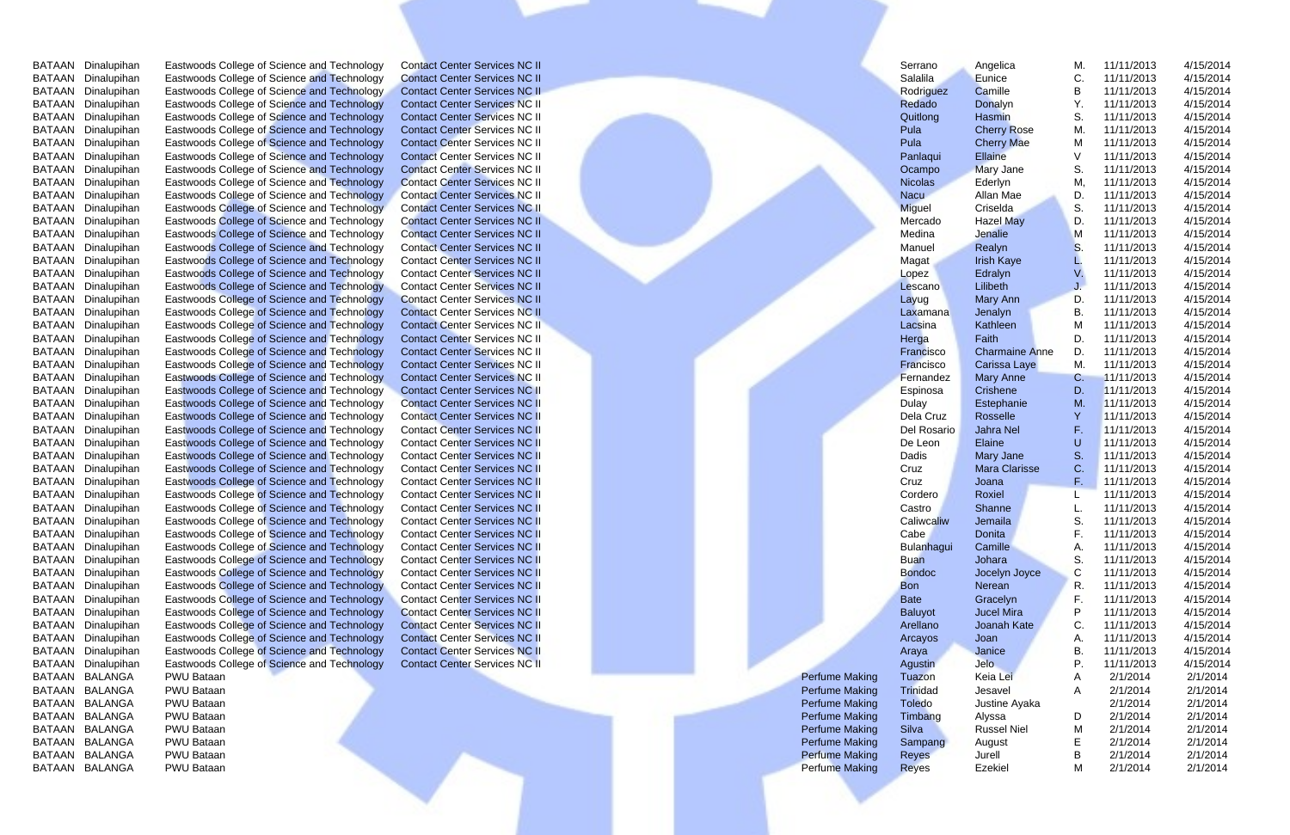| BATAAN Dinalupihan        | Eastwoods College of Science and Technology        | <b>Contact Center Services NC II</b> |                       | Serrano           | Angelica              | М. | 11/11/2013 | 4/15/2014 |  |
|---------------------------|----------------------------------------------------|--------------------------------------|-----------------------|-------------------|-----------------------|----|------------|-----------|--|
| BATAAN Dinalupihan        | Eastwoods College of Science and Technology        | <b>Contact Center Services NC II</b> |                       | Salalila          | Eunice                |    | 11/11/2013 | 4/15/2014 |  |
| BATAAN Dinalupihan        | Eastwoods College of Science and Technology        | <b>Contact Center Services NC II</b> |                       | Rodriguez         | Camille               | B  | 11/11/2013 | 4/15/2014 |  |
| BATAAN Dinalupihan        | Eastwoods College of Science and Technology        | <b>Contact Center Services NC II</b> |                       | Redado            | Donalyn               |    | 11/11/2013 | 4/15/2014 |  |
| BATAAN Dinalupihan        | Eastwoods College of Science and Technology        | <b>Contact Center Services NC II</b> |                       | Quitlong          | Hasmin                | S. | 11/11/2013 | 4/15/2014 |  |
| BATAAN Dinalupihan        | Eastwoods College of Science and Technology        | <b>Contact Center Services NC II</b> |                       | Pula              | <b>Cherry Rose</b>    | M. | 11/11/2013 | 4/15/2014 |  |
| BATAAN Dinalupihan        | Eastwoods College of Science and Technology        | <b>Contact Center Services NC II</b> |                       | Pula              | <b>Cherry Mae</b>     | М  | 11/11/2013 | 4/15/2014 |  |
| BATAAN Dinalupihan        | Eastwoods College of Science and Technology        | <b>Contact Center Services NC II</b> |                       | Panlaqui          | Ellaine               |    | 11/11/2013 | 4/15/2014 |  |
| BATAAN<br>Dinalupihan     | Eastwoods College of Science and Technology        | <b>Contact Center Services NC II</b> |                       | Ocampo            | <b>Mary Jane</b>      | S. | 11/11/2013 | 4/15/2014 |  |
| BATAAN Dinalupihan        | Eastwoods College of Science and Technology        | <b>Contact Center Services NC II</b> |                       | <b>Nicolas</b>    | Ederlyn               | М  | 11/11/2013 | 4/15/2014 |  |
| BATAAN Dinalupihan        | Eastwoods College of Science and Technology        | <b>Contact Center Services NC II</b> |                       | <b>Nacu</b>       | Allan Mae             | D. | 11/11/2013 | 4/15/2014 |  |
| BATAAN Dinalupihan        | Eastwoods College of Science and Technology        | <b>Contact Center Services NC II</b> |                       | <b>Miguel</b>     | Criselda              | S. | 11/11/2013 | 4/15/2014 |  |
| BATAAN Dinalupihan        | Eastwoods College of Science and Technology        | <b>Contact Center Services NC II</b> |                       | Mercado           | <b>Hazel May</b>      | D. | 11/11/2013 | 4/15/2014 |  |
| BATAAN Dinalupihan        | Eastwoods College of Science and Technology        | <b>Contact Center Services NC II</b> |                       | Medina            | Jenalie               | м  | 11/11/2013 | 4/15/2014 |  |
| BATAAN Dinalupihan        | Eastwoods College of Science and Technology        | <b>Contact Center Services NC II</b> |                       | Manuel            | Realyn                | S  | 11/11/2013 | 4/15/2014 |  |
| BATAAN<br>Dinalupihan     | Eastwoods College of Science and Technology        | <b>Contact Center Services NC II</b> |                       | Magat             | <b>Irish Kaye</b>     |    | 11/11/2013 | 4/15/2014 |  |
| BATAAN<br>Dinalupihan     | Eastwoods College of Science and Technology        | <b>Contact Center Services NC II</b> |                       | Lopez             | Edralyn               |    | 11/11/2013 | 4/15/2014 |  |
| BATAAN<br>Dinalupihan     | Eastwoods College of Science and Technology        | <b>Contact Center Services NC II</b> |                       | Lescano           | Lilibeth              |    | 11/11/2013 | 4/15/2014 |  |
| BATAAN<br>Dinalupihan     | Eastwoods College of Science and Technology        | <b>Contact Center Services NC II</b> |                       | Layug             | Mary Ann              | D. | 11/11/2013 | 4/15/2014 |  |
| BATAAN Dinalupihan        | <b>Eastwoods College of Science and Technology</b> | <b>Contact Center Services NC II</b> |                       | Laxamana          | Jenalyn               | В. | 11/11/2013 | 4/15/2014 |  |
| BATAAN Dinalupihan        | Eastwoods College of Science and Technology        | <b>Contact Center Services NC II</b> |                       | Lacsina           | Kathleen              |    | 11/11/2013 | 4/15/2014 |  |
| BATAAN Dinalupihan        | Eastwoods College of Science and Technology        | <b>Contact Center Services NC II</b> |                       | Herga             | Faith                 | D. | 11/11/2013 | 4/15/2014 |  |
| BATAAN Dinalupihan        | Eastwoods College of Science and Technology        | <b>Contact Center Services NC II</b> |                       | Francisco         | <b>Charmaine Anne</b> | D. | 11/11/2013 | 4/15/2014 |  |
| BATAAN Dinalupihan        | Eastwoods College of Science and Technology        | <b>Contact Center Services NC II</b> |                       | Francisco         | Carissa Laye          | M. | 11/11/2013 | 4/15/2014 |  |
| BATAAN<br>Dinalupihan     | Eastwoods College of Science and Technology        | <b>Contact Center Services NC II</b> |                       | Fernandez         | <b>Mary Anne</b>      | С. | 11/11/2013 | 4/15/2014 |  |
| BATAAN<br>Dinalupihan     | Eastwoods College of Science and Technology        | <b>Contact Center Services NC II</b> |                       | Espinosa          | Crishene              | D. | 11/11/2013 | 4/15/2014 |  |
| BATAAN<br>Dinalupihan     | Eastwoods College of Science and Technology        | <b>Contact Center Services NC II</b> |                       | <b>Dulay</b>      | Estephanie            | M. | 11/11/2013 | 4/15/2014 |  |
| BATAAN<br>Dinalupihan     | Eastwoods College of Science and Technology        | <b>Contact Center Services NC II</b> |                       | Dela Cruz         | Rosselle              |    | 11/11/2013 | 4/15/2014 |  |
| BATAAN<br>Dinalupihan     | Eastwoods College of Science and Technology        | <b>Contact Center Services NC II</b> |                       | Del Rosario       | Jahra Nel             |    | 11/11/2013 | 4/15/2014 |  |
| BATAAN Dinalupihan        | Eastwoods College of Science and Technology        | <b>Contact Center Services NC II</b> |                       | De Leon           | Elaine                |    | 11/11/2013 | 4/15/2014 |  |
| BATAAN Dinalupihan        | Eastwoods College of Science and Technology        | <b>Contact Center Services NC II</b> |                       | Dadis             | Mary Jane             | S. | 11/11/2013 | 4/15/2014 |  |
| BATAAN Dinalupihan        | Eastwoods College of Science and Technology        | <b>Contact Center Services NC II</b> |                       | Cruz              | <b>Mara Clarisse</b>  | C. | 11/11/2013 | 4/15/2014 |  |
| BATAAN Dinalupihan        | Eastwoods College of Science and Technology        | <b>Contact Center Services NC II</b> |                       | Cruz              | Joana                 | F. | 11/11/2013 | 4/15/2014 |  |
| BATAAN Dinalupihan        | Eastwoods College of Science and Technology        | <b>Contact Center Services NC II</b> |                       | Cordero           | Roxiel                |    | 11/11/2013 | 4/15/2014 |  |
| BATAAN Dinalupihan        | Eastwoods College of Science and Technology        | <b>Contact Center Services NC II</b> |                       | Castro            | Shanne                |    | 11/11/2013 | 4/15/2014 |  |
| BATAAN Dinalupihan        | Eastwoods College of Science and Technology        | <b>Contact Center Services NC II</b> |                       | Caliwcaliw        | Jemaila               | S. | 11/11/2013 | 4/15/2014 |  |
| BATAAN Dinalupihan        | Eastwoods College of Science and Technology        | <b>Contact Center Services NC II</b> |                       | Cabe              | Donita                |    | 11/11/2013 | 4/15/2014 |  |
| BATAAN Dinalupihan        | Eastwoods College of Science and Technology        | <b>Contact Center Services NC II</b> |                       | <b>Bulanhagui</b> | Camille               |    | 11/11/2013 | 4/15/2014 |  |
| BATAAN Dinalupihan        | Eastwoods College of Science and Technology        | <b>Contact Center Services NC II</b> |                       | <b>Buan</b>       | Johara                | S. | 11/11/2013 | 4/15/2014 |  |
| BATAAN Dinalupihan        | Eastwoods College of Science and Technology        | <b>Contact Center Services NC II</b> |                       | <b>Bondoc</b>     | Jocelyn Joyce         | C  | 11/11/2013 | 4/15/2014 |  |
| <b>BATAAN Dinalupihan</b> | Eastwoods College of Science and Technology        | <b>Contact Center Services NC II</b> |                       | <b>Bon</b>        | Nerean                | R. | 11/11/2013 | 4/15/2014 |  |
| BATAAN Dinalupihan        | Eastwoods College of Science and Technology        | <b>Contact Center Services NC II</b> |                       | <b>Bate</b>       | Gracelyn              | F. | 11/11/2013 | 4/15/2014 |  |
| BATAAN Dinalupihan        | Eastwoods College of Science and Technology        | <b>Contact Center Services NC II</b> |                       | <b>Baluyot</b>    | <b>Jucel Mira</b>     |    | 11/11/2013 | 4/15/2014 |  |
| BATAAN Dinalupihan        | Eastwoods College of Science and Technology        | <b>Contact Center Services NC II</b> |                       | Arellano          | Joanah Kate           | C. | 11/11/2013 | 4/15/2014 |  |
| BATAAN Dinalupihan        | Eastwoods College of Science and Technology        | <b>Contact Center Services NC II</b> |                       | Arcayos           | Joan                  |    | 11/11/2013 | 4/15/2014 |  |
| BATAAN Dinalupihan        | Eastwoods College of Science and Technology        | <b>Contact Center Services NC II</b> |                       | Araya             | Janice                | В. | 11/11/2013 | 4/15/2014 |  |
| BATAAN Dinalupihan        | Eastwoods College of Science and Technology        | <b>Contact Center Services NC II</b> |                       | Agustin           | Jelo                  |    | 11/11/2013 | 4/15/2014 |  |
| BATAAN BALANGA            | PWU Bataan                                         |                                      | <b>Perfume Making</b> | Tuazon            | Keia Lei              |    | 2/1/2014   | 2/1/2014  |  |
| BATAAN BALANGA            | PWU Bataan                                         |                                      | <b>Perfume Making</b> | Trinidad          | Jesavel               |    | 2/1/2014   | 2/1/2014  |  |
| BATAAN BALANGA            | PWU Bataan                                         |                                      | <b>Perfume Making</b> | <b>Toledo</b>     | Justine Ayaka         |    | 2/1/2014   | 2/1/2014  |  |
| <b>BALANGA</b><br>BATAAN  | PWU Bataan                                         |                                      | <b>Perfume Making</b> | Timbang           | Alyssa                | D  | 2/1/2014   | 2/1/2014  |  |
| <b>BALANGA</b><br>BATAAN  | PWU Bataan                                         |                                      | <b>Perfume Making</b> | Silva             | <b>Russel Niel</b>    | M  | 2/1/2014   | 2/1/2014  |  |
| BATAAN BALANGA            | PWU Bataan                                         |                                      | <b>Perfume Making</b> | Sampang           | August                |    | 2/1/2014   | 2/1/2014  |  |
| BATAAN BALANGA            | PWU Bataan                                         |                                      | <b>Perfume Making</b> | Reyes             | Jurell                | В  | 2/1/2014   | 2/1/2014  |  |
| BATAAN BALANGA            | PWU Bataan                                         |                                      | <b>Perfume Making</b> | <b>Reyes</b>      | Ezekiel               | M  | 2/1/2014   | 2/1/2014  |  |
|                           |                                                    |                                      |                       |                   |                       |    |            |           |  |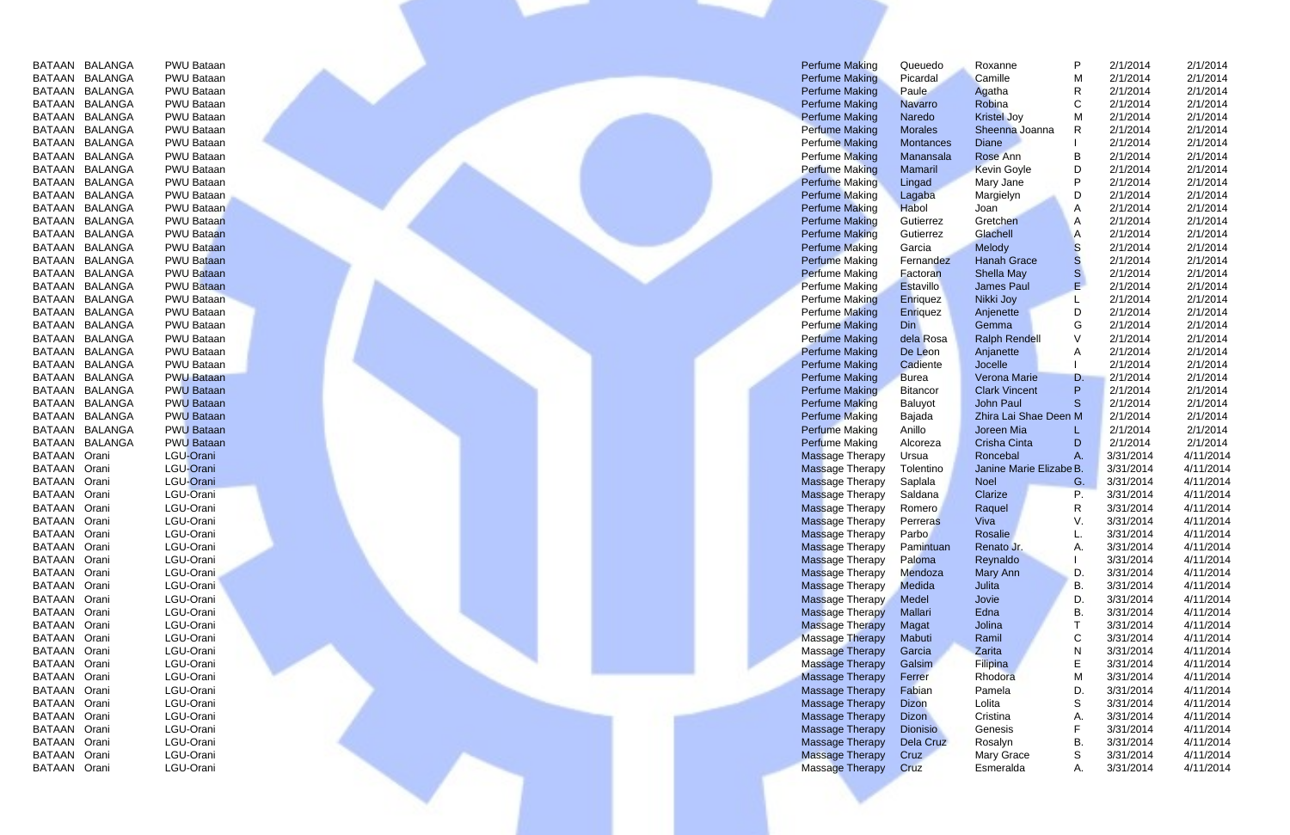| BATAAN        | BALANGA        | PWU Bataa        |
|---------------|----------------|------------------|
| BATAAN        | <b>BALANGA</b> | PWU Bataa        |
| BATAAN        | <b>BALANGA</b> | PWU Bataa        |
| <b>BATAAN</b> | BALANGA        | PWU Bataa        |
| <b>BATAAN</b> | <b>BALANGA</b> | PWU Bataa        |
| BATAAN        | BALANGA        | PWU Bataa        |
| <b>BATAAN</b> | BALANGA        | PWU Bataa        |
| <b>BATAAN</b> | BALANGA        | PWU Bataa        |
| <b>BATAAN</b> | <b>BALANGA</b> | PWU Bataa        |
| <b>BATAAN</b> | BALANGA        | PWU Bataa        |
| <b>BATAAN</b> | <b>BALANGA</b> | PWU Bataa        |
| BATAAN        | BALANGA        | PWU Bataa        |
| BATAAN        | BALANGA        | <b>PWU Bataa</b> |
| BATAAN        | <b>BALANGA</b> | PWU Bataa        |
| BATAAN        | <b>BALANGA</b> | PWU Bataa        |
| BATAAN        | <b>BALANGA</b> | PWU Bataa        |
| BATAAN        | <b>BALANGA</b> | <b>PWU Bataa</b> |
| BATAAN        | <b>BALANGA</b> | PWU Bataa        |
| BATAAN        | <b>BALANGA</b> | <b>PWU Bataa</b> |
| BATAAN        | <b>BALANGA</b> | <b>PWU Bataa</b> |
| <b>BATAAN</b> | <b>BALANGA</b> | PWU Bataa        |
| BATAAN        | <b>BALANGA</b> | PWU Bataa        |
| BATAAN        | <b>BALANGA</b> | PWU Bataa        |
| <b>BATAAN</b> | <b>BALANGA</b> | <b>PWU Bataa</b> |
| BATAAN        | <b>BALANGA</b> | <b>PWU Bataa</b> |
| <b>BATAAN</b> | <b>BALANGA</b> | <b>PWU Bataa</b> |
| BATAAN        | <b>BALANGA</b> | <b>PWU Bataa</b> |
| BATAAN        | <b>BALANGA</b> | <b>PWU Bataa</b> |
| <b>BATAAN</b> | <b>BALANGA</b> | <b>PWU Bataa</b> |
| BATAAN        | <b>BALANGA</b> | <b>PWU Bataa</b> |
| BATAAN        | Orani          | LGU-Orani        |
| BATAAN        | Orani          | LGU-Orani        |
| BATAAN        | Orani          | LGU-Orani        |
| BATAAN        | Orani          | LGU-Orani        |
|               |                | LGU-Orani        |
| BATAAN        | Orani          |                  |
| BATAAN        | Orani          | LGU-Orani        |
| BATAAN        | Orani          | LGU-Orani        |
| BATAAN        | Orani          | LGU-Orani        |
| BATAAN        | Orani          | LGU-Orani        |
| BATAAN        | Orani          | LGU-Orani        |
| BATAAN        | Orani          | LGU-Orani        |
| BATAAN        | Orani          | LGU-Orani        |
| <b>BATAAN</b> | Orani          | LGU-Orani        |
| BATAAN        | Orani          | LGU-Orani        |
| BATAAN        | Orani          | LGU-Orani        |
| BATAAN        | Orani          | LGU-Orani        |
| <b>BATAAN</b> | Orani          | LGU-Orani        |
| BATAAN        | Orani          | LGU-Orani        |
| BATAAN        | Orani          | LGU-Orani        |
| BATAAN        | Orani          | LGU-Orani        |
| BATAAN        | Orani          | LGU-Orani        |
| BATAAN        | Orani          | LGU-Orani        |
| BATAAN        | Orani          | LGU-Orani        |
| BATAAN        | Orani          | LGU-Orani        |
| BATAAN        | Orani          | LGU-Orani        |

| BATAAN BALANGA                   | PWU Bataan                             |  | <b>Perfume Making</b>                            | Queuedo                | Roxanne                 |    | 2/1/2014               | 2/1/2014               |
|----------------------------------|----------------------------------------|--|--------------------------------------------------|------------------------|-------------------------|----|------------------------|------------------------|
| BATAAN BALANGA                   | PWU Bataan                             |  | <b>Perfume Making</b>                            | Picardal               | Camille                 |    | 2/1/2014               | 2/1/2014               |
| BATAAN BALANGA                   | PWU Bataan                             |  | <b>Perfume Making</b>                            | <b>Paule</b>           | Agatha                  |    | 2/1/2014               | 2/1/2014               |
| BATAAN BALANGA                   | PWU Bataan                             |  | <b>Perfume Making</b>                            | Navarro                | Robina                  |    | 2/1/2014               | 2/1/2014               |
| BATAAN BALANGA                   | PWU Bataan                             |  | <b>Perfume Making</b>                            | Naredo                 | <b>Kristel Joy</b>      | м  | 2/1/2014               | 2/1/2014               |
| BATAAN BALANGA                   | PWU Bataan                             |  | <b>Perfume Making</b>                            | <b>Morales</b>         | Sheenna Joanna          |    | 2/1/2014               | 2/1/2014               |
| BATAAN BALANGA                   | PWU Bataan                             |  | <b>Perfume Making</b>                            | Montances              | <b>Diane</b>            |    | 2/1/2014               | 2/1/2014               |
| BATAAN BALANGA                   | PWU Bataan                             |  | <b>Perfume Making</b>                            | Manansala              | Rose Ann                |    | 2/1/2014               | 2/1/2014               |
| BATAAN BALANGA                   | PWU Bataan                             |  | <b>Perfume Making</b>                            | Mamaril                | <b>Kevin Goyle</b>      | D  | 2/1/2014               | 2/1/2014               |
| BATAAN BALANGA                   | PWU Bataan                             |  | <b>Perfume Making</b>                            | Lingad                 | Mary Jane               |    | 2/1/2014               | 2/1/2014               |
| BATAAN BALANGA                   | PWU Bataan                             |  | <b>Perfume Making</b>                            | Lagaba                 | Margielyn               | D  | 2/1/2014               | 2/1/2014               |
| BATAAN BALANGA                   | <b>PWU Bataan</b>                      |  | <b>Perfume Making</b>                            | Habol                  | Joan                    |    | 2/1/2014               | 2/1/2014               |
| BATAAN BALANGA                   | <b>PWU Bataan</b>                      |  | <b>Perfume Making</b>                            | Gutierrez              | Gretchen                | A  | 2/1/2014               | 2/1/2014               |
| BATAAN BALANGA                   | <b>PWU Bataan</b>                      |  | <b>Perfume Making</b>                            | Gutierrez              | Glachell                |    | 2/1/2014               | 2/1/2014               |
| BATAAN BALANGA                   | <b>PWU Bataan</b>                      |  | <b>Perfume Making</b>                            | Garcia                 | Melody                  |    | 2/1/2014               | 2/1/2014               |
| BATAAN BALANGA                   | <b>PWU Bataan</b>                      |  | <b>Perfume Making</b>                            | Fernandez              | <b>Hanah Grace</b>      |    | 2/1/2014               | 2/1/2014               |
| BATAAN BALANGA                   | <b>PWU Bataan</b>                      |  | <b>Perfume Making</b>                            | Factoran               | Shella May              |    | 2/1/2014               | 2/1/2014               |
| BATAAN BALANGA<br>BATAAN BALANGA | <b>PWU Bataan</b><br><b>PWU Bataan</b> |  | Perfume Making                                   | <b>Estavillo</b>       | <b>James Paul</b>       |    | 2/1/2014<br>2/1/2014   | 2/1/2014               |
| BATAAN BALANGA                   | <b>PWU Bataan</b>                      |  | <b>Perfume Making</b><br><b>Perfume Making</b>   | Enriquez               | Nikki Joy               | D  | 2/1/2014               | 2/1/2014<br>2/1/2014   |
| BATAAN BALANGA                   | PWU Bataan                             |  | <b>Perfume Making</b>                            | <b>Enriquez</b><br>Din | Anjenette<br>Gemma      | G  | 2/1/2014               | 2/1/2014               |
| BATAAN BALANGA                   | PWU Bataan                             |  | <b>Perfume Making</b>                            | dela Rosa              | <b>Ralph Rendell</b>    |    | 2/1/2014               | 2/1/2014               |
| BATAAN BALANGA                   | PWU Bataan                             |  | <b>Perfume Making</b>                            | De Leon                | Anjanette               |    | 2/1/2014               | 2/1/2014               |
| BATAAN BALANGA                   | PWU Bataan                             |  | <b>Perfume Making</b>                            | Cadiente               | Jocelle                 |    | 2/1/2014               | 2/1/2014               |
| BATAAN BALANGA                   | <b>PWU Bataan</b>                      |  | <b>Perfume Making</b>                            | <b>Burea</b>           | Verona Marie            | D. | 2/1/2014               | 2/1/2014               |
| BATAAN BALANGA                   | <b>PWU Bataan</b>                      |  | <b>Perfume Making</b>                            | <b>Bitancor</b>        | <b>Clark Vincent</b>    |    | 2/1/2014               | 2/1/2014               |
| BATAAN BALANGA                   | <b>PWU Bataan</b>                      |  | <b>Perfume Making</b>                            | Baluyot                | John Paul               |    | 2/1/2014               | 2/1/2014               |
| BATAAN BALANGA                   | <b>PWU Bataan</b>                      |  | <b>Perfume Making</b>                            | Bajada                 | Zhira Lai Shae Deen M   |    | 2/1/2014               | 2/1/2014               |
| BATAAN BALANGA                   | <b>PWU Bataan</b>                      |  | <b>Perfume Making</b>                            | Anillo                 | Joreen Mia              |    | 2/1/2014               | 2/1/2014               |
| BATAAN BALANGA                   | <b>PWU Bataan</b>                      |  | <b>Perfume Making</b>                            | Alcoreza               | Crisha Cinta            | D  | 2/1/2014               | 2/1/2014               |
| <b>BATAAN Orani</b>              | LGU-Orani                              |  | <b>Massage Therapy</b>                           | Ursua                  | Roncebal                |    | 3/31/2014              | 4/11/2014              |
| <b>BATAAN Orani</b>              | LGU-Orani                              |  | <b>Massage Therapy</b>                           | Tolentino              | Janine Marie Elizabe B. |    | 3/31/2014              | 4/11/2014              |
| BATAAN Orani                     | LGU-Orani                              |  | <b>Massage Therapy</b>                           | Saplala                | <b>Noel</b>             | G. | 3/31/2014              | 4/11/2014              |
| BATAAN Orani                     | LGU-Orani                              |  | <b>Massage Therapy</b>                           | Saldana                | Clarize                 |    | 3/31/2014              | 4/11/2014              |
| BATAAN Orani                     | LGU-Orani                              |  | <b>Massage Therapy</b>                           | Romero                 | Raquel                  | R  | 3/31/2014              | 4/11/2014              |
| BATAAN Orani                     | LGU-Orani                              |  | <b>Massage Therapy</b>                           | <b>Perreras</b>        | Viva                    |    | 3/31/2014              | 4/11/2014              |
| BATAAN Orani                     | LGU-Orani                              |  | <b>Massage Therapy</b>                           | <b>Parbo</b>           | Rosalie                 |    | 3/31/2014              | 4/11/2014              |
| BATAAN Orani                     | LGU-Orani                              |  | <b>Massage Therapy</b>                           | Pamintuan              | Renato Jr.              | Α. | 3/31/2014              | 4/11/2014              |
| BATAAN Orani                     | LGU-Orani                              |  | <b>Massage Therapy</b>                           | Paloma                 | Reynaldo                |    | 3/31/2014              | 4/11/2014              |
| BATAAN Orani                     | LGU-Orani                              |  | <b>Massage Therapy</b>                           | Mendoza                | Mary Ann                | D. | 3/31/2014              | 4/11/2014              |
| BATAAN Orani                     | LGU-Orani                              |  | <b>Massage Therapy</b>                           | Medida                 | Julita                  | В. | 3/31/2014              | 4/11/2014              |
| BATAAN Orani                     | LGU-Orani<br>LGU-Orani                 |  | <b>Massage Therapy</b>                           | Medel                  | Jovie                   | D. | 3/31/2014              | 4/11/2014              |
| BATAAN Orani<br>BATAAN Orani     | LGU-Orani                              |  | <b>Massage Therapy</b><br><b>Massage Therapy</b> | Mallari                | Edna<br>Jolina          | В. | 3/31/2014<br>3/31/2014 | 4/11/2014<br>4/11/2014 |
| BATAAN Orani                     | LGU-Orani                              |  | <b>Massage Therapy</b>                           | Magat<br>Mabuti        | Ramil                   |    | 3/31/2014              | 4/11/2014              |
| BATAAN Orani                     | LGU-Orani                              |  | Massage Therapy                                  | Garcia                 | Zarita                  |    | 3/31/2014              | 4/11/2014              |
| BATAAN Orani                     | LGU-Orani                              |  | Massage Therapy                                  | Galsim                 | Filipina                |    | 3/31/2014              | 4/11/2014              |
| BATAAN Orani                     | LGU-Orani                              |  | Massage Therapy                                  | Ferrer                 | Rhodora                 | M  | 3/31/2014              | 4/11/2014              |
| BATAAN Orani                     | LGU-Orani                              |  | Massage Therapy                                  | Fabian                 | Pamela                  | D. | 3/31/2014              | 4/11/2014              |
| BATAAN Orani                     | LGU-Orani                              |  | Massage Therapy                                  | <b>Dizon</b>           | Lolita                  | S  | 3/31/2014              | 4/11/2014              |
| BATAAN Orani                     | LGU-Orani                              |  | Massage Therapy                                  | <b>Dizon</b>           | Cristina                | A. | 3/31/2014              | 4/11/2014              |
| BATAAN Orani                     | LGU-Orani                              |  | Massage Therapy                                  | <b>Dionisio</b>        | Genesis                 |    | 3/31/2014              | 4/11/2014              |
| BATAAN Orani                     | LGU-Orani                              |  | <b>Massage Therapy</b>                           | Dela Cruz              | Rosalyn                 | В. | 3/31/2014              | 4/11/2014              |
| BATAAN Orani                     | LGU-Orani                              |  | Massage Therapy                                  | Cruz                   | <b>Mary Grace</b>       | S  | 3/31/2014              | 4/11/2014              |
| BATAAN Orani                     | LGU-Orani                              |  | Massage Therapy                                  | Cruz                   | Esmeralda               | Α. | 3/31/2014              | 4/11/2014              |
|                                  |                                        |  |                                                  |                        |                         |    |                        |                        |
|                                  |                                        |  |                                                  |                        |                         |    |                        |                        |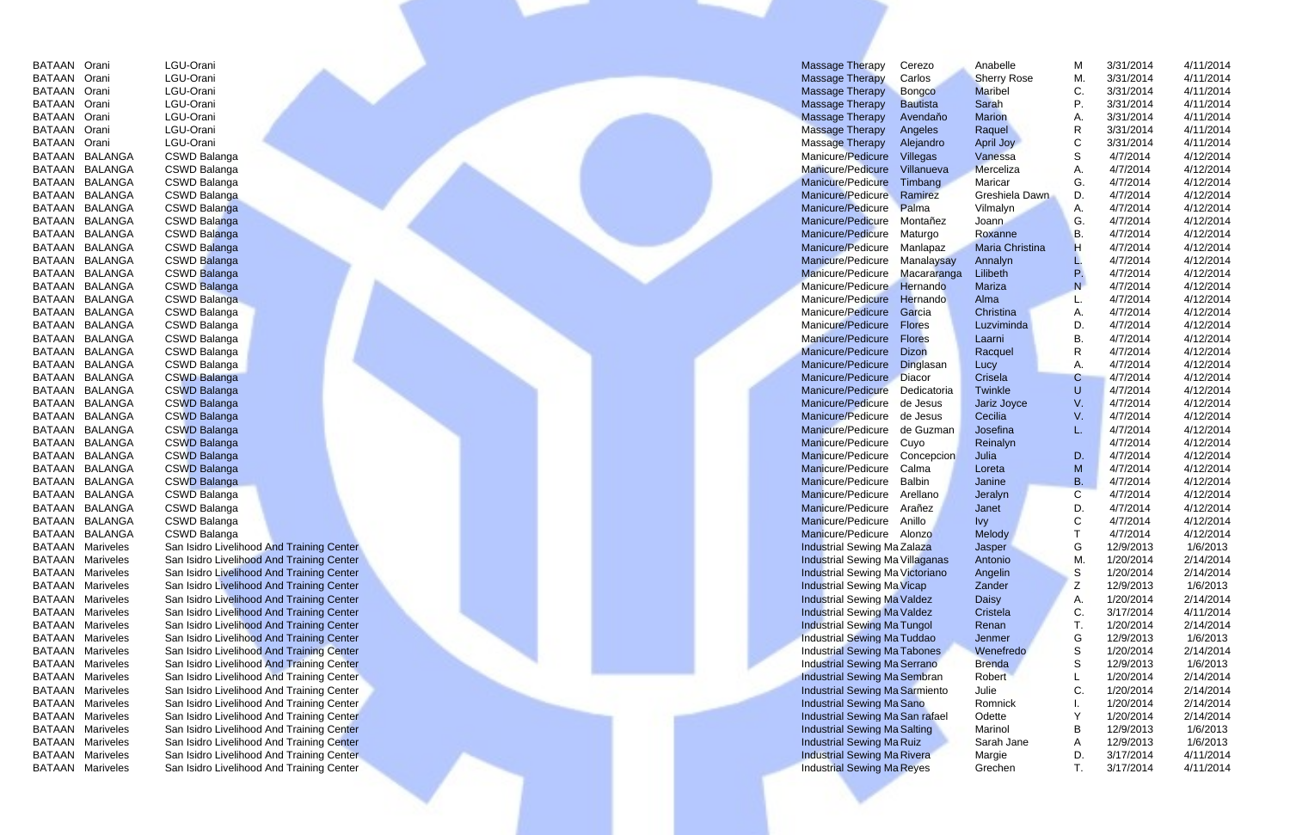| BATAAN        | Orani            | LGU-Orani                 |
|---------------|------------------|---------------------------|
| BATAAN        | Orani            | LGU-Orani                 |
| BATAAN        | Orani            | LGU-Orani                 |
| BATAAN        | Orani            | LGU-Orani                 |
| BATAAN        | Orani            | LGU-Orani                 |
| BATAAN        | Orani            | LGU-Orani                 |
| BATAAN        | Orani            | LGU-Orani                 |
| BATAAN        | <b>BALANGA</b>   | <b>CSWD Balanga</b>       |
| BATAAN        | <b>BALANGA</b>   | <b>CSWD Balanga</b>       |
| BATAAN        | <b>BALANGA</b>   | <b>CSWD Balanga</b>       |
| BATAAN        | <b>BALANGA</b>   | <b>CSWD Balanga</b>       |
| BATAAN        | <b>BALANGA</b>   | <b>CSWD Balanga</b>       |
| BATAAN        | <b>BALANGA</b>   | <b>CSWD Balanga</b>       |
| BATAAN        | <b>BALANGA</b>   | <b>CSWD Balanga</b>       |
| BATAAN        | <b>BALANGA</b>   | <b>CSWD Balanga</b>       |
| BATAAN        | <b>BALANGA</b>   | <b>CSWD Balanga</b>       |
| <b>BATAAN</b> | <b>BALANGA</b>   | <b>CSWD Balanga</b>       |
| BATAAN        | <b>BALANGA</b>   | <b>CSWD Balanga</b>       |
| BATAAN        | <b>BALANGA</b>   | <b>CSWD Balanga</b>       |
| BATAAN        | <b>BALANGA</b>   | <b>CSWD Balanga</b>       |
| BATAAN        | <b>BALANGA</b>   | <b>CSWD Balanga</b>       |
| <b>BATAAN</b> | <b>BALANGA</b>   | <b>CSWD Balanga</b>       |
| BATAAN        | <b>BALANGA</b>   | CSWD Balanga              |
| BATAAN        | <b>BALANGA</b>   | <b>CSWD Balanga</b>       |
| BATAAN        | <b>BALANGA</b>   | <b>CSWD Balanga</b>       |
| BATAAN        | <b>BALANGA</b>   | <b>CSWD Balanga</b>       |
| BATAAN        | <b>BALANGA</b>   | <b>CSWD Balanga</b>       |
| BATAAN        | <b>BALANGA</b>   | <b>CSWD Balanga</b>       |
| BATAAN        | <b>BALANGA</b>   | <b>CSWD Balanga</b>       |
| BATAAN        | <b>BALANGA</b>   | <b>CSWD Balanga</b>       |
| <b>BATAAN</b> | <b>BALANGA</b>   | <b>CSWD Balanga</b>       |
| <b>BATAAN</b> | <b>BALANGA</b>   | <b>CSWD Balanga</b>       |
| <b>BATAAN</b> | <b>BALANGA</b>   | <b>CSWD Balanga</b>       |
| <b>BATAAN</b> | <b>BALANGA</b>   | <b>CSWD Balanga</b>       |
| BATAAN        | <b>BALANGA</b>   | CSWD Balanga              |
| BATAAN        | <b>BALANGA</b>   | <b>CSWD Balanga</b>       |
| <b>BATAAN</b> | <b>BALANGA</b>   | CSWD Balanga              |
| <b>BATAAN</b> | <b>Mariveles</b> | San Isidro Livelihood And |
| BATAAN        | <b>Mariveles</b> | San Isidro Livelihood And |
| BATAAN        | Mariveles        | San Isidro Livelihood And |
| <b>BATAAN</b> | <b>Mariveles</b> | San Isidro Livelihood And |
| BATAAN        | <b>Mariveles</b> | San Isidro Livelihood And |
| BATAAN        | <b>Mariveles</b> | San Isidro Livelihood And |
| BATAAN        | <b>Mariveles</b> | San Isidro Livelihood And |
| BATAAN        | <b>Mariveles</b> | San Isidro Livelihood And |
| BATAAN        | <b>Mariveles</b> | San Isidro Livelihood And |
| BATAAN        | <b>Mariveles</b> | San Isidro Livelihood And |
| BATAAN        | <b>Mariveles</b> | San Isidro Livelihood And |
| BATAAN        | <b>Mariveles</b> | San Isidro Livelihood And |
| <b>BATAAN</b> | <b>Mariveles</b> | San Isidro Livelihood And |
| BATAAN        | <b>Mariveles</b> | San Isidro Livelihood And |
| BATAAN        | <b>Mariveles</b> | San Isidro Livelihood And |
| BATAAN        | <b>Mariveles</b> | San Isidro Livelihood And |
| BATAAN        | <b>Mariveles</b> | San Isidro Livelihood And |
| BATAAN        | <b>Mariveles</b> | San Isidro Livelihood And |
|               |                  |                           |

| BATAAN Orani            | LGU-Orani                                 | <b>Massage Therapy</b><br>Cerezo          | Anabelle           | M           | 3/31/2014 | 4/11/2014 |
|-------------------------|-------------------------------------------|-------------------------------------------|--------------------|-------------|-----------|-----------|
| BATAAN Orani            | LGU-Orani                                 | <b>Massage Therapy</b><br>Carlos          | <b>Sherry Rose</b> | M.          | 3/31/2014 | 4/11/2014 |
| BATAAN Orani            | LGU-Orani                                 | <b>Massage Therapy</b><br>Bongco          | <b>Maribel</b>     | C.          | 3/31/2014 | 4/11/2014 |
| BATAAN Orani            | LGU-Orani                                 | <b>Massage Therapy</b><br><b>Bautista</b> | Sarah              |             | 3/31/2014 | 4/11/2014 |
| BATAAN Orani            | LGU-Orani                                 | <b>Massage Therapy</b><br>Avenda o        | <b>Marion</b>      |             | 3/31/2014 | 4/11/2014 |
| <b>BATAAN Orani</b>     | LGU-Orani                                 | <b>Massage Therapy</b><br>Angeles         | Raquel             |             | 3/31/2014 | 4/11/2014 |
| <b>BATAAN Orani</b>     | LGU-Orani                                 | Massage Therapy<br>Alejandro              | April Joy          |             | 3/31/2014 | 4/11/2014 |
| BATAAN BALANGA          | CSWD Balanga                              | Manicure/Pedicure<br>Villegas             | Vanessa            |             | 4/7/2014  | 4/12/2014 |
| BATAAN BALANGA          | CSWD Balanga                              | Manicure/Pedicure<br>Villanueva           | Merceliza          |             | 4/7/2014  | 4/12/2014 |
| BATAAN BALANGA          | CSWD Balanga                              | Manicure/Pedicure<br>Timbang              | Maricar            | G.          | 4/7/2014  | 4/12/2014 |
| BATAAN BALANGA          | <b>CSWD Balanga</b>                       | Manicure/Pedicure<br>Ramirez              | Greshiela Dawn     | D.          | 4/7/2014  | 4/12/2014 |
| BATAAN BALANGA          | <b>CSWD Balanga</b>                       | Manicure/Pedicure<br>Palma                | Vilmalyn           | Α.          | 4/7/2014  | 4/12/2014 |
| BATAAN BALANGA          | <b>CSWD Balanga</b>                       | <b>Manicure/Pedicure</b><br>Montañez      | Joann              | G.          | 4/7/2014  | 4/12/2014 |
| BATAAN BALANGA          | <b>CSWD Balanga</b>                       | Manicure/Pedicure<br>Maturgo              | Roxanne            |             | 4/7/2014  | 4/12/2014 |
| BATAAN BALANGA          | <b>CSWD Balanga</b>                       | Manicure/Pedicure<br>Manlapaz             | Maria Christina    |             | 4/7/2014  | 4/12/2014 |
| BATAAN BALANGA          | <b>CSWD Balanga</b>                       | Manicure/Pedicure<br>Manalaysay           | Annalyn            |             | 4/7/2014  | 4/12/2014 |
| BATAAN BALANGA          | <b>CSWD Balanga</b>                       | Manicure/Pedicure<br>Macararanga          | Lilibeth           |             | 4/7/2014  | 4/12/2014 |
| BATAAN BALANGA          | <b>CSWD Balanga</b>                       | Manicure/Pedicure Hernando                | Mariza             |             | 4/7/2014  | 4/12/2014 |
| BATAAN BALANGA          | <b>CSWD Balanga</b>                       | Manicure/Pedicure<br>Hernando             | Alma               |             | 4/7/2014  | 4/12/2014 |
| BATAAN BALANGA          | <b>CSWD Balanga</b>                       | Manicure/Pedicure<br>Garcia               | Christina          | Α.          | 4/7/2014  | 4/12/2014 |
| BATAAN BALANGA          | CSWD Balanga                              | Manicure/Pedicure<br><b>Flores</b>        | Luzviminda         | D.          | 4/7/2014  | 4/12/2014 |
| BATAAN BALANGA          | CSWD Balanga                              | Manicure/Pedicure<br><b>Flores</b>        | Laarni             | В.          | 4/7/2014  | 4/12/2014 |
| BATAAN BALANGA          | CSWD Balanga                              | Manicure/Pedicure<br>Dizon                | Racquel            |             | 4/7/2014  | 4/12/2014 |
| BATAAN BALANGA          | CSWD Balanga                              | Manicure/Pedicure<br>Dinglasan            | Lucy               |             | 4/7/2014  | 4/12/2014 |
| BATAAN BALANGA          | <b>CSWD Balanga</b>                       | Manicure/Pedicure Diacor                  | Crisela            |             | 4/7/2014  | 4/12/2014 |
| BATAAN BALANGA          | <b>CSWD Balanga</b>                       | Manicure/Pedicure<br>Dedicatoria          | <b>Twinkle</b>     |             | 4/7/2014  | 4/12/2014 |
| BATAAN BALANGA          | <b>CSWD Balanga</b>                       | Manicure/Pedicure<br>de Jesus             | Jariz Joyce        |             | 4/7/2014  | 4/12/2014 |
| BATAAN BALANGA          | <b>CSWD Balanga</b>                       | Manicure/Pedicure de Jesus                | Cecilia            |             | 4/7/2014  | 4/12/2014 |
| BATAAN BALANGA          | <b>CSWD Balanga</b>                       | Manicure/Pedicure de Guzman               | Josefina           |             | 4/7/2014  | 4/12/2014 |
| BATAAN BALANGA          | <b>CSWD Balanga</b>                       | Manicure/Pedicure Cuyo                    | Reinalyn           |             | 4/7/2014  | 4/12/2014 |
| BATAAN BALANGA          | <b>CSWD Balanga</b>                       | Manicure/Pedicure Concepcion              | Julia              | D.          | 4/7/2014  | 4/12/2014 |
| BATAAN BALANGA          | <b>CSWD Balanga</b>                       | Manicure/Pedicure Calma                   | Loreta             | M           | 4/7/2014  | 4/12/2014 |
| BATAAN BALANGA          | <b>CSWD Balanga</b>                       | Manicure/Pedicure<br>Balbin               | Janine             | $\mathsf B$ | 4/7/2014  | 4/12/2014 |
| BATAAN BALANGA          | <b>CSWD Balanga</b>                       | Manicure/Pedicure<br>Arellano             | Jeralyn            | С           | 4/7/2014  | 4/12/2014 |
| BATAAN BALANGA          | CSWD Balanga                              | Manicure/Pedicure Arañez                  | Janet              | D.          | 4/7/2014  | 4/12/2014 |
| BATAAN BALANGA          | CSWD Balanga                              | Manicure/Pedicure Anillo                  | lvy.               | С           | 4/7/2014  | 4/12/2014 |
| BATAAN BALANGA          | CSWD Balanga                              | Manicure/Pedicure Alonzo                  | Melody             |             | 4/7/2014  | 4/12/2014 |
| <b>BATAAN Mariveles</b> | San Isidro Livelihood And Training Center | Industrial Sewing Ma Zalaza               | Jasper             | G           | 12/9/2013 | 1/6/2013  |
| <b>BATAAN Mariveles</b> | San Isidro Livelihood And Training Center | <b>Industrial Sewing Ma Villaganas</b>    | Antonio            | M.          | 1/20/2014 | 2/14/2014 |
| <b>BATAAN Mariveles</b> | San Isidro Livelihood And Training Center | Industrial Sewing Ma Victoriano           | Angelin            | S           | 1/20/2014 | 2/14/2014 |
| <b>BATAAN Mariveles</b> | San Isidro Livelihood And Training Center | <b>Industrial Sewing Ma Vicap</b>         | Zander             | Z           | 12/9/2013 | 1/6/2013  |
| <b>BATAAN Mariveles</b> | San Isidro Livelihood And Training Center | <b>Industrial Sewing Ma Valdez</b>        | <b>Daisy</b>       | А.          | 1/20/2014 | 2/14/2014 |
| <b>BATAAN Mariveles</b> | San Isidro Livelihood And Training Center | <b>Industrial Sewing Ma Valdez</b>        | Cristela           | C.          | 3/17/2014 | 4/11/2014 |
| <b>BATAAN Mariveles</b> | San Isidro Livelihood And Training Center | <b>Industrial Sewing Ma Tungol</b>        | Renan              |             | 1/20/2014 | 2/14/2014 |
| <b>BATAAN Mariveles</b> | San Isidro Livelihood And Training Center | <b>Industrial Sewing Ma Tuddao</b>        | Jenmer             | G           | 12/9/2013 | 1/6/2013  |
| <b>BATAAN Mariveles</b> | San Isidro Livelihood And Training Center | <b>Industrial Sewing Ma Tabones</b>       | Wenefredo          | S           | 1/20/2014 | 2/14/2014 |
| <b>BATAAN Mariveles</b> | San Isidro Livelihood And Training Center | <b>Industrial Sewing Ma Serrano</b>       | <b>Brenda</b>      | S           | 12/9/2013 | 1/6/2013  |
| <b>BATAAN Mariveles</b> | San Isidro Livelihood And Training Center | <b>Industrial Sewing Ma Sembran</b>       | Robert             |             | 1/20/2014 | 2/14/2014 |
| <b>BATAAN Mariveles</b> | San Isidro Livelihood And Training Center | <b>Industrial Sewing Ma Sarmiento</b>     | Julie              | С           | 1/20/2014 | 2/14/2014 |
| <b>BATAAN Mariveles</b> | San Isidro Livelihood And Training Center | <b>Industrial Sewing Ma Sano</b>          | Romnick            |             | 1/20/2014 | 2/14/2014 |
| <b>BATAAN Mariveles</b> | San Isidro Livelihood And Training Center | Industrial Sewing Ma San rafael           | Odette             |             | 1/20/2014 | 2/14/2014 |
| <b>BATAAN Mariveles</b> | San Isidro Livelihood And Training Center | <b>Industrial Sewing Ma Salting</b>       | Marinol            | B           | 12/9/2013 | 1/6/2013  |
| <b>BATAAN Mariveles</b> | San Isidro Livelihood And Training Center | <b>Industrial Sewing Ma Ruiz</b>          | Sarah Jane         | A           | 12/9/2013 | 1/6/2013  |
| <b>BATAAN Mariveles</b> | San Isidro Livelihood And Training Center | <b>Industrial Sewing Ma Rivera</b>        | Margie             | D.          | 3/17/2014 | 4/11/2014 |
| <b>BATAAN Mariveles</b> | San Isidro Livelihood And Training Center | <b>Industrial Sewing Ma Reyes</b>         | Grechen            | Т.          | 3/17/2014 | 4/11/2014 |
|                         |                                           |                                           |                    |             |           |           |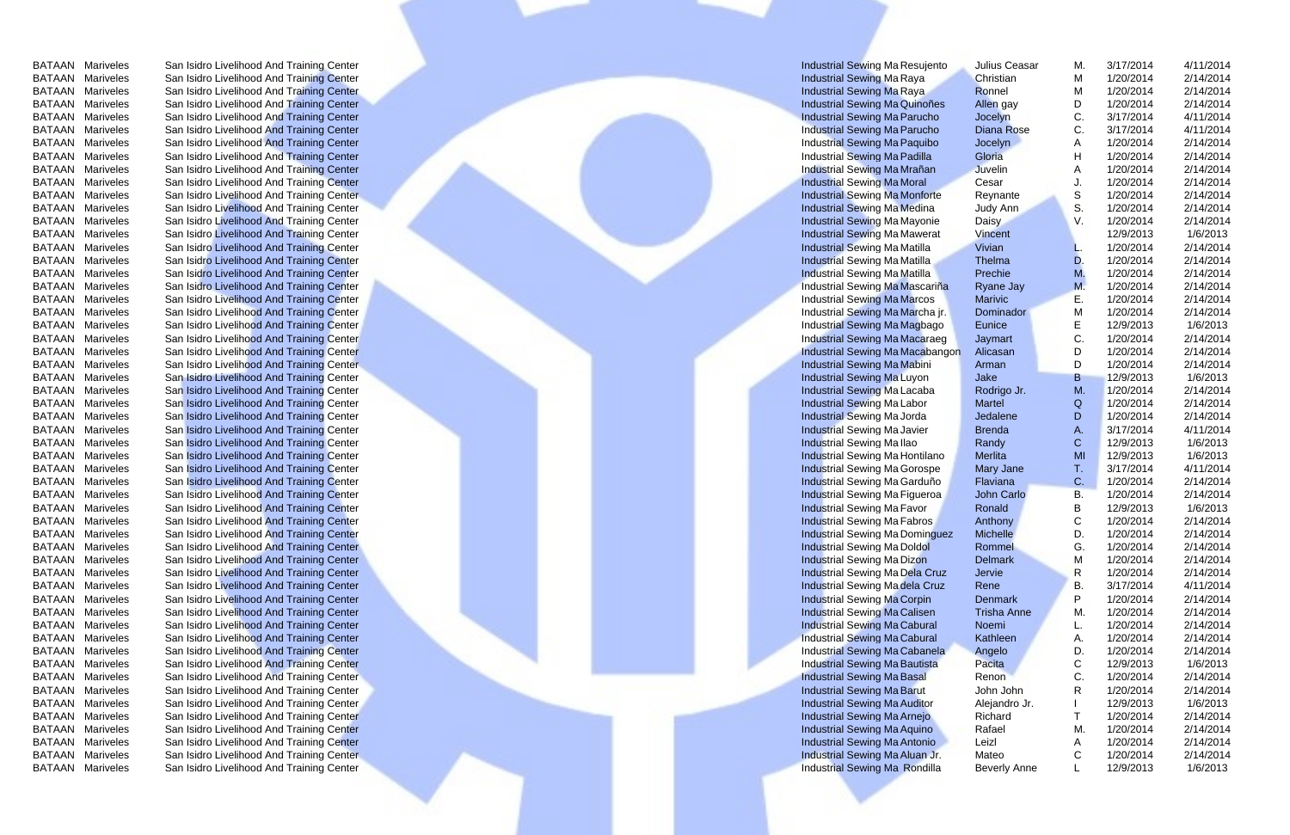BATAAN Mariveles San Isidro Livelihood And Training Center Industrial Sewing Machine Machine Machine San Isidro Livelihood And Training Center Industrial Sewing Machine Machine Operation Results of the Machine Operation Re Mariveles San Isidro Livelihood And Training Center Machine Center Industrial Sewing Machine Machine Julius Ceasar M. 3/17/2014 4/11/2014<br>ATAAN Mariveles San Isidro Livelihood And Training Center M 1/20/2014 2/14/2014 2/14 Mariveles San Isidro Livelihood And Training Center **San Isidro Livelihood And Training Center** Industrial Sewing Machine Mariveles San Isidro Livelihood And Training Center **Industrial Seving Machine Center industrial Sew** Mariveles San Isidro Livelihood And Training Center **Machine Center industrial Sewing Machine Center industrial Sewing Machine Center industrial Sewing Machine Center industrial Sewing Machine Christian Mariveles San Isidr** Mariveles San Isidro Livelihood And Training Center **Industrial Sewing Machine Machine San Isidro Livelihood And Training Center Industrial Sewing Machine Machine Machine San Isidro Livelihood And Training Center Industria** EXTAAN Mariveles San Isidro Livelihood And Training Center Industrial Sewing Machine Mariveles San Isidro Livelihood And Training Center Industrial Sewing Machine Machine Machine San Isidro Livelihood And Training Center I EXTAAN Mariveles San Isidro Livelihood And Training Center Industrial Sewing Machine Machine Mariveles San Isidro Livelihood And Training Center Industrial Sewing Machine Machine Machine San Isidro Livelihood And Training EXTAAN Mariveles San Isidro Livelihood And Training Center Industrial Sewing MacQuinoñes Allen gay D. 1/20/2014 2/14/2014<br>
BATAAN Mariveles San Isidro Livelihood And Training Center Industrial Sewing MacQuinoñes Allen gay EXTAAN Mariveles San Isidro Livelihood And Training Center Industrial Sewing Machine Content Industrial Sewing Machine Content Industrial Sewing Machine Content Industrial Sewing Machine Content Industrial Sewing Machine C EXTAAN Mariveles San Isidro Livelihood And Training Center Industrial Sewing Machine C. attached And Training Center Industrial Sewing Machine C. attached And Training Center Industrial Sewing Machine Cesar And And Trainin EXTAAN Mariveles San Isidro Livelihood And Training Center Industrial Sewing Machine Mariveles San Isidro Livelihood And Training Center Industrial Sewing Machine Machine San Isidro Livelihood And Training Center Industria EXTAAN Mariveles San Isidro Livelihood And Training Center Industrial Sewing Machine Machine Machine San Isidro Livelihood And Training Center Industrial Sewing Machine Machine Machine San Isidro Livelihood And Training Ce EXTAAN Mariveles San Isidro Livelihood And Training Center Industrial Sewing MacMustrial Sewing MacMustrial Sewing MacMustrial Sewing MacMustrial Sewing MacMustrial Sewing MacMustrial Sewing MacMustrial Sewing MacMustrial EXTAAN Mariveles San Isidro Livelihood And Training Center Industrial Sewing Machine San Isidro Livelihood And Training Center Industrial Sewing Machine San Isidro Livelihood And Training Center Industrial Sewing Machine S EXTAAN Mariveles San Isidro Livelihood And Training Center Industrial Sewing Machine Neyland Device San Isidro Livelihood And Training Center Industrial Sewing Machine Device of Machine San Isidro Livelihood And Training C EXTAAN Mariveles San Isidro Livelihood And Training Center Industrial Sewing Machine Machine Center Industrial Sewing Machine Center Industrial Sewing Machine Center Industrial Sewing Machine Center Industrial Sewing Machi EXTAAN Mariveles San Isidro Livelihood And Training Center Industrial Sewing Machine Mariveles San Isidro Livelihood And Training Center Industrial Sewing Machine Machine Machine Machine Machine Mathia Sewing Machine Machi EXTAAN Mariveles San Isidro Livelihood And Training Center Industrial Sewing Machine Industrial Sewing Machine Industrial Sewing Machine Industrial Sewing Machine Industrial Sewing Machine Industrial Sewing Machine Industr EXTAAN Mariveles San Isidro Livelihood And Training Center Industrial Sewing Machine Industrial Sewing Machine Industrial Sewing Machine Industrial Sewing Machine Industrial Sewing Machine Center Industrial Sewing Machine EXTAAN Mariveles San Isidro Livelihood And Training Center Industrial Sewing Machine Industrial Sewing Machine Mariveles San Isidro Livelihood And Training Center Industrial Sewing Machine Prechie M. 1/20/2014 2/14/2014<br>
M EXTAAN Mariveles San Isidro Livelihood And Training Center Industrial Sewing Machine Mariveles San Isidro Livelihood And Training Center Industrial Sewing Machine Mariveles San Isidro Livelihood And Training Center Industr EXTAAN Mariveles San Isidro Livelihood And Training Center Industrial Sewing MacMacarina (National Service San Isidro Livelihood And Training Center Industrial Sewing MacAracarina (National Service San Isidro Livelihood An EXTAAN Mariveles San Isidro Livelihood And Training Center Industrial Sewing Machine Industrial Sewing Machine Industrial Sewing MacAbangon Marivic E. 1/20/2014 2/14/2014<br>
BATAAN Mariveles San Isidro Livelihood And Trainin EXTAAN Mariveles San Isidro Livelihood And Training Center Industrial Sewing Machine Industrial Sewing Machine Industrial Sewing Machine Industrial Sewing Machine Industrial Sewing Machine Industrial Sewing Machine Industr EXTAAN Mariveles San Isidro Livelihood And Training Center Industrial Sewing Machine Hotel Christian Sewing Machine Control in the Mariveles San Isidro Livelihood And Training Center Industrial Sewing Machine Industrial Se EXTAAN Mariveles San Isidro Livelihood And Training Center Industrial Sewing Machine Machine C. 1/20/2014 2/14/2014<br>
BATAAN Mariveles San Isidro Livelihood And Training Center Industrial Sewing Machine Machine Development EXTAAN Mariveles San Isidro Livelihood And Training Center Industrial Sewing Machine Industrial Sewing Machine Development of the Martial Sewing Machine Development of the Martial Sewing Machine Development of the Martial EXTAAN Mariveles San Isidro Livelihood And Training Center Industrial Sewing Machine Industrial Sewing Machine BATAAN Mariveles San Isidro Livelihood And Training Center Industrial Sewing Machine Industrial Sewing Machine EXTAAN Mariveles San Isidro Livelihood And Training Center Industrial Sewing Machine Industrial Sewing Machine Industrial Sewing Machine Industrial Sewing Machine Research And Training Center Industrial Sewing Machine Mach EXTAAN Mariveles San Isidro Livelihood And Training Center Industrial Sewing Machine Machine Machine San Isidro Livelihood And Training Center Industrial Sewing Machine Machine Machine San Isidro Livelihood And Training Ce EXTAAN Mariveles San Isidro Livelihood And Training Center Industrial Sewing Machine Machine Development industrial Sewing Machine Development industrial Sewing Machine Development industrial Sewing Machine Development ind EXTAAN Mariveles San Isidro Livelihood And Training Center Industrial Sewing Machine and the Mariveles San Isidro Livelihood And Training Center Industrial Sewing Machine and A. 3/17/2014 4/11/2014<br>
BATAAN Mariveles San Is EXTAAN Mariveles San Isidro Livelihood And Training Center Industrial Sewing Machine and San Isidro Livelihood And Training Center Industrial Sewing Machine Read and C. 129/2013 1/6/2013<br>
BATAAN Mariveles San Isidro Liveli EXTAAN Mariveles San Isidro Livelihood And Training Center Industrial Sewing Machine Machine Mariveles San Isidro Livelihood And Training Center Industrial Sewing Machine Machine Machine Machine San Isidro Livelihood And T EXTAAN Mariveles San Isidro Livelihood And Training Center Industrial Sewing Machine Meritial Sewing Machine Meritia (Sewing Machine T. 2012/2013 1/6/2013<br>
BATAAN Mariveles San Isidro Livelihood And Training Center Industr EXTAAN Mariveles San Isidro Livelihood And Training Center Industrial Sewing Machine San Isidro Livelihood And Training Center Industrial Sewing Machine San Isidro Livelihood And Training Center Industrial Sewing Machine T EXTAAN Mariveles San Isidro Livelihood And Training Center Industrial Sewing Machine Industrial Sewing Machine C. 1/20/2014 2/14/2014<br>
BATAAN Mariveles San Isidro Livelihood And Training Center Industrial Sewing Machine In EXTAAN Mariveles San Isidro Livelihood And Training Center Industrial Sewing Machine Center Industrial Sewing Machine Center Industrial Sewing Machine Center Industrial Sewing Machine Center Industrial Sewing Machine Cente EXTAAN Mariveles San Isidro Livelihood And Training Center Industrial Sewing Machine Machine San Isidro Livelihood And Training Center Industrial Sewing Machine Machine Computer of the Mariveles San Isidro Livelihood And T EXTAAN Mariveles San Isidro Livelihood And Training Center Industrial Sewing Machine Machine Comment industrial Sewing Machine Comment industrial Sewing Machine Machine Comment industrial Sewing Machine San Isidro Liveliho EXTAAN Mariveles San Isidro Livelihood And Training Center Industrial Sewing Machine Machine Mariveles San Isidro Livelihood And Training Center Industrial Sewing Machine Machine San Isidro Livelihood And Training Center I EXTAAN Mariveles San Isidro Livelihood And Training Center Industrial Sewing Machine Denmark Mariveles San Isidro Livelihood And Training Center Industrial Sewing Machine Denmark Mariveles San Isidro Livelihood And Trainin EXTAAN Mariveles San Isidro Livelihood And Training Center Industrial Sewing Machine Mariveles San Isidro Livelihood And Training Center Industrial Sewing Machine Machine Machine San Isidro Livelihood And Training Center I EXTAAN Mariveles San Isidro Livelihood And Training Center Industrial Sewing Machine Industrial Sewing Machine Industrial Sewing Machine Industrial Sewing Machine Prizo 2014 2/14/2014<br>
BATAAN Mariveles San Isidro Livelihoo EXTAAN Mariveles San Isidro Livelihood And Training Center Industrial Sewing Machine Cabural Sewing Machine Cabural Sewing Machine Cabural Sewing Machine Cabural Sewing Machine Cabural Sewing Machine Cabural Sewing Machine EXTAAN Mariveles San Isidro Livelihood And Training Center Industrial Sewing Machine Trisha Anne M. 1/20/2014 2/14/2014<br>BATAAN Mariveles San Isidro Livelihood And Training Center Industrial Sewing Machine Trisha Anne M. 1/ EXTAAN Mariveles San Isidro Livelihood And Training Center Industrial Sewing Machine Trisha Anne M. 1/20/2014 2/14/2014<br>
BATAAN Mariveles San Isidro Livelihood And Training Center Industrial Sewing Machine Hotel Mustrial S EXTAAN Mariveles San Isidro Livelihood And Training Center Industrial Sewing Machine Industrial Sewing Machine Industrial Sewing Machine Industrial Sewing Machine and San Isidro Livelihood And Training Center Industrial Se EXTAAN Mariveles San Isidro Livelihood And Training Center Industrial Sewing Machine and Training Center Industrial Sewing Machine and Training Center Industrial Sewing Machine and Training Center Industrial Sewing Machine EXTAAN Mariveles San Isidro Livelihood And Training Center Industrial Sewing Machine Research and San Isidro Livelihood And Training Center Industrial Sewing Machine Part of the Control of the Mariveles San Isidro Liveliho EXTAAN Mariveles San Isidro Livelihood And Training Center Industrial Sewing Machine Industrial Sewing Machine C. 129/2013 16/2013<br>
BATAAN Mariveles San Isidro Livelihood And Training Center Industrial Sewing Machine Indus EXTAAN Mariveles San Isidro Livelihood And Training Center Industrial Sewing Machine Industrial Sewing Machine C. 1200/2014 2/14/2014<br>
BATAAN Mariveles San Isidro Livelihood And Training Center Industrial Sewing Machine Me EXTAAN Mariveles San Isidro Livelihood And Training Center Industrial Sewing Machine Industrial Sewing Machine Industrial Sewing Machine Industrial Sewing Machine John John Christian Center Industrial Sewing Machine Indust EXTAAN Mariveles San Isidro Livelihood And Training Center Industrial Sewing Machine (Melandro Jr. 129/2013 16/2013<br>
BATAAN Mariveles San Isidro Livelihood And Training Center Industrial Sewing Machine Relation Control (Me EXTAAN Mariveles San Isidro Livelihood And Training Center Industrial Sewing Machine Research and Training Center Industrial Sewing Machine Research 2/14/2014 2/14/2014<br>
BATAAN Mariveles San Isidro Livelihood And Training

| Julius Ceasar                |        |                        |                       |
|------------------------------|--------|------------------------|-----------------------|
|                              | М.     | 3/17/2014              | 4/11/2014             |
| Christian                    | Μ      | 1/20/2014              | 2/14/2014             |
| Ronnel                       | М      | 1/20/2014              | 2/14/2014             |
| Allen gay                    | D      | 1/20/2014              | 2/14/2014             |
| Jocelyn                      | C.     | 3/17/2014              | 4/11/2014             |
| <b>Diana Rose</b>            | C.     | 3/17/2014              | 4/11/2014             |
| Jocelyn                      | A      | 1/20/2014              | 2/14/2014             |
| Gloria                       | H      | 1/20/2014              | 2/14/2014             |
| <b>Juvelin</b>               | A      | 1/20/2014              | 2/14/2014             |
| Cesar                        | J.     | 1/20/2014              | 2/14/2014             |
| Reynante                     | S      | 1/20/2014              | 2/14/2014             |
| Judy Ann                     | S.     | 1/20/2014              | 2/14/2014             |
| <b>Daisy</b>                 | V.     | 1/20/2014              | 2/14/2014             |
| Vincent                      |        | 12/9/2013              | 1/6/2013              |
| Vivian                       | L.     | 1/20/2014              | 2/14/2014             |
| Thelma                       | D.     | 1/20/2014              | 2/14/2014             |
| Prechie                      | М.     | 1/20/2014              | 2/14/2014             |
| <b>Ryane Jay</b>             | M.     | 1/20/2014              | 2/14/2014             |
| <b>Marivic</b>               | Е.     | 1/20/2014              | 2/14/2014             |
| Dominador                    | M      | 1/20/2014              | 2/14/2014             |
| <b>Eunice</b>                | E      | 12/9/2013              | 1/6/2013              |
| Jaymart                      | C.     | 1/20/2014              | 2/14/2014             |
| Alicasan                     | D      | 1/20/2014              | 2/14/2014             |
| Arman                        | D      | 1/20/2014              | 2/14/2014             |
| Jake                         | B      | 12/9/2013              | 1/6/2013              |
| Rodrigo Jr.                  | M.     | 1/20/2014              | 2/14/2014             |
| <b>Martel</b>                | Q      | 1/20/2014              | 2/14/2014             |
|                              |        |                        |                       |
|                              |        |                        |                       |
| Jedalene                     | D      | 1/20/2014              | 2/14/2014             |
| <b>Brenda</b>                | A.     | 3/17/2014              | 4/11/2014             |
| Randy                        | C      | 12/9/2013              | 1/6/2013              |
| <b>Merlita</b>               | MI     | 12/9/2013              | 1/6/2013              |
| Mary Jane                    | т.     | 3/17/2014              | 4/11/2014             |
| Flaviana                     | C.     | 1/20/2014              | 2/14/2014             |
| <b>John Carlo</b>            | В.     | 1/20/2014              | 2/14/2014             |
| Ronald                       | B      | 12/9/2013              | 1/6/2013              |
| Anthony                      | C      | 1/20/2014              | 2/14/2014             |
| <b>Michelle</b>              | D.     | 1/20/2014              | 2/14/2014             |
| Rommel                       | G.     | 1/20/2014              | 2/14/2014             |
| <b>Delmark</b>               | Μ      | 1/20/2014              | 2/14/2014             |
| Jervie                       | R      | 1/20/2014              | 2/14/2014             |
| Rene                         | В.     | 3/17/2014              | 4/11/2014             |
| <b>Denmark</b>               | P      | 1/20/2014              | 2/14/2014             |
| <b>Trisha Anne</b>           | М.     | 1/20/2014              | 2/14/2014             |
| Noemi                        | L.     | 1/20/2014              | 2/14/2014             |
| Kathleen                     | Α.     | 1/20/2014              | 2/14/2014             |
| Angelo                       | D.     | 1/20/2014              | 2/14/2014             |
| Pacita                       | С      | 12/9/2013              | 1/6/2013              |
| Renon                        | C.     | 1/20/2014              | 2/14/2014             |
| John John                    | R      | 1/20/2014              | 2/14/2014             |
| Alejandro Jr.                | L      | 12/9/2013              | 1/6/2013              |
| Richard                      | Τ      | 1/20/2014              | 2/14/2014             |
| Rafael                       | М.     | 1/20/2014              | 2/14/2014             |
| Leizl                        | Α      | 1/20/2014              | 2/14/2014             |
| Mateo<br><b>Beverly Anne</b> | С<br>Г | 1/20/2014<br>12/9/2013 | 2/14/2014<br>1/6/2013 |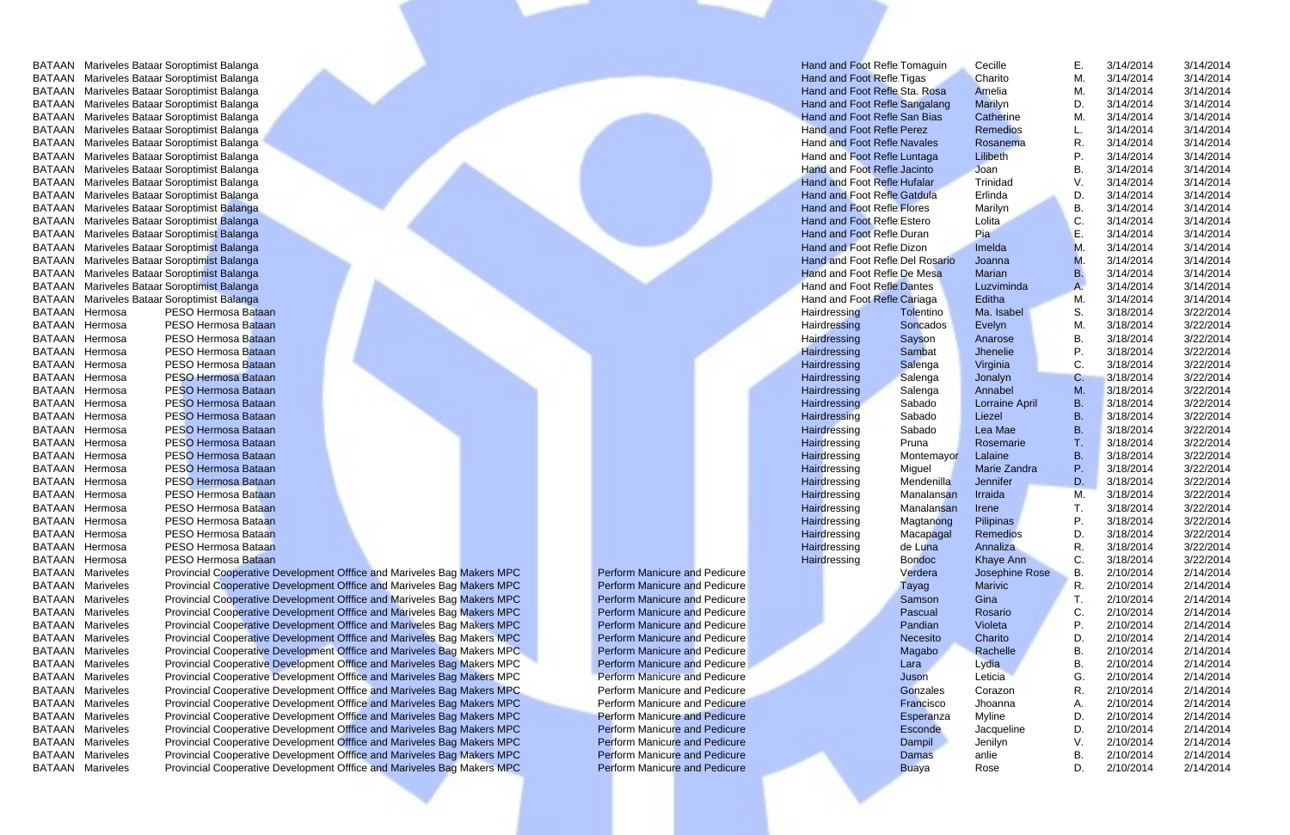EXTAAN Mariveles Provincial Cooperative Development Offfice and Mariveles Bag Makers MPC Perform Manicure and Pedicure<br>
BATAAN Mariveles Provincial Cooperative Development Offfice and Mariveles Bag Makers MPC Perform Manic EXTAAN Mariveles Provincial Cooperative Development Offfice and Mariveles Bag Makers MPC Perform Manicure and Pedicure<br>
BATAAN Mariveles Provincial Cooperative Development Offfice and Mariveles Bag Makers MPC Perform Manic EXTAAN Mariveles Provincial Cooperative Development Offfice and Mariveles Bag Makers MPC Perform Manicure and Pedicure<br>
BATAAN Mariveles Provincial Cooperative Development Offfice and Mariveles Bag Makers MPC Perform Manic EXTAAN Mariveles Provincial Cooperative Development Offfice and Mariveles Bag Makers MPC Perform Manicure and Pedicure<br>
BATAAN Mariveles Provincial Cooperative Development Offfice and Mariveles Bag Makers MPC Perform Manic EXTAAN Mariveles Provincial Cooperative Development Offfice and Mariveles Bag Makers MPC Perform Manicure and Pedicure<br>
BATAAN Mariveles Provincial Cooperative Development Office and Mariveles Bag Makers MPC Perform Manicu EXTAAN Mariveles Provincial Cooperative Development Office and Mariveles Bag Makers MPC Perform Manicure and Pedicure<br>
BATAAN Mariveles Provincial Cooperative Development Office and Mariveles Bag Makers MPC Perform Manicur EXTAAN Mariveles Provincial Cooperative Development Offfice and Mariveles Bag Makers MPC **Development Office and Mariveles Bag Makers MPC Development Cooperative Development Office and Mariveles Bag Makers MPC Developm** EXTAAN Mariveles Provincial Cooperative Development Office and Mariveles Bag Makers MPC Perform Manicure and Pedicure<br>
BATAAN Mariveles Provincial Cooperative Development Office and Mariveles Bag Makers MPC Perform Manicur EXTAAN Mariveles Provincial Cooperative Development Office and Mariveles Bag Makers MPC Perform Manicure and Pedicure<br>
BATAAN Mariveles Provincial Cooperative Development Office and Mariveles Bag Makers MPC Perform Manicur EXTAAN Mariveles Provincial Cooperative Development Offfice and Mariveles Bag Makers MPC Perform Manicure and Pedicure<br>
BATAAN Mariveles Provincial Cooperative Development Office and Mariveles Bag Makers MPC Perform Manicu EXTAAN Mariveles Provincial Cooperative Development Office and Mariveles Bag Makers MPC Perform Manicure and Pedicure<br>
BATAAN Mariveles Provincial Cooperative Development Office and Mariveles Bag Makers MPC Perform Manicur EXTAAN Mariveles Provincial Cooperative Development Office and Mariveles Bag Makers MPC Perform Manicure and Pedicure<br>
BATAAN Mariveles Provincial Cooperative Development Office and Mariveles Bag Makers MPC Perform Manicur

| BATAAN Mariveles Bataar Soroptimist Balanga |                                                                         |                                      | Hand and Foot Refle Tomaguin       |               | Cecille               | Е. | 3/14/2014 | 3/14/2014 |
|---------------------------------------------|-------------------------------------------------------------------------|--------------------------------------|------------------------------------|---------------|-----------------------|----|-----------|-----------|
| BATAAN Mariveles Bataar Soroptimist Balanga |                                                                         |                                      | Hand and Foot Refle Tigas          |               | Charito               | M. | 3/14/2014 | 3/14/2014 |
| BATAAN Mariveles Bataar Soroptimist Balanga |                                                                         |                                      | Hand and Foot Refle Sta. Rosa      |               | Amelia                | M. | 3/14/2014 | 3/14/2014 |
| BATAAN Mariveles Bataar Soroptimist Balanga |                                                                         |                                      | Hand and Foot Refle Sangalang      |               | Marilyn               | D. | 3/14/2014 | 3/14/2014 |
| BATAAN Mariveles Bataar Soroptimist Balanga |                                                                         |                                      | Hand and Foot Refle San Bias       |               | Catherine             | M. | 3/14/2014 | 3/14/2014 |
| BATAAN Mariveles Bataar Soroptimist Balanga |                                                                         |                                      | <b>Hand and Foot Refle Perez</b>   |               | <b>Remedios</b>       |    | 3/14/2014 | 3/14/2014 |
| BATAAN Mariveles Bataar Soroptimist Balanga |                                                                         |                                      | <b>Hand and Foot Refle Navales</b> |               | Rosanema              |    | 3/14/2014 | 3/14/2014 |
| BATAAN Mariveles Bataar Soroptimist Balanga |                                                                         |                                      | Hand and Foot Refle Luntaga        |               | Lilibeth              | Р. | 3/14/2014 | 3/14/2014 |
| BATAAN Mariveles Bataar Soroptimist Balanga |                                                                         |                                      | Hand and Foot Refle Jacinto        |               | Joan                  | В. | 3/14/2014 | 3/14/2014 |
| BATAAN Mariveles Bataar Soroptimist Balanga |                                                                         |                                      | <b>Hand and Foot Refle Hufalar</b> |               | Trinidad              |    | 3/14/2014 | 3/14/2014 |
| BATAAN Mariveles Bataar Soroptimist Balanga |                                                                         |                                      | <b>Hand and Foot Refle Gatdula</b> |               | Erlinda               | D. | 3/14/2014 | 3/14/2014 |
| BATAAN Mariveles Bataar Soroptimist Balanga |                                                                         |                                      | <b>Hand and Foot Refle Flores</b>  |               | Marilyn               | В. | 3/14/2014 | 3/14/2014 |
| BATAAN Mariveles Bataar Soroptimist Balanga |                                                                         |                                      | <b>Hand and Foot Refle Estero</b>  |               | Lolita                | C. | 3/14/2014 | 3/14/2014 |
| BATAAN Mariveles Bataar Soroptimist Balanga |                                                                         |                                      | Hand and Foot Refle Duran          |               | Pia                   |    | 3/14/2014 | 3/14/2014 |
| BATAAN Mariveles Bataar Soroptimist Balanga |                                                                         |                                      | Hand and Foot Refle Dizon          |               | Imelda                | M. | 3/14/2014 | 3/14/2014 |
| BATAAN Mariveles Bataar Soroptimist Balanga |                                                                         |                                      | Hand and Foot Refle Del Rosario    |               | Joanna                |    | 3/14/2014 | 3/14/2014 |
| BATAAN Mariveles Bataar Soroptimist Balanga |                                                                         |                                      | Hand and Foot Refle De Mesa        |               | <b>Marian</b>         | В. | 3/14/2014 | 3/14/2014 |
| BATAAN Mariveles Bataar Soroptimist Balanga |                                                                         |                                      | <b>Hand and Foot Refle Dantes</b>  |               | Luzviminda            |    | 3/14/2014 | 3/14/2014 |
| BATAAN Mariveles Bataar Soroptimist Balanga |                                                                         |                                      | Hand and Foot Refle Cariaga        |               | Editha                | M. | 3/14/2014 | 3/14/2014 |
| <b>BATAAN Hermosa</b>                       | PESO Hermosa Bataan                                                     |                                      | Hairdressing                       | Tolentino     | Ma. Isabel            | S. | 3/18/2014 | 3/22/2014 |
| BATAAN Hermosa                              | PESO Hermosa Bataan                                                     |                                      | Hairdressing                       | Soncados      | Evelyn                | M. | 3/18/2014 | 3/22/2014 |
| BATAAN Hermosa                              | PESO Hermosa Bataan                                                     |                                      | Hairdressing                       | Sayson        | Anarose               | В. | 3/18/2014 | 3/22/2014 |
| BATAAN Hermosa                              | PESO Hermosa Bataan                                                     |                                      | Hairdressing                       | Sambat        | Jhenelie              | Ρ. | 3/18/2014 | 3/22/2014 |
| BATAAN Hermosa                              | PESO Hermosa Bataan                                                     |                                      | Hairdressing                       | Salenga       | Virginia              | C. | 3/18/2014 | 3/22/2014 |
| BATAAN Hermosa                              | <b>PESO Hermosa Bataan</b>                                              |                                      | Hairdressing                       | Salenga       | Jonalyn               | C. | 3/18/2014 | 3/22/2014 |
| BATAAN Hermosa                              | PESO Hermosa Bataan                                                     |                                      | Hairdressing                       | Salenga       | Annabel               | м  | 3/18/2014 | 3/22/2014 |
| BATAAN Hermosa                              | PESO Hermosa Bataan                                                     |                                      | Hairdressing                       | Sabado        | <b>Lorraine April</b> | В. | 3/18/2014 | 3/22/2014 |
| BATAAN Hermosa                              | PESO Hermosa Bataan                                                     |                                      | Hairdressing                       | Sabado        | Liezel                | B. | 3/18/2014 | 3/22/2014 |
| BATAAN Hermosa                              | PESO Hermosa Bataan                                                     |                                      | Hairdressing                       | Sabado        | Lea Mae               | В. | 3/18/2014 | 3/22/2014 |
| BATAAN Hermosa                              | PESO Hermosa Bataan                                                     |                                      | Hairdressing                       | Pruna         | Rosemarie             |    | 3/18/2014 | 3/22/2014 |
| BATAAN Hermosa                              | PESO Hermosa Bataan                                                     |                                      | Hairdressing                       | Montemayor    | Lalaine               | В. | 3/18/2014 | 3/22/2014 |
| <b>BATAAN Hermosa</b>                       | PESO Hermosa Bataan                                                     |                                      | Hairdressing                       | Miguel        | Marie Zandra          | Ρ. | 3/18/2014 | 3/22/2014 |
| BATAAN Hermosa                              | PESO Hermosa Bataan                                                     |                                      | Hairdressing                       | Mendenilla    | Jennifer              | D. | 3/18/2014 | 3/22/2014 |
| BATAAN Hermosa                              | PESO Hermosa Bataan                                                     |                                      | Hairdressing                       | Manalansan    | Irraida               | M. | 3/18/2014 | 3/22/2014 |
| BATAAN Hermosa                              | PESO Hermosa Bataan                                                     |                                      | Hairdressing                       | Manalansan    | Irene                 |    | 3/18/2014 | 3/22/2014 |
| BATAAN Hermosa                              | PESO Hermosa Bataan                                                     |                                      | Hairdressing                       | Magtanong     | Pilipinas             | Р. | 3/18/2014 | 3/22/2014 |
| BATAAN Hermosa                              | PESO Hermosa Bataan                                                     |                                      | Hairdressing                       | Macapagal     | Remedios              | D. | 3/18/2014 | 3/22/2014 |
| BATAAN Hermosa                              | PESO Hermosa Bataan                                                     |                                      | Hairdressing                       | de Luna       | Annaliza              |    | 3/18/2014 | 3/22/2014 |
| BATAAN Hermosa                              | PESO Hermosa Bataan                                                     |                                      | Hairdressing                       | <b>Bondoc</b> | <b>Khaye Ann</b>      | C. | 3/18/2014 | 3/22/2014 |
| <b>BATAAN Mariveles</b>                     | Provincial Cooperative Development Offfice and Mariveles Bag Makers MPC | <b>Perform Manicure and Pedicure</b> |                                    | Verdera       | Josephine Rose        | В. | 2/10/2014 | 2/14/2014 |
| <b>BATAAN Mariveles</b>                     | Provincial Cooperative Development Offfice and Mariveles Bag Makers MPC | <b>Perform Manicure and Pedicure</b> |                                    | Tayag         | Marivic               | R. | 2/10/2014 | 2/14/2014 |
| <b>BATAAN Mariveles</b>                     | Provincial Cooperative Development Offfice and Mariveles Bag Makers MPC | <b>Perform Manicure and Pedicure</b> |                                    | Samson        | Gina                  |    | 2/10/2014 | 2/14/2014 |
| <b>BATAAN Mariveles</b>                     | Provincial Cooperative Development Offfice and Mariveles Bag Makers MPC | <b>Perform Manicure and Pedicure</b> |                                    | Pascual       | Rosario               | C. | 2/10/2014 | 2/14/2014 |
| <b>BATAAN Mariveles</b>                     | Provincial Cooperative Development Offfice and Mariveles Bag Makers MPC | <b>Perform Manicure and Pedicure</b> |                                    | Pandian       | Violeta               |    | 2/10/2014 | 2/14/2014 |
| <b>BATAAN Mariveles</b>                     | Provincial Cooperative Development Offfice and Mariveles Bag Makers MPC | <b>Perform Manicure and Pedicure</b> |                                    | Necesito      | Charito               | D. | 2/10/2014 | 2/14/2014 |
| <b>BATAAN Mariveles</b>                     | Provincial Cooperative Development Offfice and Mariveles Bag Makers MPC | <b>Perform Manicure and Pedicure</b> |                                    | Magabo        | Rachelle              | В. | 2/10/2014 | 2/14/2014 |
| <b>BATAAN Mariveles</b>                     | Provincial Cooperative Development Offfice and Mariveles Bag Makers MPC | <b>Perform Manicure and Pedicure</b> |                                    | Lara          | Lydia                 | В. | 2/10/2014 | 2/14/2014 |
| <b>BATAAN Mariveles</b>                     | Provincial Cooperative Development Offfice and Mariveles Bag Makers MPC | <b>Perform Manicure and Pedicure</b> |                                    | Juson         | Leticia               | G. | 2/10/2014 | 2/14/2014 |
| <b>BATAAN Mariveles</b>                     | Provincial Cooperative Development Offfice and Mariveles Bag Makers MPC | <b>Perform Manicure and Pedicure</b> |                                    | Gonzales      | Corazon               | R. | 2/10/2014 | 2/14/2014 |
| <b>BATAAN Mariveles</b>                     | Provincial Cooperative Development Offfice and Mariveles Bag Makers MPC | <b>Perform Manicure and Pedicure</b> |                                    | Francisco     | Jhoanna               | A. | 2/10/2014 | 2/14/2014 |
| <b>BATAAN Mariveles</b>                     | Provincial Cooperative Development Offfice and Mariveles Bag Makers MPC | <b>Perform Manicure and Pedicure</b> |                                    | Esperanza     | <b>Myline</b>         | D. | 2/10/2014 | 2/14/2014 |
| <b>BATAAN Mariveles</b>                     | Provincial Cooperative Development Offfice and Mariveles Bag Makers MPC | <b>Perform Manicure and Pedicure</b> |                                    | Esconde       | Jacqueline            | D. | 2/10/2014 | 2/14/2014 |
| <b>BATAAN Mariveles</b>                     | Provincial Cooperative Development Offfice and Mariveles Bag Makers MPC | <b>Perform Manicure and Pedicure</b> |                                    | Dampil        | Jenilyn               | V. | 2/10/2014 | 2/14/2014 |
| <b>BATAAN Mariveles</b>                     | Provincial Cooperative Development Offfice and Mariveles Bag Makers MPC | <b>Perform Manicure and Pedicure</b> |                                    | Damas         | anlie                 | В. | 2/10/2014 | 2/14/2014 |
| BATAAN Mariveles                            | Provincial Cooperative Development Offfice and Mariveles Bag Makers MPC | <b>Perform Manicure and Pedicure</b> |                                    | <b>Buaya</b>  | Rose                  | D. | 2/10/2014 | 2/14/2014 |
|                                             |                                                                         |                                      |                                    |               |                       |    |           |           |